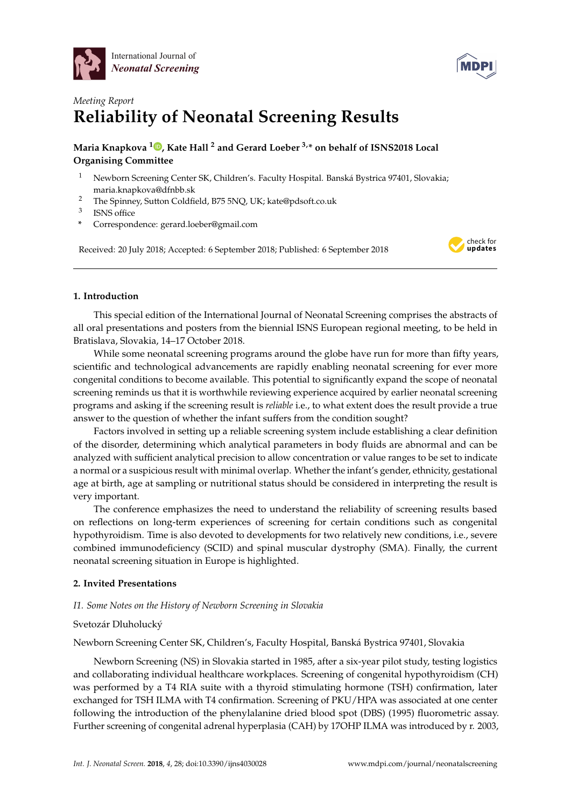



# *Meeting Report* **Reliability of Neonatal Screening Results**

**Maria Knapkova <sup>1</sup> [,](https://orcid.org/0000-0002-8917-4589) Kate Hall <sup>2</sup> and Gerard Loeber 3,\* on behalf of ISNS2018 Local Organising Committee**

- <sup>1</sup> Newborn Screening Center SK, Children's. Faculty Hospital. Banská Bystrica 97401, Slovakia; maria.knapkova@dfnbb.sk
- <sup>2</sup> The Spinney, Sutton Coldfield, B75 5NQ, UK; kate@pdsoft.co.uk
- 3 ISNS office
- **\*** Correspondence: gerard.loeber@gmail.com

Received: 20 July 2018; Accepted: 6 September 2018; Published: 6 September 2018



# **1. Introduction**

This special edition of the International Journal of Neonatal Screening comprises the abstracts of all oral presentations and posters from the biennial ISNS European regional meeting, to be held in Bratislava, Slovakia, 14–17 October 2018.

While some neonatal screening programs around the globe have run for more than fifty years, scientific and technological advancements are rapidly enabling neonatal screening for ever more congenital conditions to become available. This potential to significantly expand the scope of neonatal screening reminds us that it is worthwhile reviewing experience acquired by earlier neonatal screening programs and asking if the screening result is *reliable* i.e., to what extent does the result provide a true answer to the question of whether the infant suffers from the condition sought?

Factors involved in setting up a reliable screening system include establishing a clear definition of the disorder, determining which analytical parameters in body fluids are abnormal and can be analyzed with sufficient analytical precision to allow concentration or value ranges to be set to indicate a normal or a suspicious result with minimal overlap. Whether the infant's gender, ethnicity, gestational age at birth, age at sampling or nutritional status should be considered in interpreting the result is very important.

The conference emphasizes the need to understand the reliability of screening results based on reflections on long-term experiences of screening for certain conditions such as congenital hypothyroidism. Time is also devoted to developments for two relatively new conditions, i.e., severe combined immunodeficiency (SCID) and spinal muscular dystrophy (SMA). Finally, the current neonatal screening situation in Europe is highlighted.

# **2. Invited Presentations**

# *I1. Some Notes on the History of Newborn Screening in Slovakia*

# Svetozár Dluholucký

Newborn Screening Center SK, Children's, Faculty Hospital, Banská Bystrica 97401, Slovakia

Newborn Screening (NS) in Slovakia started in 1985, after a six-year pilot study, testing logistics and collaborating individual healthcare workplaces. Screening of congenital hypothyroidism (CH) was performed by a T4 RIA suite with a thyroid stimulating hormone (TSH) confirmation, later exchanged for TSH ILMA with T4 confirmation. Screening of PKU/HPA was associated at one center following the introduction of the phenylalanine dried blood spot (DBS) (1995) fluorometric assay. Further screening of congenital adrenal hyperplasia (CAH) by 17OHP ILMA was introduced by r. 2003,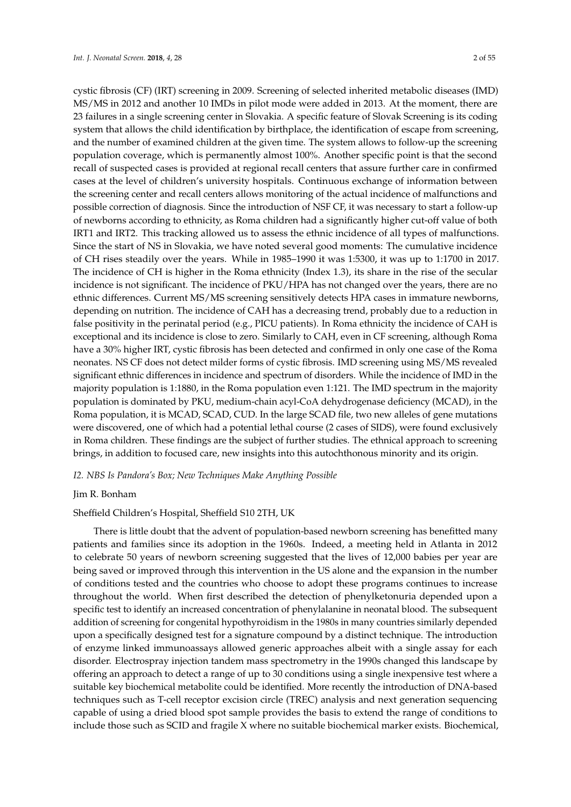cystic fibrosis (CF) (IRT) screening in 2009. Screening of selected inherited metabolic diseases (IMD) MS/MS in 2012 and another 10 IMDs in pilot mode were added in 2013. At the moment, there are 23 failures in a single screening center in Slovakia. A specific feature of Slovak Screening is its coding system that allows the child identification by birthplace, the identification of escape from screening, and the number of examined children at the given time. The system allows to follow-up the screening population coverage, which is permanently almost 100%. Another specific point is that the second recall of suspected cases is provided at regional recall centers that assure further care in confirmed cases at the level of children's university hospitals. Continuous exchange of information between the screening center and recall centers allows monitoring of the actual incidence of malfunctions and possible correction of diagnosis. Since the introduction of NSF CF, it was necessary to start a follow-up of newborns according to ethnicity, as Roma children had a significantly higher cut-off value of both IRT1 and IRT2. This tracking allowed us to assess the ethnic incidence of all types of malfunctions. Since the start of NS in Slovakia, we have noted several good moments: The cumulative incidence of CH rises steadily over the years. While in 1985–1990 it was 1:5300, it was up to 1:1700 in 2017. The incidence of CH is higher in the Roma ethnicity (Index 1.3), its share in the rise of the secular incidence is not significant. The incidence of PKU/HPA has not changed over the years, there are no ethnic differences. Current MS/MS screening sensitively detects HPA cases in immature newborns, depending on nutrition. The incidence of CAH has a decreasing trend, probably due to a reduction in false positivity in the perinatal period (e.g., PICU patients). In Roma ethnicity the incidence of CAH is exceptional and its incidence is close to zero. Similarly to CAH, even in CF screening, although Roma have a 30% higher IRT, cystic fibrosis has been detected and confirmed in only one case of the Roma neonates. NS CF does not detect milder forms of cystic fibrosis. IMD screening using MS/MS revealed significant ethnic differences in incidence and spectrum of disorders. While the incidence of IMD in the majority population is 1:1880, in the Roma population even 1:121. The IMD spectrum in the majority population is dominated by PKU, medium-chain acyl-CoA dehydrogenase deficiency (MCAD), in the Roma population, it is MCAD, SCAD, CUD. In the large SCAD file, two new alleles of gene mutations were discovered, one of which had a potential lethal course (2 cases of SIDS), were found exclusively in Roma children. These findings are the subject of further studies. The ethnical approach to screening brings, in addition to focused care, new insights into this autochthonous minority and its origin.

#### *I2. NBS Is Pandora's Box; New Techniques Make Anything Possible*

#### Jim R. Bonham

#### Sheffield Children's Hospital, Sheffield S10 2TH, UK

There is little doubt that the advent of population-based newborn screening has benefitted many patients and families since its adoption in the 1960s. Indeed, a meeting held in Atlanta in 2012 to celebrate 50 years of newborn screening suggested that the lives of 12,000 babies per year are being saved or improved through this intervention in the US alone and the expansion in the number of conditions tested and the countries who choose to adopt these programs continues to increase throughout the world. When first described the detection of phenylketonuria depended upon a specific test to identify an increased concentration of phenylalanine in neonatal blood. The subsequent addition of screening for congenital hypothyroidism in the 1980s in many countries similarly depended upon a specifically designed test for a signature compound by a distinct technique. The introduction of enzyme linked immunoassays allowed generic approaches albeit with a single assay for each disorder. Electrospray injection tandem mass spectrometry in the 1990s changed this landscape by offering an approach to detect a range of up to 30 conditions using a single inexpensive test where a suitable key biochemical metabolite could be identified. More recently the introduction of DNA-based techniques such as T-cell receptor excision circle (TREC) analysis and next generation sequencing capable of using a dried blood spot sample provides the basis to extend the range of conditions to include those such as SCID and fragile X where no suitable biochemical marker exists. Biochemical,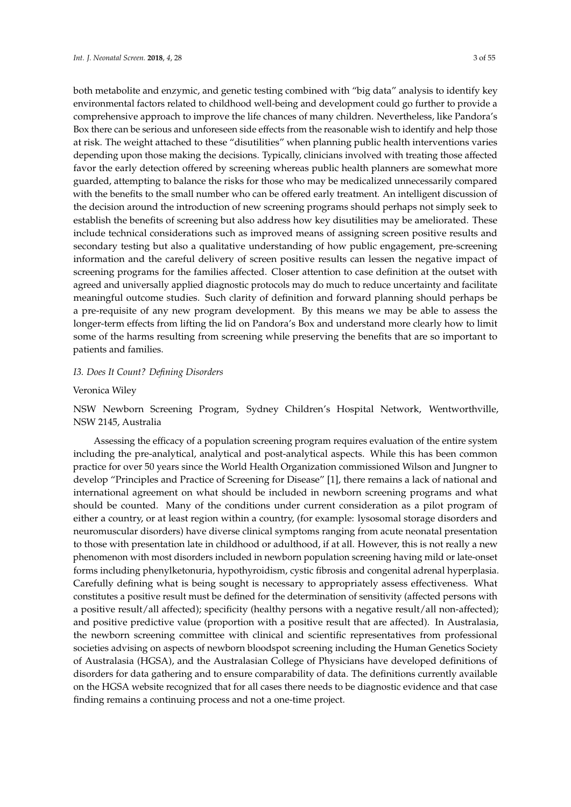both metabolite and enzymic, and genetic testing combined with "big data" analysis to identify key environmental factors related to childhood well-being and development could go further to provide a comprehensive approach to improve the life chances of many children. Nevertheless, like Pandora's Box there can be serious and unforeseen side effects from the reasonable wish to identify and help those at risk. The weight attached to these "disutilities" when planning public health interventions varies depending upon those making the decisions. Typically, clinicians involved with treating those affected favor the early detection offered by screening whereas public health planners are somewhat more guarded, attempting to balance the risks for those who may be medicalized unnecessarily compared with the benefits to the small number who can be offered early treatment. An intelligent discussion of the decision around the introduction of new screening programs should perhaps not simply seek to establish the benefits of screening but also address how key disutilities may be ameliorated. These include technical considerations such as improved means of assigning screen positive results and secondary testing but also a qualitative understanding of how public engagement, pre-screening information and the careful delivery of screen positive results can lessen the negative impact of screening programs for the families affected. Closer attention to case definition at the outset with agreed and universally applied diagnostic protocols may do much to reduce uncertainty and facilitate meaningful outcome studies. Such clarity of definition and forward planning should perhaps be a pre-requisite of any new program development. By this means we may be able to assess the longer-term effects from lifting the lid on Pandora's Box and understand more clearly how to limit some of the harms resulting from screening while preserving the benefits that are so important to patients and families.

#### *I3. Does It Count? Defining Disorders*

#### Veronica Wiley

NSW Newborn Screening Program, Sydney Children's Hospital Network, Wentworthville, NSW 2145, Australia

Assessing the efficacy of a population screening program requires evaluation of the entire system including the pre-analytical, analytical and post-analytical aspects. While this has been common practice for over 50 years since the World Health Organization commissioned Wilson and Jungner to develop "Principles and Practice of Screening for Disease" [1], there remains a lack of national and international agreement on what should be included in newborn screening programs and what should be counted. Many of the conditions under current consideration as a pilot program of either a country, or at least region within a country, (for example: lysosomal storage disorders and neuromuscular disorders) have diverse clinical symptoms ranging from acute neonatal presentation to those with presentation late in childhood or adulthood, if at all. However, this is not really a new phenomenon with most disorders included in newborn population screening having mild or late-onset forms including phenylketonuria, hypothyroidism, cystic fibrosis and congenital adrenal hyperplasia. Carefully defining what is being sought is necessary to appropriately assess effectiveness. What constitutes a positive result must be defined for the determination of sensitivity (affected persons with a positive result/all affected); specificity (healthy persons with a negative result/all non-affected); and positive predictive value (proportion with a positive result that are affected). In Australasia, the newborn screening committee with clinical and scientific representatives from professional societies advising on aspects of newborn bloodspot screening including the Human Genetics Society of Australasia (HGSA), and the Australasian College of Physicians have developed definitions of disorders for data gathering and to ensure comparability of data. The definitions currently available on the HGSA website recognized that for all cases there needs to be diagnostic evidence and that case finding remains a continuing process and not a one-time project.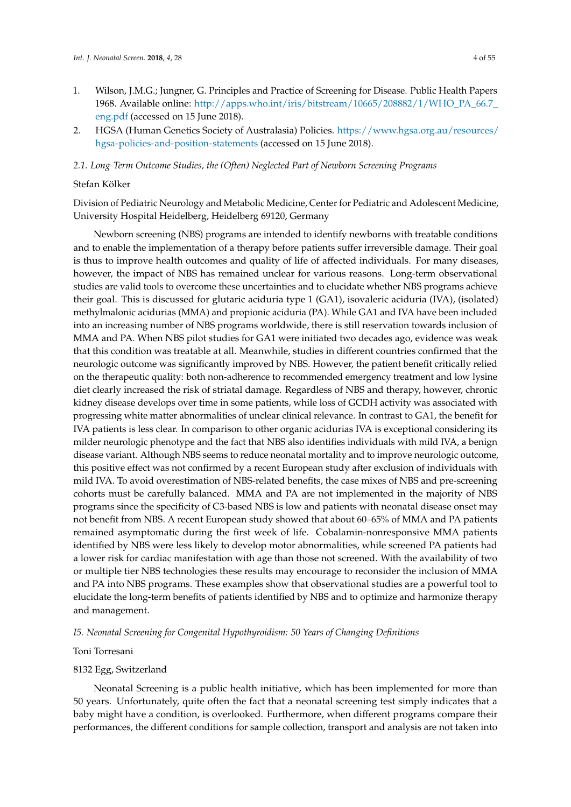- 1. Wilson, J.M.G.; Jungner, G. Principles and Practice of Screening for Disease. Public Health Papers 1968. Available online: [http://apps.who.int/iris/bitstream/10665/208882/1/WHO\\_PA\\_66.7\\_](http://apps.who.int/iris/bitstream/10665/208882/1/WHO_PA_66.7_eng.pdf) [eng.pdf](http://apps.who.int/iris/bitstream/10665/208882/1/WHO_PA_66.7_eng.pdf) (accessed on 15 June 2018).
- 2. HGSA (Human Genetics Society of Australasia) Policies. [https://www.hgsa.org.au/resources/](https://www.hgsa.org.au/resources/hgsa-policies-and-position-statements) [hgsa-policies-and-position-statements](https://www.hgsa.org.au/resources/hgsa-policies-and-position-statements) (accessed on 15 June 2018).

#### *2.1. Long-Term Outcome Studies, the (Often) Neglected Part of Newborn Screening Programs*

#### Stefan Kölker

Division of Pediatric Neurology and Metabolic Medicine, Center for Pediatric and Adolescent Medicine, University Hospital Heidelberg, Heidelberg 69120, Germany

Newborn screening (NBS) programs are intended to identify newborns with treatable conditions and to enable the implementation of a therapy before patients suffer irreversible damage. Their goal is thus to improve health outcomes and quality of life of affected individuals. For many diseases, however, the impact of NBS has remained unclear for various reasons. Long-term observational studies are valid tools to overcome these uncertainties and to elucidate whether NBS programs achieve their goal. This is discussed for glutaric aciduria type 1 (GA1), isovaleric aciduria (IVA), (isolated) methylmalonic acidurias (MMA) and propionic aciduria (PA). While GA1 and IVA have been included into an increasing number of NBS programs worldwide, there is still reservation towards inclusion of MMA and PA. When NBS pilot studies for GA1 were initiated two decades ago, evidence was weak that this condition was treatable at all. Meanwhile, studies in different countries confirmed that the neurologic outcome was significantly improved by NBS. However, the patient benefit critically relied on the therapeutic quality: both non-adherence to recommended emergency treatment and low lysine diet clearly increased the risk of striatal damage. Regardless of NBS and therapy, however, chronic kidney disease develops over time in some patients, while loss of GCDH activity was associated with progressing white matter abnormalities of unclear clinical relevance. In contrast to GA1, the benefit for IVA patients is less clear. In comparison to other organic acidurias IVA is exceptional considering its milder neurologic phenotype and the fact that NBS also identifies individuals with mild IVA, a benign disease variant. Although NBS seems to reduce neonatal mortality and to improve neurologic outcome, this positive effect was not confirmed by a recent European study after exclusion of individuals with mild IVA. To avoid overestimation of NBS-related benefits, the case mixes of NBS and pre-screening cohorts must be carefully balanced. MMA and PA are not implemented in the majority of NBS programs since the specificity of C3-based NBS is low and patients with neonatal disease onset may not benefit from NBS. A recent European study showed that about 60–65% of MMA and PA patients remained asymptomatic during the first week of life. Cobalamin-nonresponsive MMA patients identified by NBS were less likely to develop motor abnormalities, while screened PA patients had a lower risk for cardiac manifestation with age than those not screened. With the availability of two or multiple tier NBS technologies these results may encourage to reconsider the inclusion of MMA and PA into NBS programs. These examples show that observational studies are a powerful tool to elucidate the long-term benefits of patients identified by NBS and to optimize and harmonize therapy and management.

*I5. Neonatal Screening for Congenital Hypothyroidism: 50 Years of Changing Definitions*

#### Toni Torresani

#### 8132 Egg, Switzerland

Neonatal Screening is a public health initiative, which has been implemented for more than 50 years. Unfortunately, quite often the fact that a neonatal screening test simply indicates that a baby might have a condition, is overlooked. Furthermore, when different programs compare their performances, the different conditions for sample collection, transport and analysis are not taken into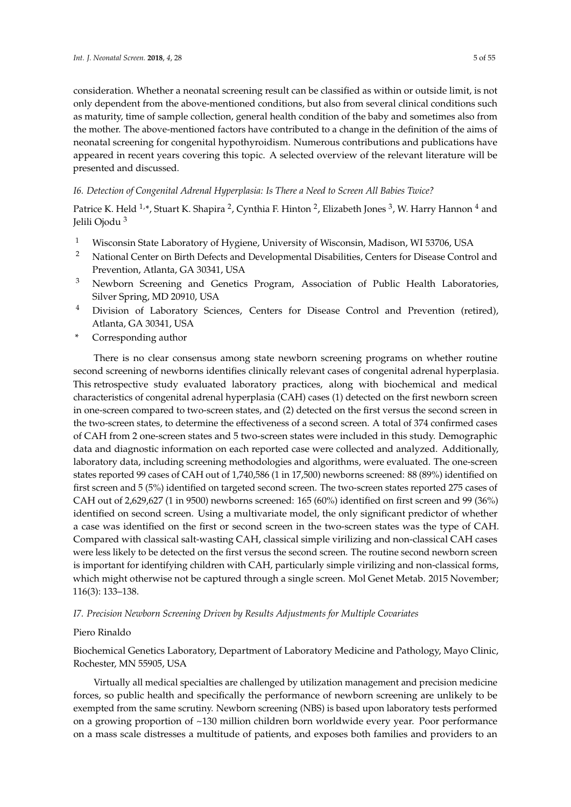consideration. Whether a neonatal screening result can be classified as within or outside limit, is not only dependent from the above-mentioned conditions, but also from several clinical conditions such as maturity, time of sample collection, general health condition of the baby and sometimes also from the mother. The above-mentioned factors have contributed to a change in the definition of the aims of neonatal screening for congenital hypothyroidism. Numerous contributions and publications have appeared in recent years covering this topic. A selected overview of the relevant literature will be presented and discussed.

### *I6. Detection of Congenital Adrenal Hyperplasia: Is There a Need to Screen All Babies Twice?*

Patrice K. Held <sup>1,</sup>\*, Stuart K. Shapira <sup>2</sup>, Cynthia F. Hinton <sup>2</sup>, Elizabeth Jones <sup>3</sup>, W. Harry Hannon <sup>4</sup> and Jelili Ojodu <sup>3</sup>

- <sup>1</sup> Wisconsin State Laboratory of Hygiene, University of Wisconsin, Madison, WI 53706, USA
- <sup>2</sup> National Center on Birth Defects and Developmental Disabilities, Centers for Disease Control and Prevention, Atlanta, GA 30341, USA
- <sup>3</sup> Newborn Screening and Genetics Program, Association of Public Health Laboratories, Silver Spring, MD 20910, USA
- <sup>4</sup> Division of Laboratory Sciences, Centers for Disease Control and Prevention (retired), Atlanta, GA 30341, USA
- Corresponding author

There is no clear consensus among state newborn screening programs on whether routine second screening of newborns identifies clinically relevant cases of congenital adrenal hyperplasia. This retrospective study evaluated laboratory practices, along with biochemical and medical characteristics of congenital adrenal hyperplasia (CAH) cases (1) detected on the first newborn screen in one-screen compared to two-screen states, and (2) detected on the first versus the second screen in the two-screen states, to determine the effectiveness of a second screen. A total of 374 confirmed cases of CAH from 2 one-screen states and 5 two-screen states were included in this study. Demographic data and diagnostic information on each reported case were collected and analyzed. Additionally, laboratory data, including screening methodologies and algorithms, were evaluated. The one-screen states reported 99 cases of CAH out of 1,740,586 (1 in 17,500) newborns screened: 88 (89%) identified on first screen and 5 (5%) identified on targeted second screen. The two-screen states reported 275 cases of CAH out of 2,629,627 (1 in 9500) newborns screened: 165 (60%) identified on first screen and 99 (36%) identified on second screen. Using a multivariate model, the only significant predictor of whether a case was identified on the first or second screen in the two-screen states was the type of CAH. Compared with classical salt-wasting CAH, classical simple virilizing and non-classical CAH cases were less likely to be detected on the first versus the second screen. The routine second newborn screen is important for identifying children with CAH, particularly simple virilizing and non-classical forms, which might otherwise not be captured through a single screen. Mol Genet Metab. 2015 November; 116(3): 133–138.

#### *I7. Precision Newborn Screening Driven by Results Adjustments for Multiple Covariates*

#### Piero Rinaldo

Biochemical Genetics Laboratory, Department of Laboratory Medicine and Pathology, Mayo Clinic, Rochester, MN 55905, USA

Virtually all medical specialties are challenged by utilization management and precision medicine forces, so public health and specifically the performance of newborn screening are unlikely to be exempted from the same scrutiny. Newborn screening (NBS) is based upon laboratory tests performed on a growing proportion of  $\sim$ 130 million children born worldwide every year. Poor performance on a mass scale distresses a multitude of patients, and exposes both families and providers to an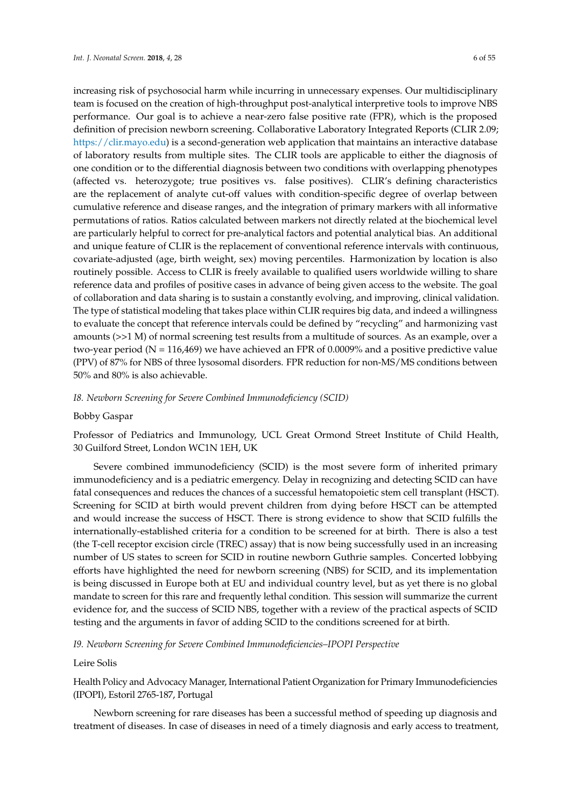increasing risk of psychosocial harm while incurring in unnecessary expenses. Our multidisciplinary team is focused on the creation of high-throughput post-analytical interpretive tools to improve NBS performance. Our goal is to achieve a near-zero false positive rate (FPR), which is the proposed definition of precision newborn screening. Collaborative Laboratory Integrated Reports (CLIR 2.09; [https://clir.mayo.edu\)](https://clir.mayo.edu) is a second-generation web application that maintains an interactive database of laboratory results from multiple sites. The CLIR tools are applicable to either the diagnosis of one condition or to the differential diagnosis between two conditions with overlapping phenotypes (affected vs. heterozygote; true positives vs. false positives). CLIR's defining characteristics are the replacement of analyte cut-off values with condition-specific degree of overlap between cumulative reference and disease ranges, and the integration of primary markers with all informative permutations of ratios. Ratios calculated between markers not directly related at the biochemical level are particularly helpful to correct for pre-analytical factors and potential analytical bias. An additional and unique feature of CLIR is the replacement of conventional reference intervals with continuous, covariate-adjusted (age, birth weight, sex) moving percentiles. Harmonization by location is also routinely possible. Access to CLIR is freely available to qualified users worldwide willing to share reference data and profiles of positive cases in advance of being given access to the website. The goal of collaboration and data sharing is to sustain a constantly evolving, and improving, clinical validation. The type of statistical modeling that takes place within CLIR requires big data, and indeed a willingness to evaluate the concept that reference intervals could be defined by "recycling" and harmonizing vast amounts (>>1 M) of normal screening test results from a multitude of sources. As an example, over a two-year period ( $N = 116,469$ ) we have achieved an FPR of 0.0009% and a positive predictive value (PPV) of 87% for NBS of three lysosomal disorders. FPR reduction for non-MS/MS conditions between 50% and 80% is also achievable.

#### *I8. Newborn Screening for Severe Combined Immunodeficiency (SCID)*

#### Bobby Gaspar

Professor of Pediatrics and Immunology, UCL Great Ormond Street Institute of Child Health, 30 Guilford Street, London WC1N 1EH, UK

Severe combined immunodeficiency (SCID) is the most severe form of inherited primary immunodeficiency and is a pediatric emergency. Delay in recognizing and detecting SCID can have fatal consequences and reduces the chances of a successful hematopoietic stem cell transplant (HSCT). Screening for SCID at birth would prevent children from dying before HSCT can be attempted and would increase the success of HSCT. There is strong evidence to show that SCID fulfills the internationally-established criteria for a condition to be screened for at birth. There is also a test (the T-cell receptor excision circle (TREC) assay) that is now being successfully used in an increasing number of US states to screen for SCID in routine newborn Guthrie samples. Concerted lobbying efforts have highlighted the need for newborn screening (NBS) for SCID, and its implementation is being discussed in Europe both at EU and individual country level, but as yet there is no global mandate to screen for this rare and frequently lethal condition. This session will summarize the current evidence for, and the success of SCID NBS, together with a review of the practical aspects of SCID testing and the arguments in favor of adding SCID to the conditions screened for at birth.

*I9. Newborn Screening for Severe Combined Immunodeficiencies–IPOPI Perspective*

#### Leire Solis

Health Policy and Advocacy Manager, International Patient Organization for Primary Immunodeficiencies (IPOPI), Estoril 2765-187, Portugal

Newborn screening for rare diseases has been a successful method of speeding up diagnosis and treatment of diseases. In case of diseases in need of a timely diagnosis and early access to treatment,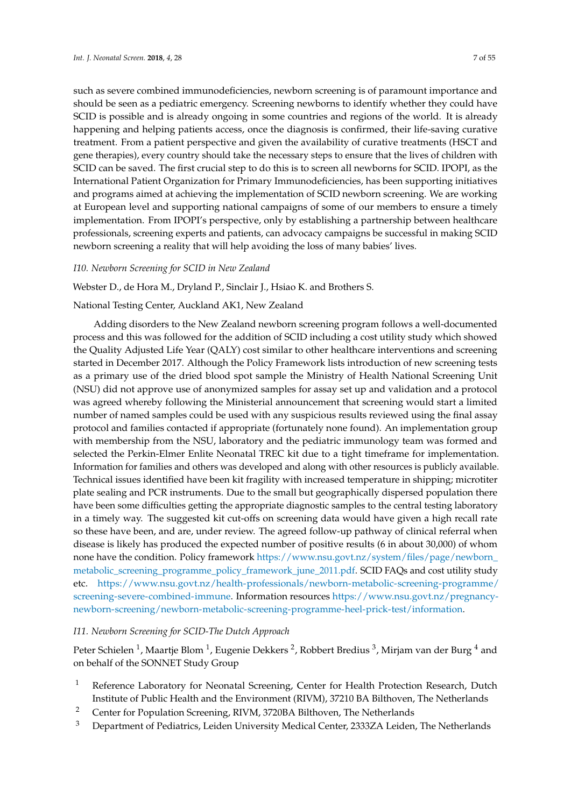such as severe combined immunodeficiencies, newborn screening is of paramount importance and should be seen as a pediatric emergency. Screening newborns to identify whether they could have SCID is possible and is already ongoing in some countries and regions of the world. It is already happening and helping patients access, once the diagnosis is confirmed, their life-saving curative treatment. From a patient perspective and given the availability of curative treatments (HSCT and gene therapies), every country should take the necessary steps to ensure that the lives of children with SCID can be saved. The first crucial step to do this is to screen all newborns for SCID. IPOPI, as the International Patient Organization for Primary Immunodeficiencies, has been supporting initiatives and programs aimed at achieving the implementation of SCID newborn screening. We are working at European level and supporting national campaigns of some of our members to ensure a timely implementation. From IPOPI's perspective, only by establishing a partnership between healthcare professionals, screening experts and patients, can advocacy campaigns be successful in making SCID newborn screening a reality that will help avoiding the loss of many babies' lives.

#### *I10. Newborn Screening for SCID in New Zealand*

Webster D., de Hora M., Dryland P., Sinclair J., Hsiao K. and Brothers S.

#### National Testing Center, Auckland AK1, New Zealand

Adding disorders to the New Zealand newborn screening program follows a well-documented process and this was followed for the addition of SCID including a cost utility study which showed the Quality Adjusted Life Year (QALY) cost similar to other healthcare interventions and screening started in December 2017. Although the Policy Framework lists introduction of new screening tests as a primary use of the dried blood spot sample the Ministry of Health National Screening Unit (NSU) did not approve use of anonymized samples for assay set up and validation and a protocol was agreed whereby following the Ministerial announcement that screening would start a limited number of named samples could be used with any suspicious results reviewed using the final assay protocol and families contacted if appropriate (fortunately none found). An implementation group with membership from the NSU, laboratory and the pediatric immunology team was formed and selected the Perkin-Elmer Enlite Neonatal TREC kit due to a tight timeframe for implementation. Information for families and others was developed and along with other resources is publicly available. Technical issues identified have been kit fragility with increased temperature in shipping; microtiter plate sealing and PCR instruments. Due to the small but geographically dispersed population there have been some difficulties getting the appropriate diagnostic samples to the central testing laboratory in a timely way. The suggested kit cut-offs on screening data would have given a high recall rate so these have been, and are, under review. The agreed follow-up pathway of clinical referral when disease is likely has produced the expected number of positive results (6 in about 30,000) of whom none have the condition. Policy framework [https://www.nsu.govt.nz/system/files/page/newborn\\_](https://www.nsu.govt.nz/system/files/page/newborn_metabolic_screening_programme_policy_framework_june_2011.pdf) [metabolic\\_screening\\_programme\\_policy\\_framework\\_june\\_2011.pdf.](https://www.nsu.govt.nz/system/files/page/newborn_metabolic_screening_programme_policy_framework_june_2011.pdf) SCID FAQs and cost utility study etc. [https://www.nsu.govt.nz/health-professionals/newborn-metabolic-screening-programme/](https://www.nsu.govt.nz/health-professionals/newborn-metabolic-screening-programme/screening-severe-combined-immune) [screening-severe-combined-immune.](https://www.nsu.govt.nz/health-professionals/newborn-metabolic-screening-programme/screening-severe-combined-immune) Information resources [https://www.nsu.govt.nz/pregnancy](https://www.nsu.govt.nz/pregnancy-newborn-screening/newborn-metabolic-screening-programme-heel-prick-test/information)[newborn-screening/newborn-metabolic-screening-programme-heel-prick-test/information.](https://www.nsu.govt.nz/pregnancy-newborn-screening/newborn-metabolic-screening-programme-heel-prick-test/information)

### *I11. Newborn Screening for SCID-The Dutch Approach*

Peter Schielen <sup>1</sup>, Maartje Blom <sup>1</sup>, Eugenie Dekkers <sup>2</sup>, Robbert Bredius <sup>3</sup>, Mirjam van der Burg <sup>4</sup> and on behalf of the SONNET Study Group

- <sup>1</sup> Reference Laboratory for Neonatal Screening, Center for Health Protection Research, Dutch Institute of Public Health and the Environment (RIVM), 37210 BA Bilthoven, The Netherlands
- <sup>2</sup> Center for Population Screening, RIVM, 3720BA Bilthoven, The Netherlands
- <sup>3</sup> Department of Pediatrics, Leiden University Medical Center, 2333ZA Leiden, The Netherlands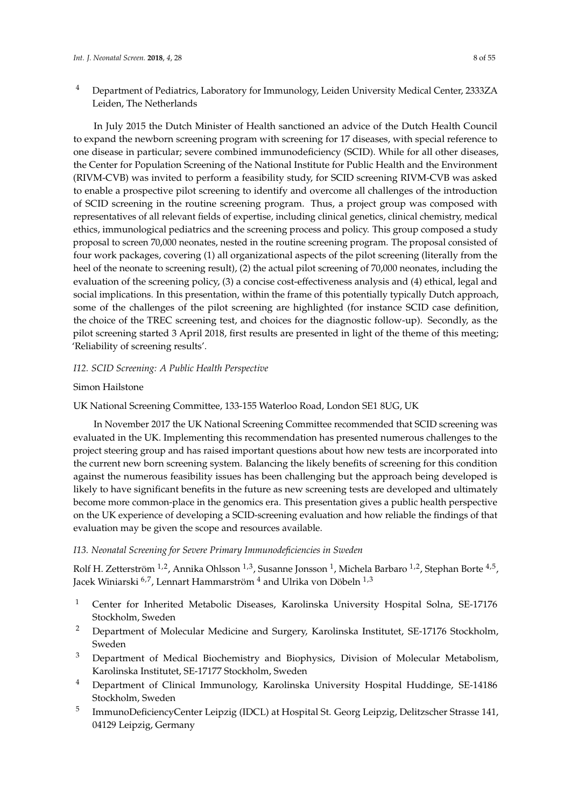<sup>4</sup> Department of Pediatrics, Laboratory for Immunology, Leiden University Medical Center, 2333ZA Leiden, The Netherlands

In July 2015 the Dutch Minister of Health sanctioned an advice of the Dutch Health Council to expand the newborn screening program with screening for 17 diseases, with special reference to one disease in particular; severe combined immunodeficiency (SCID). While for all other diseases, the Center for Population Screening of the National Institute for Public Health and the Environment (RIVM-CVB) was invited to perform a feasibility study, for SCID screening RIVM-CVB was asked to enable a prospective pilot screening to identify and overcome all challenges of the introduction of SCID screening in the routine screening program. Thus, a project group was composed with representatives of all relevant fields of expertise, including clinical genetics, clinical chemistry, medical ethics, immunological pediatrics and the screening process and policy. This group composed a study proposal to screen 70,000 neonates, nested in the routine screening program. The proposal consisted of four work packages, covering (1) all organizational aspects of the pilot screening (literally from the heel of the neonate to screening result), (2) the actual pilot screening of 70,000 neonates, including the evaluation of the screening policy, (3) a concise cost-effectiveness analysis and (4) ethical, legal and social implications. In this presentation, within the frame of this potentially typically Dutch approach, some of the challenges of the pilot screening are highlighted (for instance SCID case definition, the choice of the TREC screening test, and choices for the diagnostic follow-up). Secondly, as the pilot screening started 3 April 2018, first results are presented in light of the theme of this meeting; 'Reliability of screening results'.

# *I12. SCID Screening: A Public Health Perspective*

# Simon Hailstone

UK National Screening Committee, 133-155 Waterloo Road, London SE1 8UG, UK

In November 2017 the UK National Screening Committee recommended that SCID screening was evaluated in the UK. Implementing this recommendation has presented numerous challenges to the project steering group and has raised important questions about how new tests are incorporated into the current new born screening system. Balancing the likely benefits of screening for this condition against the numerous feasibility issues has been challenging but the approach being developed is likely to have significant benefits in the future as new screening tests are developed and ultimately become more common-place in the genomics era. This presentation gives a public health perspective on the UK experience of developing a SCID-screening evaluation and how reliable the findings of that evaluation may be given the scope and resources available.

# *I13. Neonatal Screening for Severe Primary Immunodeficiencies in Sweden*

Rolf H. Zetterström  $^{1,2}$ , Annika Ohlsson  $^{1,3}$ , Susanne Jonsson  $^1$ , Michela Barbaro  $^{1,2}$ , Stephan Borte  $^{4,5}$ , Jacek Winiarski <sup>6,7</sup>, Lennart Hammarström<sup>4</sup> and Ulrika von Döbeln <sup>1,3</sup>

- <sup>1</sup> Center for Inherited Metabolic Diseases, Karolinska University Hospital Solna, SE-17176 Stockholm, Sweden
- <sup>2</sup> Department of Molecular Medicine and Surgery, Karolinska Institutet, SE-17176 Stockholm, Sweden
- <sup>3</sup> Department of Medical Biochemistry and Biophysics, Division of Molecular Metabolism, Karolinska Institutet, SE-17177 Stockholm, Sweden
- <sup>4</sup> Department of Clinical Immunology, Karolinska University Hospital Huddinge, SE-14186 Stockholm, Sweden
- 5 ImmunoDeficiencyCenter Leipzig (IDCL) at Hospital St. Georg Leipzig, Delitzscher Strasse 141, 04129 Leipzig, Germany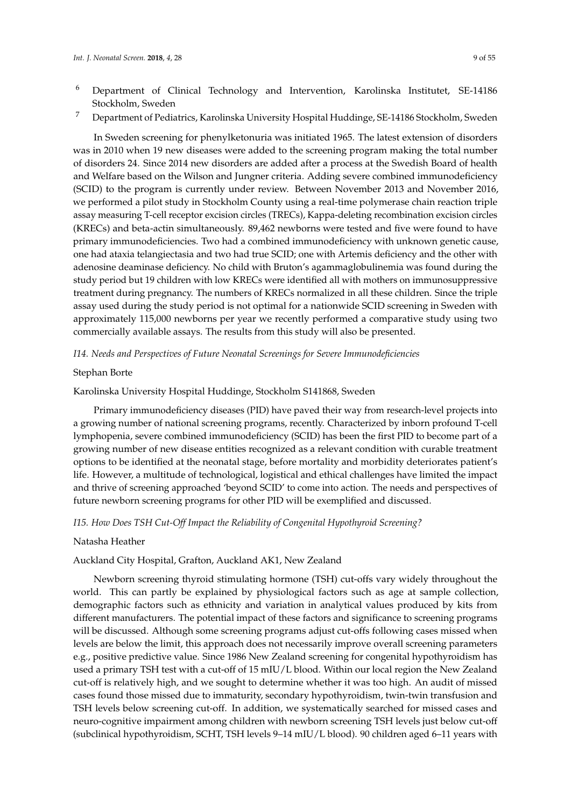- <sup>6</sup> Department of Clinical Technology and Intervention, Karolinska Institutet, SE-14186 Stockholm, Sweden
- <sup>7</sup> Department of Pediatrics, Karolinska University Hospital Huddinge, SE-14186 Stockholm, Sweden

In Sweden screening for phenylketonuria was initiated 1965. The latest extension of disorders was in 2010 when 19 new diseases were added to the screening program making the total number of disorders 24. Since 2014 new disorders are added after a process at the Swedish Board of health and Welfare based on the Wilson and Jungner criteria. Adding severe combined immunodeficiency (SCID) to the program is currently under review. Between November 2013 and November 2016, we performed a pilot study in Stockholm County using a real-time polymerase chain reaction triple assay measuring T-cell receptor excision circles (TRECs), Kappa-deleting recombination excision circles (KRECs) and beta-actin simultaneously. 89,462 newborns were tested and five were found to have primary immunodeficiencies. Two had a combined immunodeficiency with unknown genetic cause, one had ataxia telangiectasia and two had true SCID; one with Artemis deficiency and the other with adenosine deaminase deficiency. No child with Bruton's agammaglobulinemia was found during the study period but 19 children with low KRECs were identified all with mothers on immunosuppressive treatment during pregnancy. The numbers of KRECs normalized in all these children. Since the triple assay used during the study period is not optimal for a nationwide SCID screening in Sweden with approximately 115,000 newborns per year we recently performed a comparative study using two commercially available assays. The results from this study will also be presented.

#### *I14. Needs and Perspectives of Future Neonatal Screenings for Severe Immunodeficiencies*

#### Stephan Borte

#### Karolinska University Hospital Huddinge, Stockholm S141868, Sweden

Primary immunodeficiency diseases (PID) have paved their way from research-level projects into a growing number of national screening programs, recently. Characterized by inborn profound T-cell lymphopenia, severe combined immunodeficiency (SCID) has been the first PID to become part of a growing number of new disease entities recognized as a relevant condition with curable treatment options to be identified at the neonatal stage, before mortality and morbidity deteriorates patient's life. However, a multitude of technological, logistical and ethical challenges have limited the impact and thrive of screening approached 'beyond SCID' to come into action. The needs and perspectives of future newborn screening programs for other PID will be exemplified and discussed.

#### *I15. How Does TSH Cut-Off Impact the Reliability of Congenital Hypothyroid Screening?*

### Natasha Heather

### Auckland City Hospital, Grafton, Auckland AK1, New Zealand

Newborn screening thyroid stimulating hormone (TSH) cut-offs vary widely throughout the world. This can partly be explained by physiological factors such as age at sample collection, demographic factors such as ethnicity and variation in analytical values produced by kits from different manufacturers. The potential impact of these factors and significance to screening programs will be discussed. Although some screening programs adjust cut-offs following cases missed when levels are below the limit, this approach does not necessarily improve overall screening parameters e.g., positive predictive value. Since 1986 New Zealand screening for congenital hypothyroidism has used a primary TSH test with a cut-off of 15 mIU/L blood. Within our local region the New Zealand cut-off is relatively high, and we sought to determine whether it was too high. An audit of missed cases found those missed due to immaturity, secondary hypothyroidism, twin-twin transfusion and TSH levels below screening cut-off. In addition, we systematically searched for missed cases and neuro-cognitive impairment among children with newborn screening TSH levels just below cut-off (subclinical hypothyroidism, SCHT, TSH levels 9–14 mIU/L blood). 90 children aged 6–11 years with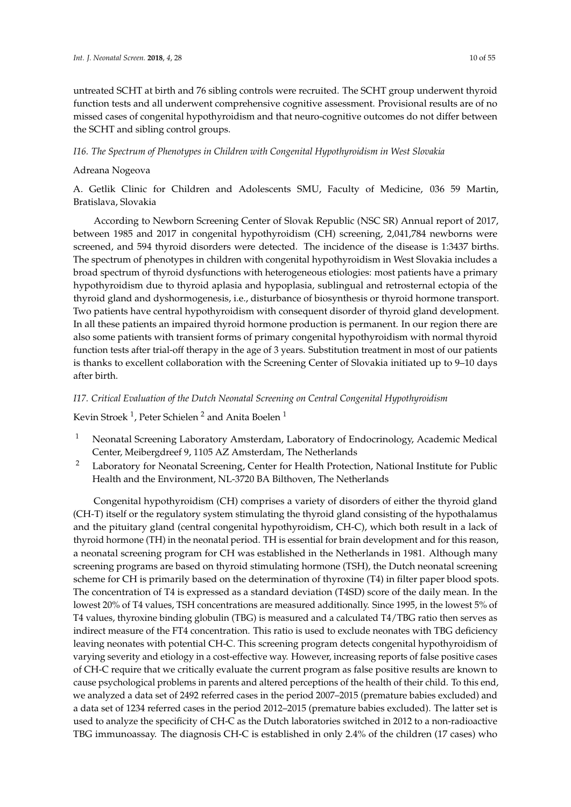untreated SCHT at birth and 76 sibling controls were recruited. The SCHT group underwent thyroid function tests and all underwent comprehensive cognitive assessment. Provisional results are of no missed cases of congenital hypothyroidism and that neuro-cognitive outcomes do not differ between the SCHT and sibling control groups.

# *I16. The Spectrum of Phenotypes in Children with Congenital Hypothyroidism in West Slovakia*

# Adreana Nogeova

A. Getlik Clinic for Children and Adolescents SMU, Faculty of Medicine, 036 59 Martin, Bratislava, Slovakia

According to Newborn Screening Center of Slovak Republic (NSC SR) Annual report of 2017, between 1985 and 2017 in congenital hypothyroidism (CH) screening, 2,041,784 newborns were screened, and 594 thyroid disorders were detected. The incidence of the disease is 1:3437 births. The spectrum of phenotypes in children with congenital hypothyroidism in West Slovakia includes a broad spectrum of thyroid dysfunctions with heterogeneous etiologies: most patients have a primary hypothyroidism due to thyroid aplasia and hypoplasia, sublingual and retrosternal ectopia of the thyroid gland and dyshormogenesis, i.e., disturbance of biosynthesis or thyroid hormone transport. Two patients have central hypothyroidism with consequent disorder of thyroid gland development. In all these patients an impaired thyroid hormone production is permanent. In our region there are also some patients with transient forms of primary congenital hypothyroidism with normal thyroid function tests after trial-off therapy in the age of 3 years. Substitution treatment in most of our patients is thanks to excellent collaboration with the Screening Center of Slovakia initiated up to 9–10 days after birth.

# *I17. Critical Evaluation of the Dutch Neonatal Screening on Central Congenital Hypothyroidism*

Kevin Stroek <sup>1</sup>, Peter Schielen <sup>2</sup> and Anita Boelen <sup>1</sup>

- <sup>1</sup> Neonatal Screening Laboratory Amsterdam, Laboratory of Endocrinology, Academic Medical Center, Meibergdreef 9, 1105 AZ Amsterdam, The Netherlands
- <sup>2</sup> Laboratory for Neonatal Screening, Center for Health Protection, National Institute for Public Health and the Environment, NL-3720 BA Bilthoven, The Netherlands

Congenital hypothyroidism (CH) comprises a variety of disorders of either the thyroid gland (CH-T) itself or the regulatory system stimulating the thyroid gland consisting of the hypothalamus and the pituitary gland (central congenital hypothyroidism, CH-C), which both result in a lack of thyroid hormone (TH) in the neonatal period. TH is essential for brain development and for this reason, a neonatal screening program for CH was established in the Netherlands in 1981. Although many screening programs are based on thyroid stimulating hormone (TSH), the Dutch neonatal screening scheme for CH is primarily based on the determination of thyroxine (T4) in filter paper blood spots. The concentration of T4 is expressed as a standard deviation (T4SD) score of the daily mean. In the lowest 20% of T4 values, TSH concentrations are measured additionally. Since 1995, in the lowest 5% of T4 values, thyroxine binding globulin (TBG) is measured and a calculated T4/TBG ratio then serves as indirect measure of the FT4 concentration. This ratio is used to exclude neonates with TBG deficiency leaving neonates with potential CH-C. This screening program detects congenital hypothyroidism of varying severity and etiology in a cost-effective way. However, increasing reports of false positive cases of CH-C require that we critically evaluate the current program as false positive results are known to cause psychological problems in parents and altered perceptions of the health of their child. To this end, we analyzed a data set of 2492 referred cases in the period 2007–2015 (premature babies excluded) and a data set of 1234 referred cases in the period 2012–2015 (premature babies excluded). The latter set is used to analyze the specificity of CH-C as the Dutch laboratories switched in 2012 to a non-radioactive TBG immunoassay. The diagnosis CH-C is established in only 2.4% of the children (17 cases) who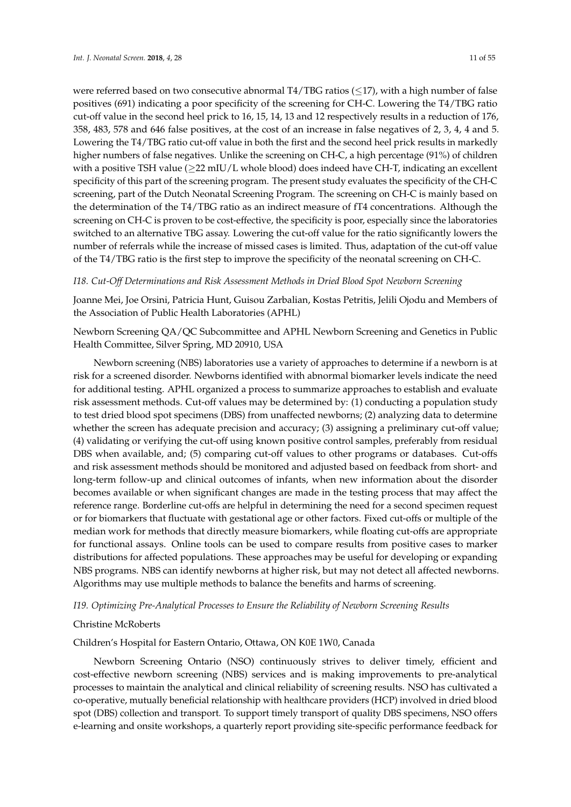were referred based on two consecutive abnormal T4/TBG ratios  $(\leq 17)$ , with a high number of false positives (691) indicating a poor specificity of the screening for CH-C. Lowering the T4/TBG ratio cut-off value in the second heel prick to 16, 15, 14, 13 and 12 respectively results in a reduction of 176, 358, 483, 578 and 646 false positives, at the cost of an increase in false negatives of 2, 3, 4, 4 and 5. Lowering the T4/TBG ratio cut-off value in both the first and the second heel prick results in markedly higher numbers of false negatives. Unlike the screening on CH-C, a high percentage (91%) of children with a positive TSH value ( $\geq$ 22 mIU/L whole blood) does indeed have CH-T, indicating an excellent specificity of this part of the screening program. The present study evaluates the specificity of the CH-C screening, part of the Dutch Neonatal Screening Program. The screening on CH-C is mainly based on the determination of the T4/TBG ratio as an indirect measure of fT4 concentrations. Although the screening on CH-C is proven to be cost-effective, the specificity is poor, especially since the laboratories switched to an alternative TBG assay. Lowering the cut-off value for the ratio significantly lowers the number of referrals while the increase of missed cases is limited. Thus, adaptation of the cut-off value of the T4/TBG ratio is the first step to improve the specificity of the neonatal screening on CH-C.

### *I18. Cut-Off Determinations and Risk Assessment Methods in Dried Blood Spot Newborn Screening*

Joanne Mei, Joe Orsini, Patricia Hunt, Guisou Zarbalian, Kostas Petritis, Jelili Ojodu and Members of the Association of Public Health Laboratories (APHL)

Newborn Screening QA/QC Subcommittee and APHL Newborn Screening and Genetics in Public Health Committee, Silver Spring, MD 20910, USA

Newborn screening (NBS) laboratories use a variety of approaches to determine if a newborn is at risk for a screened disorder. Newborns identified with abnormal biomarker levels indicate the need for additional testing. APHL organized a process to summarize approaches to establish and evaluate risk assessment methods. Cut-off values may be determined by: (1) conducting a population study to test dried blood spot specimens (DBS) from unaffected newborns; (2) analyzing data to determine whether the screen has adequate precision and accuracy; (3) assigning a preliminary cut-off value; (4) validating or verifying the cut-off using known positive control samples, preferably from residual DBS when available, and; (5) comparing cut-off values to other programs or databases. Cut-offs and risk assessment methods should be monitored and adjusted based on feedback from short- and long-term follow-up and clinical outcomes of infants, when new information about the disorder becomes available or when significant changes are made in the testing process that may affect the reference range. Borderline cut-offs are helpful in determining the need for a second specimen request or for biomarkers that fluctuate with gestational age or other factors. Fixed cut-offs or multiple of the median work for methods that directly measure biomarkers, while floating cut-offs are appropriate for functional assays. Online tools can be used to compare results from positive cases to marker distributions for affected populations. These approaches may be useful for developing or expanding NBS programs. NBS can identify newborns at higher risk, but may not detect all affected newborns. Algorithms may use multiple methods to balance the benefits and harms of screening.

#### *I19. Optimizing Pre-Analytical Processes to Ensure the Reliability of Newborn Screening Results*

#### Christine McRoberts

#### Children's Hospital for Eastern Ontario, Ottawa, ON K0E 1W0, Canada

Newborn Screening Ontario (NSO) continuously strives to deliver timely, efficient and cost-effective newborn screening (NBS) services and is making improvements to pre-analytical processes to maintain the analytical and clinical reliability of screening results. NSO has cultivated a co-operative, mutually beneficial relationship with healthcare providers (HCP) involved in dried blood spot (DBS) collection and transport. To support timely transport of quality DBS specimens, NSO offers e-learning and onsite workshops, a quarterly report providing site-specific performance feedback for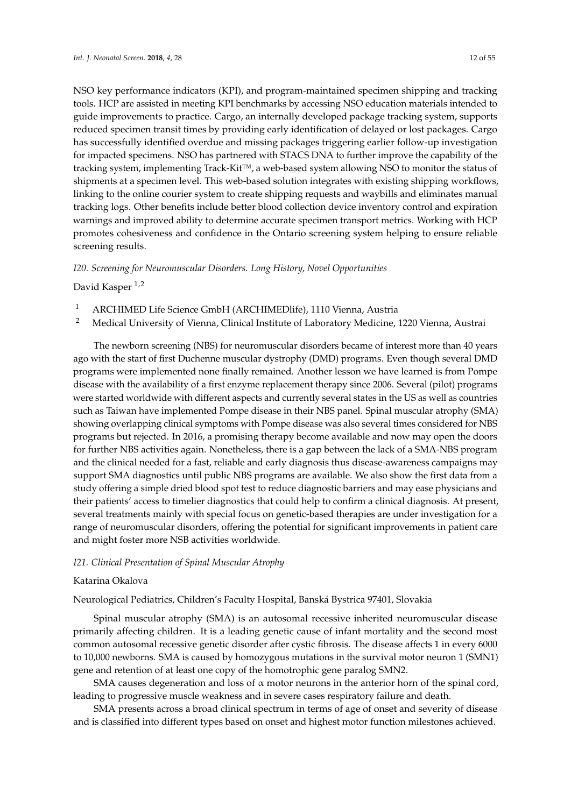NSO key performance indicators (KPI), and program-maintained specimen shipping and tracking tools. HCP are assisted in meeting KPI benchmarks by accessing NSO education materials intended to guide improvements to practice. Cargo, an internally developed package tracking system, supports reduced specimen transit times by providing early identification of delayed or lost packages. Cargo has successfully identified overdue and missing packages triggering earlier follow-up investigation for impacted specimens. NSO has partnered with STACS DNA to further improve the capability of the tracking system, implementing Track-Kit™, a web-based system allowing NSO to monitor the status of shipments at a specimen level. This web-based solution integrates with existing shipping workflows, linking to the online courier system to create shipping requests and waybills and eliminates manual tracking logs. Other benefits include better blood collection device inventory control and expiration warnings and improved ability to determine accurate specimen transport metrics. Working with HCP promotes cohesiveness and confidence in the Ontario screening system helping to ensure reliable screening results.

*I20. Screening for Neuromuscular Disorders. Long History, Novel Opportunities*

# David Kasper<sup>1,2</sup>

- <sup>1</sup> ARCHIMED Life Science GmbH (ARCHIMEDlife), 1110 Vienna, Austria
- <sup>2</sup> Medical University of Vienna, Clinical Institute of Laboratory Medicine, 1220 Vienna, Austrai

The newborn screening (NBS) for neuromuscular disorders became of interest more than 40 years ago with the start of first Duchenne muscular dystrophy (DMD) programs. Even though several DMD programs were implemented none finally remained. Another lesson we have learned is from Pompe disease with the availability of a first enzyme replacement therapy since 2006. Several (pilot) programs were started worldwide with different aspects and currently several states in the US as well as countries such as Taiwan have implemented Pompe disease in their NBS panel. Spinal muscular atrophy (SMA) showing overlapping clinical symptoms with Pompe disease was also several times considered for NBS programs but rejected. In 2016, a promising therapy become available and now may open the doors for further NBS activities again. Nonetheless, there is a gap between the lack of a SMA-NBS program and the clinical needed for a fast, reliable and early diagnosis thus disease-awareness campaigns may support SMA diagnostics until public NBS programs are available. We also show the first data from a study offering a simple dried blood spot test to reduce diagnostic barriers and may ease physicians and their patients' access to timelier diagnostics that could help to confirm a clinical diagnosis. At present, several treatments mainly with special focus on genetic-based therapies are under investigation for a range of neuromuscular disorders, offering the potential for significant improvements in patient care and might foster more NSB activities worldwide.

# *I21. Clinical Presentation of Spinal Muscular Atrophy*

# Katarina Okalova

Neurological Pediatrics, Children's Faculty Hospital, Banská Bystrica 97401, Slovakia

Spinal muscular atrophy (SMA) is an autosomal recessive inherited neuromuscular disease primarily affecting children. It is a leading genetic cause of infant mortality and the second most common autosomal recessive genetic disorder after cystic fibrosis. The disease affects 1 in every 6000 to 10,000 newborns. SMA is caused by homozygous mutations in the survival motor neuron 1 (SMN1) gene and retention of at least one copy of the homotrophic gene paralog SMN2.

SMA causes degeneration and loss of  $\alpha$  motor neurons in the anterior horn of the spinal cord, leading to progressive muscle weakness and in severe cases respiratory failure and death.

SMA presents across a broad clinical spectrum in terms of age of onset and severity of disease and is classified into different types based on onset and highest motor function milestones achieved.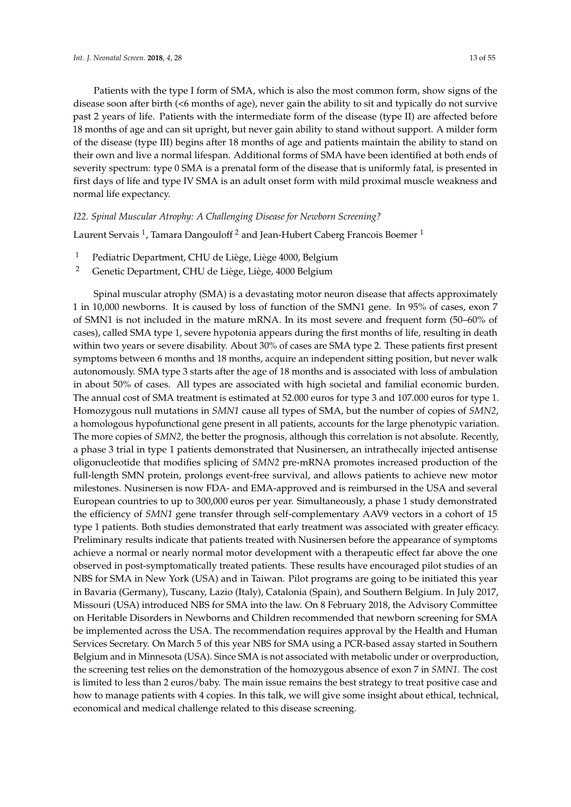Patients with the type I form of SMA, which is also the most common form, show signs of the disease soon after birth (<6 months of age), never gain the ability to sit and typically do not survive past 2 years of life. Patients with the intermediate form of the disease (type II) are affected before 18 months of age and can sit upright, but never gain ability to stand without support. A milder form of the disease (type III) begins after 18 months of age and patients maintain the ability to stand on their own and live a normal lifespan. Additional forms of SMA have been identified at both ends of severity spectrum: type 0 SMA is a prenatal form of the disease that is uniformly fatal, is presented in first days of life and type IV SMA is an adult onset form with mild proximal muscle weakness and normal life expectancy.

### *I22. Spinal Muscular Atrophy: A Challenging Disease for Newborn Screening?*

Laurent Servais  $^1$ , Tamara Dangouloff  $^2$  and Jean-Hubert Caberg Francois Boemer  $^1$ 

- <sup>1</sup> Pediatric Department, CHU de Liège, Liège 4000, Belgium
- <sup>2</sup> Genetic Department, CHU de Liège, Liège, 4000 Belgium

Spinal muscular atrophy (SMA) is a devastating motor neuron disease that affects approximately 1 in 10,000 newborns. It is caused by loss of function of the SMN1 gene. In 95% of cases, exon 7 of SMN1 is not included in the mature mRNA. In its most severe and frequent form (50–60% of cases), called SMA type 1, severe hypotonia appears during the first months of life, resulting in death within two years or severe disability. About 30% of cases are SMA type 2. These patients first present symptoms between 6 months and 18 months, acquire an independent sitting position, but never walk autonomously. SMA type 3 starts after the age of 18 months and is associated with loss of ambulation in about 50% of cases. All types are associated with high societal and familial economic burden. The annual cost of SMA treatment is estimated at 52.000 euros for type 3 and 107.000 euros for type 1. Homozygous null mutations in *SMN1* cause all types of SMA, but the number of copies of *SMN2*, a homologous hypofunctional gene present in all patients, accounts for the large phenotypic variation. The more copies of *SMN2*, the better the prognosis, although this correlation is not absolute. Recently, a phase 3 trial in type 1 patients demonstrated that Nusinersen, an intrathecally injected antisense oligonucleotide that modifies splicing of *SMN2* pre-mRNA promotes increased production of the full-length SMN protein, prolongs event-free survival, and allows patients to achieve new motor milestones. Nusinersen is now FDA- and EMA-approved and is reimbursed in the USA and several European countries to up to 300,000 euros per year. Simultaneously, a phase 1 study demonstrated the efficiency of *SMN1* gene transfer through self-complementary AAV9 vectors in a cohort of 15 type 1 patients. Both studies demonstrated that early treatment was associated with greater efficacy. Preliminary results indicate that patients treated with Nusinersen before the appearance of symptoms achieve a normal or nearly normal motor development with a therapeutic effect far above the one observed in post-symptomatically treated patients. These results have encouraged pilot studies of an NBS for SMA in New York (USA) and in Taiwan. Pilot programs are going to be initiated this year in Bavaria (Germany), Tuscany, Lazio (Italy), Catalonia (Spain), and Southern Belgium. In July 2017, Missouri (USA) introduced NBS for SMA into the law. On 8 February 2018, the Advisory Committee on Heritable Disorders in Newborns and Children recommended that newborn screening for SMA be implemented across the USA. The recommendation requires approval by the Health and Human Services Secretary. On March 5 of this year NBS for SMA using a PCR-based assay started in Southern Belgium and in Minnesota (USA). Since SMA is not associated with metabolic under or overproduction, the screening test relies on the demonstration of the homozygous absence of exon 7 in *SMN1*. The cost is limited to less than 2 euros/baby. The main issue remains the best strategy to treat positive case and how to manage patients with 4 copies. In this talk, we will give some insight about ethical, technical, economical and medical challenge related to this disease screening.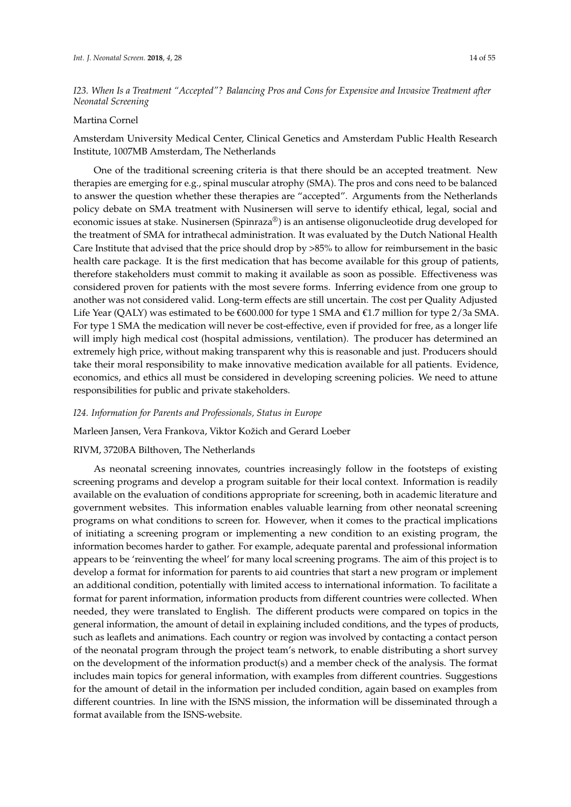# *I23. When Is a Treatment "Accepted"? Balancing Pros and Cons for Expensive and Invasive Treatment after Neonatal Screening*

### Martina Cornel

Amsterdam University Medical Center, Clinical Genetics and Amsterdam Public Health Research Institute, 1007MB Amsterdam, The Netherlands

One of the traditional screening criteria is that there should be an accepted treatment. New therapies are emerging for e.g., spinal muscular atrophy (SMA). The pros and cons need to be balanced to answer the question whether these therapies are "accepted". Arguments from the Netherlands policy debate on SMA treatment with Nusinersen will serve to identify ethical, legal, social and economic issues at stake. Nusinersen (Spinraza®) is an antisense oligonucleotide drug developed for the treatment of SMA for intrathecal administration. It was evaluated by the Dutch National Health Care Institute that advised that the price should drop by >85% to allow for reimbursement in the basic health care package. It is the first medication that has become available for this group of patients, therefore stakeholders must commit to making it available as soon as possible. Effectiveness was considered proven for patients with the most severe forms. Inferring evidence from one group to another was not considered valid. Long-term effects are still uncertain. The cost per Quality Adjusted Life Year (QALY) was estimated to be  $\epsilon$ 600.000 for type 1 SMA and  $\epsilon$ 1.7 million for type 2/3a SMA. For type 1 SMA the medication will never be cost-effective, even if provided for free, as a longer life will imply high medical cost (hospital admissions, ventilation). The producer has determined an extremely high price, without making transparent why this is reasonable and just. Producers should take their moral responsibility to make innovative medication available for all patients. Evidence, economics, and ethics all must be considered in developing screening policies. We need to attune responsibilities for public and private stakeholders.

### *I24. Information for Parents and Professionals, Status in Europe*

#### Marleen Jansen, Vera Frankova, Viktor Kožich and Gerard Loeber

#### RIVM, 3720BA Bilthoven, The Netherlands

As neonatal screening innovates, countries increasingly follow in the footsteps of existing screening programs and develop a program suitable for their local context. Information is readily available on the evaluation of conditions appropriate for screening, both in academic literature and government websites. This information enables valuable learning from other neonatal screening programs on what conditions to screen for. However, when it comes to the practical implications of initiating a screening program or implementing a new condition to an existing program, the information becomes harder to gather. For example, adequate parental and professional information appears to be 'reinventing the wheel' for many local screening programs. The aim of this project is to develop a format for information for parents to aid countries that start a new program or implement an additional condition, potentially with limited access to international information. To facilitate a format for parent information, information products from different countries were collected. When needed, they were translated to English. The different products were compared on topics in the general information, the amount of detail in explaining included conditions, and the types of products, such as leaflets and animations. Each country or region was involved by contacting a contact person of the neonatal program through the project team's network, to enable distributing a short survey on the development of the information product(s) and a member check of the analysis. The format includes main topics for general information, with examples from different countries. Suggestions for the amount of detail in the information per included condition, again based on examples from different countries. In line with the ISNS mission, the information will be disseminated through a format available from the ISNS-website.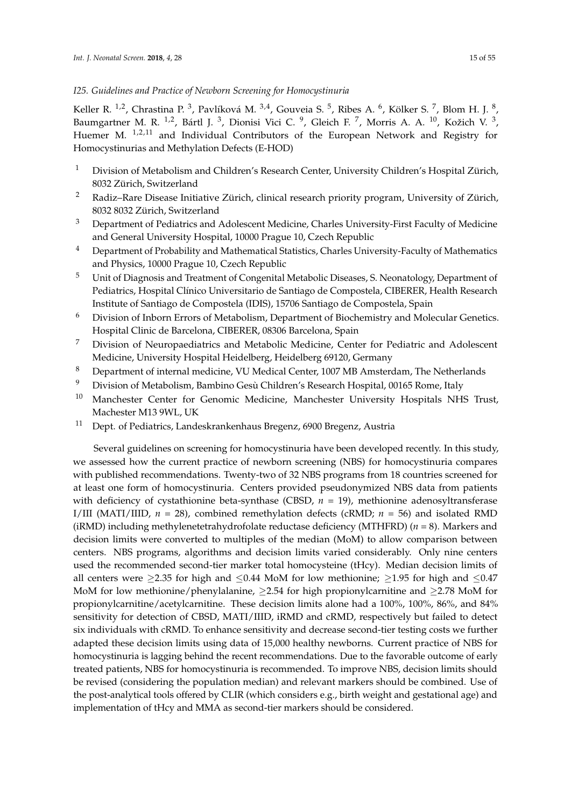# *I25. Guidelines and Practice of Newborn Screening for Homocystinuria*

Keller R. <sup>1,2</sup>, Chrastina P. <sup>3</sup>, Pavlíková M. <sup>3,4</sup>, Gouveia S. <sup>5</sup>, Ribes A. <sup>6</sup>, Kölker S. <sup>7</sup>, Blom H. J. <sup>8</sup>, Baumgartner M. R. <sup>1,2</sup>, Bártl J. <sup>3</sup>, Dionisi Vici C. <sup>9</sup>, Gleich F. <sup>7</sup>, Morris A. A. <sup>10</sup>, Kožich V. <sup>3</sup>, Huemer M.  $1,2,11$  and Individual Contributors of the European Network and Registry for Homocystinurias and Methylation Defects (E-HOD)

- <sup>1</sup> Division of Metabolism and Children's Research Center, University Children's Hospital Zürich, 8032 Zürich, Switzerland
- <sup>2</sup> Radiz–Rare Disease Initiative Zürich, clinical research priority program, University of Zürich, 8032 8032 Zürich, Switzerland
- <sup>3</sup> Department of Pediatrics and Adolescent Medicine, Charles University-First Faculty of Medicine and General University Hospital, 10000 Prague 10, Czech Republic
- <sup>4</sup> Department of Probability and Mathematical Statistics, Charles University-Faculty of Mathematics and Physics, 10000 Prague 10, Czech Republic
- <sup>5</sup> Unit of Diagnosis and Treatment of Congenital Metabolic Diseases, S. Neonatology, Department of Pediatrics, Hospital Clínico Universitario de Santiago de Compostela, CIBERER, Health Research Institute of Santiago de Compostela (IDIS), 15706 Santiago de Compostela, Spain
- <sup>6</sup> Division of Inborn Errors of Metabolism, Department of Biochemistry and Molecular Genetics. Hospital Clinic de Barcelona, CIBERER, 08306 Barcelona, Spain
- <sup>7</sup> Division of Neuropaediatrics and Metabolic Medicine, Center for Pediatric and Adolescent Medicine, University Hospital Heidelberg, Heidelberg 69120, Germany
- <sup>8</sup> Department of internal medicine, VU Medical Center, 1007 MB Amsterdam, The Netherlands
- <sup>9</sup> Division of Metabolism, Bambino Gesù Children's Research Hospital, 00165 Rome, Italy
- <sup>10</sup> Manchester Center for Genomic Medicine, Manchester University Hospitals NHS Trust, Machester M13 9WL, UK
- <sup>11</sup> Dept. of Pediatrics, Landeskrankenhaus Bregenz, 6900 Bregenz, Austria

Several guidelines on screening for homocystinuria have been developed recently. In this study, we assessed how the current practice of newborn screening (NBS) for homocystinuria compares with published recommendations. Twenty-two of 32 NBS programs from 18 countries screened for at least one form of homocystinuria. Centers provided pseudonymized NBS data from patients with deficiency of cystathionine beta-synthase (CBSD, *n* = 19), methionine adenosyltransferase I/III (MATI/IIID,  $n = 28$ ), combined remethylation defects (cRMD;  $n = 56$ ) and isolated RMD (iRMD) including methylenetetrahydrofolate reductase deficiency (MTHFRD) (*n* = 8). Markers and decision limits were converted to multiples of the median (MoM) to allow comparison between centers. NBS programs, algorithms and decision limits varied considerably. Only nine centers used the recommended second-tier marker total homocysteine (tHcy). Median decision limits of all centers were  $\geq$ 2.35 for high and  $\leq$ 0.44 MoM for low methionine;  $\geq$ 1.95 for high and  $\leq$ 0.47 MoM for low methionine/phenylalanine, ≥2.54 for high propionylcarnitine and ≥2.78 MoM for propionylcarnitine/acetylcarnitine. These decision limits alone had a 100%, 100%, 86%, and 84% sensitivity for detection of CBSD, MATI/IIID, iRMD and cRMD, respectively but failed to detect six individuals with cRMD. To enhance sensitivity and decrease second-tier testing costs we further adapted these decision limits using data of 15,000 healthy newborns. Current practice of NBS for homocystinuria is lagging behind the recent recommendations. Due to the favorable outcome of early treated patients, NBS for homocystinuria is recommended. To improve NBS, decision limits should be revised (considering the population median) and relevant markers should be combined. Use of the post-analytical tools offered by CLIR (which considers e.g., birth weight and gestational age) and implementation of tHcy and MMA as second-tier markers should be considered.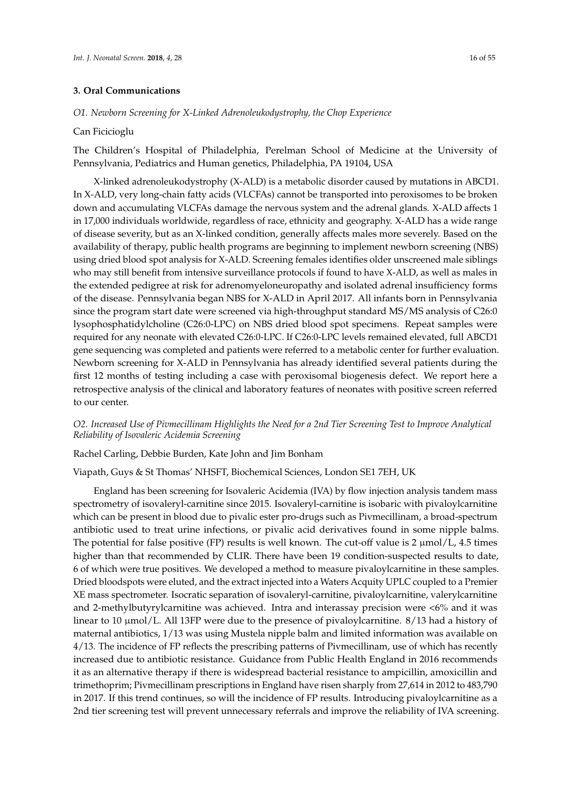### **3. Oral Communications**

#### *O1. Newborn Screening for X-Linked Adrenoleukodystrophy, the Chop Experience*

### Can Ficicioglu

The Children's Hospital of Philadelphia, Perelman School of Medicine at the University of Pennsylvania, Pediatrics and Human genetics, Philadelphia, PA 19104, USA

X-linked adrenoleukodystrophy (X-ALD) is a metabolic disorder caused by mutations in ABCD1. In X-ALD, very long-chain fatty acids (VLCFAs) cannot be transported into peroxisomes to be broken down and accumulating VLCFAs damage the nervous system and the adrenal glands. X-ALD affects 1 in 17,000 individuals worldwide, regardless of race, ethnicity and geography. X-ALD has a wide range of disease severity, but as an X-linked condition, generally affects males more severely. Based on the availability of therapy, public health programs are beginning to implement newborn screening (NBS) using dried blood spot analysis for X-ALD. Screening females identifies older unscreened male siblings who may still benefit from intensive surveillance protocols if found to have X-ALD, as well as males in the extended pedigree at risk for adrenomyeloneuropathy and isolated adrenal insufficiency forms of the disease. Pennsylvania began NBS for X-ALD in April 2017. All infants born in Pennsylvania since the program start date were screened via high-throughput standard MS/MS analysis of C26:0 lysophosphatidylcholine (C26:0-LPC) on NBS dried blood spot specimens. Repeat samples were required for any neonate with elevated C26:0-LPC. If C26:0-LPC levels remained elevated, full ABCD1 gene sequencing was completed and patients were referred to a metabolic center for further evaluation. Newborn screening for X-ALD in Pennsylvania has already identified several patients during the first 12 months of testing including a case with peroxisomal biogenesis defect. We report here a retrospective analysis of the clinical and laboratory features of neonates with positive screen referred to our center.

### *O2. Increased Use of Pivmecillinam Highlights the Need for a 2nd Tier Screening Test to Improve Analytical Reliability of Isovaleric Acidemia Screening*

#### Rachel Carling, Debbie Burden, Kate John and Jim Bonham

### Viapath, Guys & St Thomas' NHSFT, Biochemical Sciences, London SE1 7EH, UK

England has been screening for Isovaleric Acidemia (IVA) by flow injection analysis tandem mass spectrometry of isovaleryl-carnitine since 2015. Isovaleryl-carnitine is isobaric with pivaloylcarnitine which can be present in blood due to pivalic ester pro-drugs such as Pivmecillinam, a broad-spectrum antibiotic used to treat urine infections, or pivalic acid derivatives found in some nipple balms. The potential for false positive (FP) results is well known. The cut-off value is 2  $\mu$ mol/L, 4.5 times higher than that recommended by CLIR. There have been 19 condition-suspected results to date, 6 of which were true positives. We developed a method to measure pivaloylcarnitine in these samples. Dried bloodspots were eluted, and the extract injected into a Waters Acquity UPLC coupled to a Premier XE mass spectrometer. Isocratic separation of isovaleryl-carnitine, pivaloylcarnitine, valerylcarnitine and 2-methylbutyrylcarnitine was achieved. Intra and interassay precision were <6% and it was linear to 10 µmol/L. All 13FP were due to the presence of pivaloylcarnitine. 8/13 had a history of maternal antibiotics, 1/13 was using Mustela nipple balm and limited information was available on 4/13. The incidence of FP reflects the prescribing patterns of Pivmecillinam, use of which has recently increased due to antibiotic resistance. Guidance from Public Health England in 2016 recommends it as an alternative therapy if there is widespread bacterial resistance to ampicillin, amoxicillin and trimethoprim; Pivmecillinam prescriptions in England have risen sharply from 27,614 in 2012 to 483,790 in 2017. If this trend continues, so will the incidence of FP results. Introducing pivaloylcarnitine as a 2nd tier screening test will prevent unnecessary referrals and improve the reliability of IVA screening.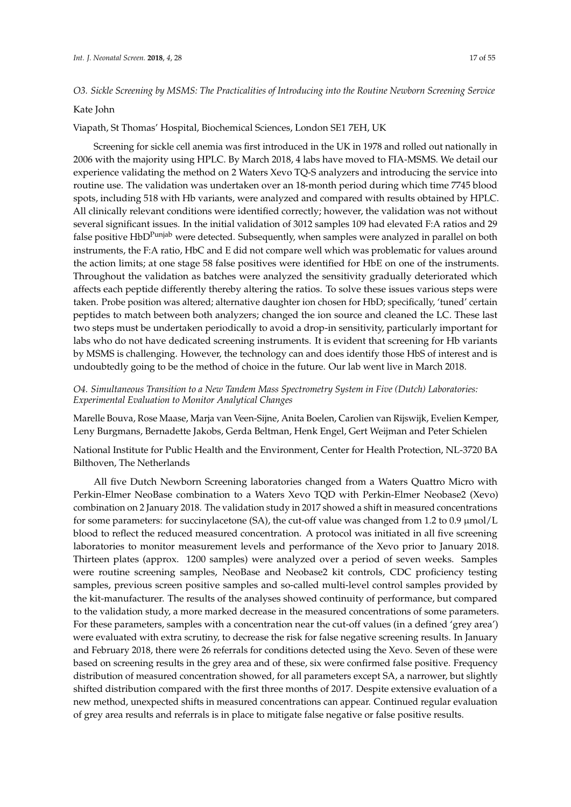# *O3. Sickle Screening by MSMS: The Practicalities of Introducing into the Routine Newborn Screening Service*

#### Kate John

Viapath, St Thomas' Hospital, Biochemical Sciences, London SE1 7EH, UK

Screening for sickle cell anemia was first introduced in the UK in 1978 and rolled out nationally in 2006 with the majority using HPLC. By March 2018, 4 labs have moved to FIA-MSMS. We detail our experience validating the method on 2 Waters Xevo TQ-S analyzers and introducing the service into routine use. The validation was undertaken over an 18-month period during which time 7745 blood spots, including 518 with Hb variants, were analyzed and compared with results obtained by HPLC. All clinically relevant conditions were identified correctly; however, the validation was not without several significant issues. In the initial validation of 3012 samples 109 had elevated F:A ratios and 29 false positive HbD<sup>Punjab</sup> were detected. Subsequently, when samples were analyzed in parallel on both instruments, the F:A ratio, HbC and E did not compare well which was problematic for values around the action limits; at one stage 58 false positives were identified for HbE on one of the instruments. Throughout the validation as batches were analyzed the sensitivity gradually deteriorated which affects each peptide differently thereby altering the ratios. To solve these issues various steps were taken. Probe position was altered; alternative daughter ion chosen for HbD; specifically, 'tuned' certain peptides to match between both analyzers; changed the ion source and cleaned the LC. These last two steps must be undertaken periodically to avoid a drop-in sensitivity, particularly important for labs who do not have dedicated screening instruments. It is evident that screening for Hb variants by MSMS is challenging. However, the technology can and does identify those HbS of interest and is undoubtedly going to be the method of choice in the future. Our lab went live in March 2018.

# *O4. Simultaneous Transition to a New Tandem Mass Spectrometry System in Five (Dutch) Laboratories: Experimental Evaluation to Monitor Analytical Changes*

Marelle Bouva, Rose Maase, Marja van Veen-Sijne, Anita Boelen, Carolien van Rijswijk, Evelien Kemper, Leny Burgmans, Bernadette Jakobs, Gerda Beltman, Henk Engel, Gert Weijman and Peter Schielen

National Institute for Public Health and the Environment, Center for Health Protection, NL-3720 BA Bilthoven, The Netherlands

All five Dutch Newborn Screening laboratories changed from a Waters Quattro Micro with Perkin-Elmer NeoBase combination to a Waters Xevo TQD with Perkin-Elmer Neobase2 (Xevo) combination on 2 January 2018. The validation study in 2017 showed a shift in measured concentrations for some parameters: for succinylacetone (SA), the cut-off value was changed from 1.2 to 0.9  $\mu$ mol/L blood to reflect the reduced measured concentration. A protocol was initiated in all five screening laboratories to monitor measurement levels and performance of the Xevo prior to January 2018. Thirteen plates (approx. 1200 samples) were analyzed over a period of seven weeks. Samples were routine screening samples, NeoBase and Neobase2 kit controls, CDC proficiency testing samples, previous screen positive samples and so-called multi-level control samples provided by the kit-manufacturer. The results of the analyses showed continuity of performance, but compared to the validation study, a more marked decrease in the measured concentrations of some parameters. For these parameters, samples with a concentration near the cut-off values (in a defined 'grey area') were evaluated with extra scrutiny, to decrease the risk for false negative screening results. In January and February 2018, there were 26 referrals for conditions detected using the Xevo. Seven of these were based on screening results in the grey area and of these, six were confirmed false positive. Frequency distribution of measured concentration showed, for all parameters except SA, a narrower, but slightly shifted distribution compared with the first three months of 2017. Despite extensive evaluation of a new method, unexpected shifts in measured concentrations can appear. Continued regular evaluation of grey area results and referrals is in place to mitigate false negative or false positive results.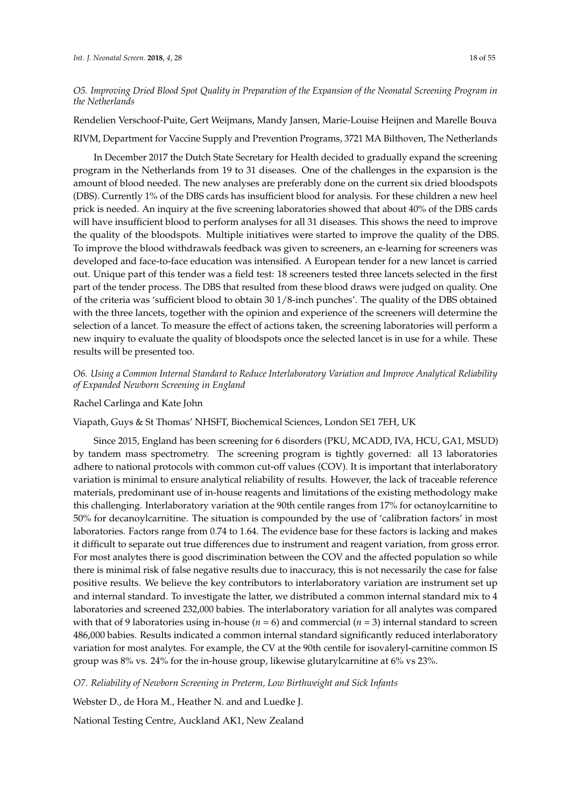### *O5. Improving Dried Blood Spot Quality in Preparation of the Expansion of the Neonatal Screening Program in the Netherlands*

Rendelien Verschoof-Puite, Gert Weijmans, Mandy Jansen, Marie-Louise Heijnen and Marelle Bouva RIVM, Department for Vaccine Supply and Prevention Programs, 3721 MA Bilthoven, The Netherlands

In December 2017 the Dutch State Secretary for Health decided to gradually expand the screening program in the Netherlands from 19 to 31 diseases. One of the challenges in the expansion is the amount of blood needed. The new analyses are preferably done on the current six dried bloodspots (DBS). Currently 1% of the DBS cards has insufficient blood for analysis. For these children a new heel prick is needed. An inquiry at the five screening laboratories showed that about 40% of the DBS cards will have insufficient blood to perform analyses for all 31 diseases. This shows the need to improve the quality of the bloodspots. Multiple initiatives were started to improve the quality of the DBS. To improve the blood withdrawals feedback was given to screeners, an e-learning for screeners was developed and face-to-face education was intensified. A European tender for a new lancet is carried out. Unique part of this tender was a field test: 18 screeners tested three lancets selected in the first part of the tender process. The DBS that resulted from these blood draws were judged on quality. One of the criteria was 'sufficient blood to obtain 30 1/8-inch punches'. The quality of the DBS obtained with the three lancets, together with the opinion and experience of the screeners will determine the selection of a lancet. To measure the effect of actions taken, the screening laboratories will perform a new inquiry to evaluate the quality of bloodspots once the selected lancet is in use for a while. These results will be presented too.

*O6. Using a Common Internal Standard to Reduce Interlaboratory Variation and Improve Analytical Reliability of Expanded Newborn Screening in England*

Rachel Carlinga and Kate John

Viapath, Guys & St Thomas' NHSFT, Biochemical Sciences, London SE1 7EH, UK

Since 2015, England has been screening for 6 disorders (PKU, MCADD, IVA, HCU, GA1, MSUD) by tandem mass spectrometry. The screening program is tightly governed: all 13 laboratories adhere to national protocols with common cut-off values (COV). It is important that interlaboratory variation is minimal to ensure analytical reliability of results. However, the lack of traceable reference materials, predominant use of in-house reagents and limitations of the existing methodology make this challenging. Interlaboratory variation at the 90th centile ranges from 17% for octanoylcarnitine to 50% for decanoylcarnitine. The situation is compounded by the use of 'calibration factors' in most laboratories. Factors range from 0.74 to 1.64. The evidence base for these factors is lacking and makes it difficult to separate out true differences due to instrument and reagent variation, from gross error. For most analytes there is good discrimination between the COV and the affected population so while there is minimal risk of false negative results due to inaccuracy, this is not necessarily the case for false positive results. We believe the key contributors to interlaboratory variation are instrument set up and internal standard. To investigate the latter, we distributed a common internal standard mix to 4 laboratories and screened 232,000 babies. The interlaboratory variation for all analytes was compared with that of 9 laboratories using in-house ( $n = 6$ ) and commercial ( $n = 3$ ) internal standard to screen 486,000 babies. Results indicated a common internal standard significantly reduced interlaboratory variation for most analytes. For example, the CV at the 90th centile for isovaleryl-carnitine common IS group was 8% vs. 24% for the in-house group, likewise glutarylcarnitine at 6% vs 23%.

*O7. Reliability of Newborn Screening in Preterm, Low Birthweight and Sick Infants*

Webster D., de Hora M., Heather N. and and Luedke J.

National Testing Centre, Auckland AK1, New Zealand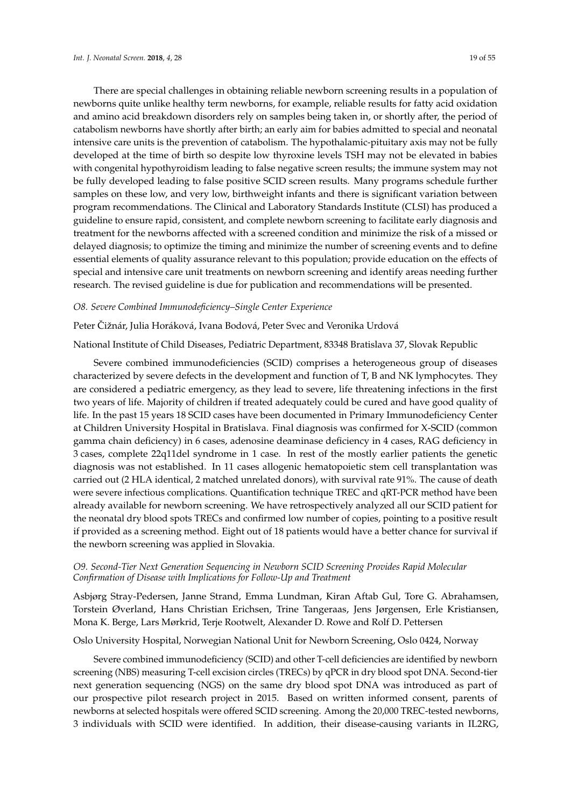There are special challenges in obtaining reliable newborn screening results in a population of newborns quite unlike healthy term newborns, for example, reliable results for fatty acid oxidation and amino acid breakdown disorders rely on samples being taken in, or shortly after, the period of catabolism newborns have shortly after birth; an early aim for babies admitted to special and neonatal intensive care units is the prevention of catabolism. The hypothalamic-pituitary axis may not be fully developed at the time of birth so despite low thyroxine levels TSH may not be elevated in babies with congenital hypothyroidism leading to false negative screen results; the immune system may not be fully developed leading to false positive SCID screen results. Many programs schedule further samples on these low, and very low, birthweight infants and there is significant variation between program recommendations. The Clinical and Laboratory Standards Institute (CLSI) has produced a guideline to ensure rapid, consistent, and complete newborn screening to facilitate early diagnosis and treatment for the newborns affected with a screened condition and minimize the risk of a missed or delayed diagnosis; to optimize the timing and minimize the number of screening events and to define essential elements of quality assurance relevant to this population; provide education on the effects of special and intensive care unit treatments on newborn screening and identify areas needing further research. The revised guideline is due for publication and recommendations will be presented.

#### *O8. Severe Combined Immunodeficiency–Single Center Experience*

Peter Čižnár, Julia Horáková, Ivana Bodová, Peter Svec and Veronika Urdová

National Institute of Child Diseases, Pediatric Department, 83348 Bratislava 37, Slovak Republic

Severe combined immunodeficiencies (SCID) comprises a heterogeneous group of diseases characterized by severe defects in the development and function of T, B and NK lymphocytes. They are considered a pediatric emergency, as they lead to severe, life threatening infections in the first two years of life. Majority of children if treated adequately could be cured and have good quality of life. In the past 15 years 18 SCID cases have been documented in Primary Immunodeficiency Center at Children University Hospital in Bratislava. Final diagnosis was confirmed for X-SCID (common gamma chain deficiency) in 6 cases, adenosine deaminase deficiency in 4 cases, RAG deficiency in 3 cases, complete 22q11del syndrome in 1 case. In rest of the mostly earlier patients the genetic diagnosis was not established. In 11 cases allogenic hematopoietic stem cell transplantation was carried out (2 HLA identical, 2 matched unrelated donors), with survival rate 91%. The cause of death were severe infectious complications. Quantification technique TREC and qRT-PCR method have been already available for newborn screening. We have retrospectively analyzed all our SCID patient for the neonatal dry blood spots TRECs and confirmed low number of copies, pointing to a positive result if provided as a screening method. Eight out of 18 patients would have a better chance for survival if the newborn screening was applied in Slovakia.

# *O9. Second-Tier Next Generation Sequencing in Newborn SCID Screening Provides Rapid Molecular Confirmation of Disease with Implications for Follow-Up and Treatment*

Asbjørg Stray-Pedersen, Janne Strand, Emma Lundman, Kiran Aftab Gul, Tore G. Abrahamsen, Torstein Øverland, Hans Christian Erichsen, Trine Tangeraas, Jens Jørgensen, Erle Kristiansen, Mona K. Berge, Lars Mørkrid, Terje Rootwelt, Alexander D. Rowe and Rolf D. Pettersen

#### Oslo University Hospital, Norwegian National Unit for Newborn Screening, Oslo 0424, Norway

Severe combined immunodeficiency (SCID) and other T-cell deficiencies are identified by newborn screening (NBS) measuring T-cell excision circles (TRECs) by qPCR in dry blood spot DNA. Second-tier next generation sequencing (NGS) on the same dry blood spot DNA was introduced as part of our prospective pilot research project in 2015. Based on written informed consent, parents of newborns at selected hospitals were offered SCID screening. Among the 20,000 TREC-tested newborns, 3 individuals with SCID were identified. In addition, their disease-causing variants in IL2RG,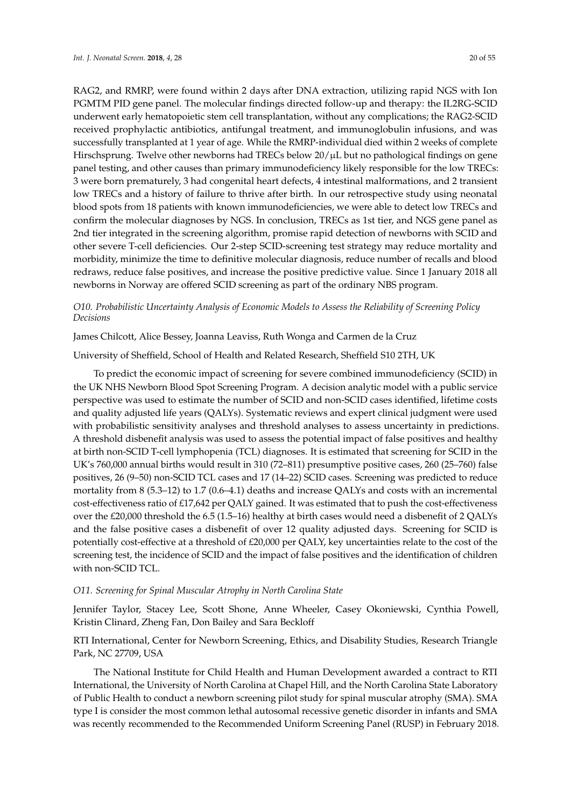RAG2, and RMRP, were found within 2 days after DNA extraction, utilizing rapid NGS with Ion PGMTM PID gene panel. The molecular findings directed follow-up and therapy: the IL2RG-SCID underwent early hematopoietic stem cell transplantation, without any complications; the RAG2-SCID received prophylactic antibiotics, antifungal treatment, and immunoglobulin infusions, and was successfully transplanted at 1 year of age. While the RMRP-individual died within 2 weeks of complete Hirschsprung. Twelve other newborns had TRECs below  $20/\mu L$  but no pathological findings on gene panel testing, and other causes than primary immunodeficiency likely responsible for the low TRECs: 3 were born prematurely, 3 had congenital heart defects, 4 intestinal malformations, and 2 transient low TRECs and a history of failure to thrive after birth. In our retrospective study using neonatal blood spots from 18 patients with known immunodeficiencies, we were able to detect low TRECs and confirm the molecular diagnoses by NGS. In conclusion, TRECs as 1st tier, and NGS gene panel as 2nd tier integrated in the screening algorithm, promise rapid detection of newborns with SCID and other severe T-cell deficiencies. Our 2-step SCID-screening test strategy may reduce mortality and morbidity, minimize the time to definitive molecular diagnosis, reduce number of recalls and blood redraws, reduce false positives, and increase the positive predictive value. Since 1 January 2018 all newborns in Norway are offered SCID screening as part of the ordinary NBS program.

# *O10. Probabilistic Uncertainty Analysis of Economic Models to Assess the Reliability of Screening Policy Decisions*

James Chilcott, Alice Bessey, Joanna Leaviss, Ruth Wonga and Carmen de la Cruz

University of Sheffield, School of Health and Related Research, Sheffield S10 2TH, UK

To predict the economic impact of screening for severe combined immunodeficiency (SCID) in the UK NHS Newborn Blood Spot Screening Program. A decision analytic model with a public service perspective was used to estimate the number of SCID and non-SCID cases identified, lifetime costs and quality adjusted life years (QALYs). Systematic reviews and expert clinical judgment were used with probabilistic sensitivity analyses and threshold analyses to assess uncertainty in predictions. A threshold disbenefit analysis was used to assess the potential impact of false positives and healthy at birth non-SCID T-cell lymphopenia (TCL) diagnoses. It is estimated that screening for SCID in the UK's 760,000 annual births would result in 310 (72–811) presumptive positive cases, 260 (25–760) false positives, 26 (9–50) non-SCID TCL cases and 17 (14–22) SCID cases. Screening was predicted to reduce mortality from 8 (5.3–12) to 1.7 (0.6–4.1) deaths and increase QALYs and costs with an incremental cost-effectiveness ratio of £17,642 per QALY gained. It was estimated that to push the cost-effectiveness over the £20,000 threshold the 6.5 (1.5–16) healthy at birth cases would need a disbenefit of 2 QALYs and the false positive cases a disbenefit of over 12 quality adjusted days. Screening for SCID is potentially cost-effective at a threshold of £20,000 per QALY, key uncertainties relate to the cost of the screening test, the incidence of SCID and the impact of false positives and the identification of children with non-SCID TCL.

### *O11. Screening for Spinal Muscular Atrophy in North Carolina State*

Jennifer Taylor, Stacey Lee, Scott Shone, Anne Wheeler, Casey Okoniewski, Cynthia Powell, Kristin Clinard, Zheng Fan, Don Bailey and Sara Beckloff

RTI International, Center for Newborn Screening, Ethics, and Disability Studies, Research Triangle Park, NC 27709, USA

The National Institute for Child Health and Human Development awarded a contract to RTI International, the University of North Carolina at Chapel Hill, and the North Carolina State Laboratory of Public Health to conduct a newborn screening pilot study for spinal muscular atrophy (SMA). SMA type I is consider the most common lethal autosomal recessive genetic disorder in infants and SMA was recently recommended to the Recommended Uniform Screening Panel (RUSP) in February 2018.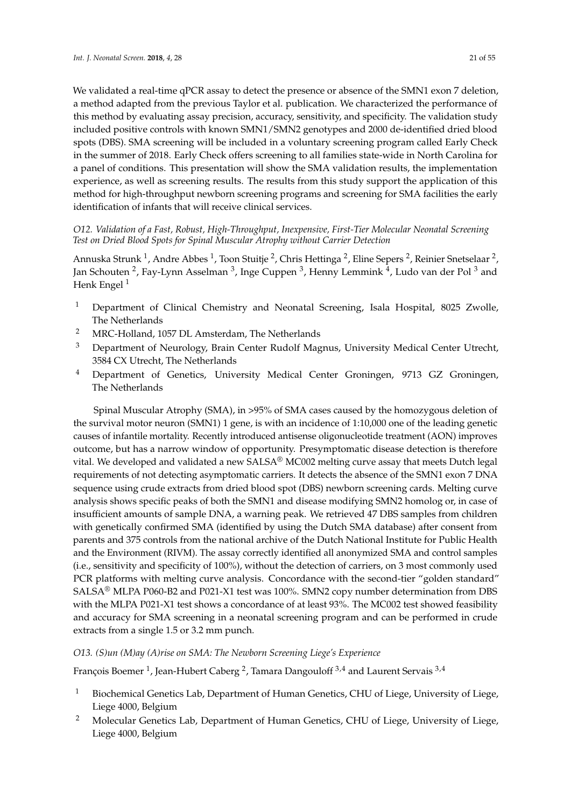We validated a real-time qPCR assay to detect the presence or absence of the SMN1 exon 7 deletion, a method adapted from the previous Taylor et al. publication. We characterized the performance of this method by evaluating assay precision, accuracy, sensitivity, and specificity. The validation study included positive controls with known SMN1/SMN2 genotypes and 2000 de-identified dried blood spots (DBS). SMA screening will be included in a voluntary screening program called Early Check in the summer of 2018. Early Check offers screening to all families state-wide in North Carolina for a panel of conditions. This presentation will show the SMA validation results, the implementation experience, as well as screening results. The results from this study support the application of this method for high-throughput newborn screening programs and screening for SMA facilities the early identification of infants that will receive clinical services.

# *O12. Validation of a Fast, Robust, High-Throughput, Inexpensive, First-Tier Molecular Neonatal Screening Test on Dried Blood Spots for Spinal Muscular Atrophy without Carrier Detection*

Annuska Strunk <sup>1</sup>, Andre Abbes <sup>1</sup>, Toon Stuitje <sup>2</sup>, Chris Hettinga <sup>2</sup>, Eline Sepers <sup>2</sup>, Reinier Snetselaar <sup>2</sup>, Jan Schouten <sup>2</sup>, Fay-Lynn Asselman <sup>3</sup>, Inge Cuppen <sup>3</sup>, Henny Lemmink <sup>4</sup>, Ludo van der Pol <sup>3</sup> and Henk Engel  $<sup>1</sup>$ </sup>

- <sup>1</sup> Department of Clinical Chemistry and Neonatal Screening, Isala Hospital, 8025 Zwolle, The Netherlands
- <sup>2</sup> MRC-Holland, 1057 DL Amsterdam, The Netherlands
- <sup>3</sup> Department of Neurology, Brain Center Rudolf Magnus, University Medical Center Utrecht, 3584 CX Utrecht, The Netherlands
- <sup>4</sup> Department of Genetics, University Medical Center Groningen, 9713 GZ Groningen, The Netherlands

Spinal Muscular Atrophy (SMA), in >95% of SMA cases caused by the homozygous deletion of the survival motor neuron (SMN1) 1 gene, is with an incidence of 1:10,000 one of the leading genetic causes of infantile mortality. Recently introduced antisense oligonucleotide treatment (AON) improves outcome, but has a narrow window of opportunity. Presymptomatic disease detection is therefore vital. We developed and validated a new SALSA<sup>®</sup> MC002 melting curve assay that meets Dutch legal requirements of not detecting asymptomatic carriers. It detects the absence of the SMN1 exon 7 DNA sequence using crude extracts from dried blood spot (DBS) newborn screening cards. Melting curve analysis shows specific peaks of both the SMN1 and disease modifying SMN2 homolog or, in case of insufficient amounts of sample DNA, a warning peak. We retrieved 47 DBS samples from children with genetically confirmed SMA (identified by using the Dutch SMA database) after consent from parents and 375 controls from the national archive of the Dutch National Institute for Public Health and the Environment (RIVM). The assay correctly identified all anonymized SMA and control samples (i.e., sensitivity and specificity of 100%), without the detection of carriers, on 3 most commonly used PCR platforms with melting curve analysis. Concordance with the second-tier "golden standard" SALSA® MLPA P060-B2 and P021-X1 test was 100%. SMN2 copy number determination from DBS with the MLPA P021-X1 test shows a concordance of at least 93%. The MC002 test showed feasibility and accuracy for SMA screening in a neonatal screening program and can be performed in crude extracts from a single 1.5 or 3.2 mm punch.

### *O13. (S)un (M)ay (A)rise on SMA: The Newborn Screening Liege's Experience*

François Boemer <sup>1</sup>, Jean-Hubert Caberg <sup>2</sup>, Tamara Dangouloff  $^{3,4}$  and Laurent Servais  $^{3,4}$ 

- <sup>1</sup> Biochemical Genetics Lab, Department of Human Genetics, CHU of Liege, University of Liege, Liege 4000, Belgium
- <sup>2</sup> Molecular Genetics Lab, Department of Human Genetics, CHU of Liege, University of Liege, Liege 4000, Belgium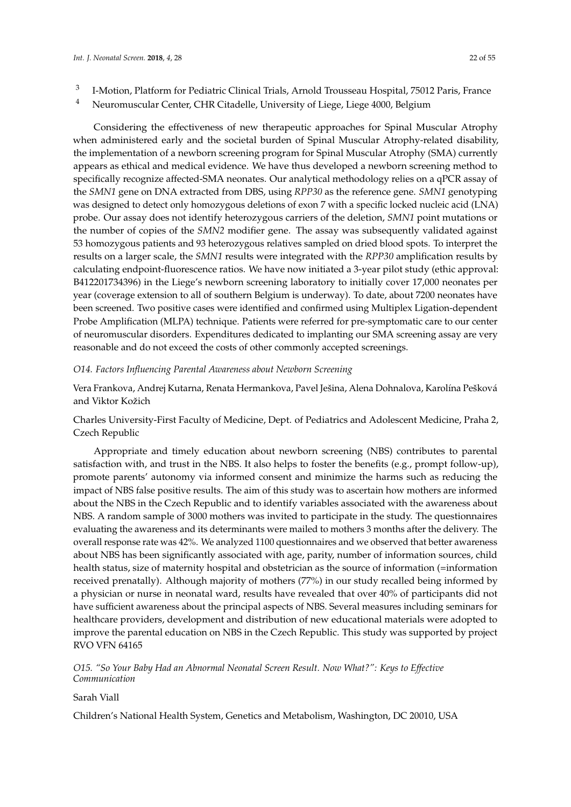- 3 I-Motion, Platform for Pediatric Clinical Trials, Arnold Trousseau Hospital, 75012 Paris, France
- <sup>4</sup> Neuromuscular Center, CHR Citadelle, University of Liege, Liege 4000, Belgium

Considering the effectiveness of new therapeutic approaches for Spinal Muscular Atrophy when administered early and the societal burden of Spinal Muscular Atrophy-related disability, the implementation of a newborn screening program for Spinal Muscular Atrophy (SMA) currently appears as ethical and medical evidence. We have thus developed a newborn screening method to specifically recognize affected-SMA neonates. Our analytical methodology relies on a qPCR assay of the *SMN1* gene on DNA extracted from DBS, using *RPP30* as the reference gene. *SMN1* genotyping was designed to detect only homozygous deletions of exon 7 with a specific locked nucleic acid (LNA) probe. Our assay does not identify heterozygous carriers of the deletion, *SMN1* point mutations or the number of copies of the *SMN2* modifier gene. The assay was subsequently validated against 53 homozygous patients and 93 heterozygous relatives sampled on dried blood spots. To interpret the results on a larger scale, the *SMN1* results were integrated with the *RPP30* amplification results by calculating endpoint-fluorescence ratios. We have now initiated a 3-year pilot study (ethic approval: B412201734396) in the Liege's newborn screening laboratory to initially cover 17,000 neonates per year (coverage extension to all of southern Belgium is underway). To date, about 7200 neonates have been screened. Two positive cases were identified and confirmed using Multiplex Ligation-dependent Probe Amplification (MLPA) technique. Patients were referred for pre-symptomatic care to our center of neuromuscular disorders. Expenditures dedicated to implanting our SMA screening assay are very reasonable and do not exceed the costs of other commonly accepted screenings.

#### *O14. Factors Influencing Parental Awareness about Newborn Screening*

Vera Frankova, Andrej Kutarna, Renata Hermankova, Pavel Ješina, Alena Dohnalova, Karolína Pešková and Viktor Kožich

Charles University-First Faculty of Medicine, Dept. of Pediatrics and Adolescent Medicine, Praha 2, Czech Republic

Appropriate and timely education about newborn screening (NBS) contributes to parental satisfaction with, and trust in the NBS. It also helps to foster the benefits (e.g., prompt follow-up), promote parents' autonomy via informed consent and minimize the harms such as reducing the impact of NBS false positive results. The aim of this study was to ascertain how mothers are informed about the NBS in the Czech Republic and to identify variables associated with the awareness about NBS. A random sample of 3000 mothers was invited to participate in the study. The questionnaires evaluating the awareness and its determinants were mailed to mothers 3 months after the delivery. The overall response rate was 42%. We analyzed 1100 questionnaires and we observed that better awareness about NBS has been significantly associated with age, parity, number of information sources, child health status, size of maternity hospital and obstetrician as the source of information (=information received prenatally). Although majority of mothers (77%) in our study recalled being informed by a physician or nurse in neonatal ward, results have revealed that over 40% of participants did not have sufficient awareness about the principal aspects of NBS. Several measures including seminars for healthcare providers, development and distribution of new educational materials were adopted to improve the parental education on NBS in the Czech Republic. This study was supported by project RVO VFN 64165

### *O15. "So Your Baby Had an Abnormal Neonatal Screen Result. Now What?": Keys to Effective Communication*

# Sarah Viall

Children's National Health System, Genetics and Metabolism, Washington, DC 20010, USA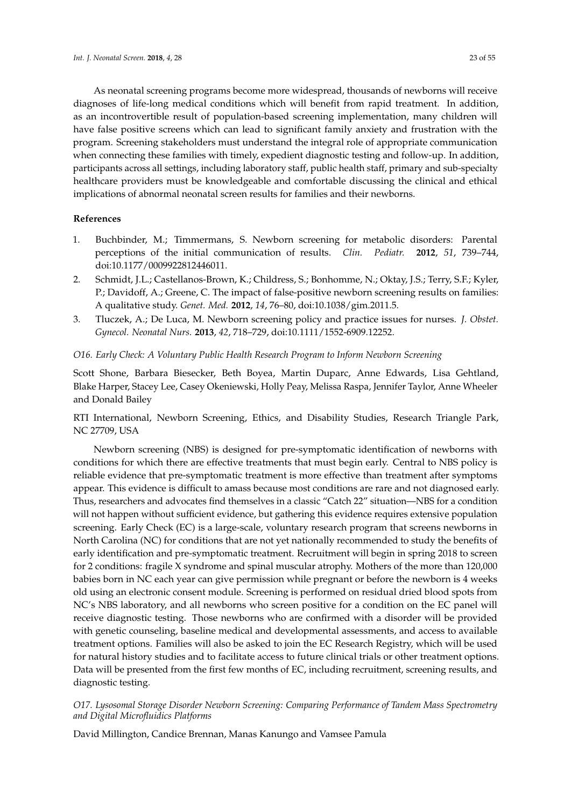As neonatal screening programs become more widespread, thousands of newborns will receive diagnoses of life-long medical conditions which will benefit from rapid treatment. In addition, as an incontrovertible result of population-based screening implementation, many children will have false positive screens which can lead to significant family anxiety and frustration with the program. Screening stakeholders must understand the integral role of appropriate communication when connecting these families with timely, expedient diagnostic testing and follow-up. In addition, participants across all settings, including laboratory staff, public health staff, primary and sub-specialty healthcare providers must be knowledgeable and comfortable discussing the clinical and ethical implications of abnormal neonatal screen results for families and their newborns.

# **References**

- 1. Buchbinder, M.; Timmermans, S. Newborn screening for metabolic disorders: Parental perceptions of the initial communication of results. *Clin. Pediatr.* **2012**, *51*, 739–744, doi:10.1177/0009922812446011.
- 2. Schmidt, J.L.; Castellanos-Brown, K.; Childress, S.; Bonhomme, N.; Oktay, J.S.; Terry, S.F.; Kyler, P.; Davidoff, A.; Greene, C. The impact of false-positive newborn screening results on families: A qualitative study. *Genet. Med.* **2012**, *14*, 76–80, doi:10.1038/gim.2011.5.
- 3. Tluczek, A.; De Luca, M. Newborn screening policy and practice issues for nurses. *J. Obstet. Gynecol. Neonatal Nurs.* **2013**, *42*, 718–729, doi:10.1111/1552-6909.12252.

# *O16. Early Check: A Voluntary Public Health Research Program to Inform Newborn Screening*

Scott Shone, Barbara Biesecker, Beth Boyea, Martin Duparc, Anne Edwards, Lisa Gehtland, Blake Harper, Stacey Lee, Casey Okeniewski, Holly Peay, Melissa Raspa, Jennifer Taylor, Anne Wheeler and Donald Bailey

RTI International, Newborn Screening, Ethics, and Disability Studies, Research Triangle Park, NC 27709, USA

Newborn screening (NBS) is designed for pre-symptomatic identification of newborns with conditions for which there are effective treatments that must begin early. Central to NBS policy is reliable evidence that pre-symptomatic treatment is more effective than treatment after symptoms appear. This evidence is difficult to amass because most conditions are rare and not diagnosed early. Thus, researchers and advocates find themselves in a classic "Catch 22" situation—NBS for a condition will not happen without sufficient evidence, but gathering this evidence requires extensive population screening. Early Check (EC) is a large-scale, voluntary research program that screens newborns in North Carolina (NC) for conditions that are not yet nationally recommended to study the benefits of early identification and pre-symptomatic treatment. Recruitment will begin in spring 2018 to screen for 2 conditions: fragile X syndrome and spinal muscular atrophy. Mothers of the more than 120,000 babies born in NC each year can give permission while pregnant or before the newborn is 4 weeks old using an electronic consent module. Screening is performed on residual dried blood spots from NC's NBS laboratory, and all newborns who screen positive for a condition on the EC panel will receive diagnostic testing. Those newborns who are confirmed with a disorder will be provided with genetic counseling, baseline medical and developmental assessments, and access to available treatment options. Families will also be asked to join the EC Research Registry, which will be used for natural history studies and to facilitate access to future clinical trials or other treatment options. Data will be presented from the first few months of EC, including recruitment, screening results, and diagnostic testing.

# *O17. Lysosomal Storage Disorder Newborn Screening: Comparing Performance of Tandem Mass Spectrometry and Digital Microfluidics Platforms*

David Millington, Candice Brennan, Manas Kanungo and Vamsee Pamula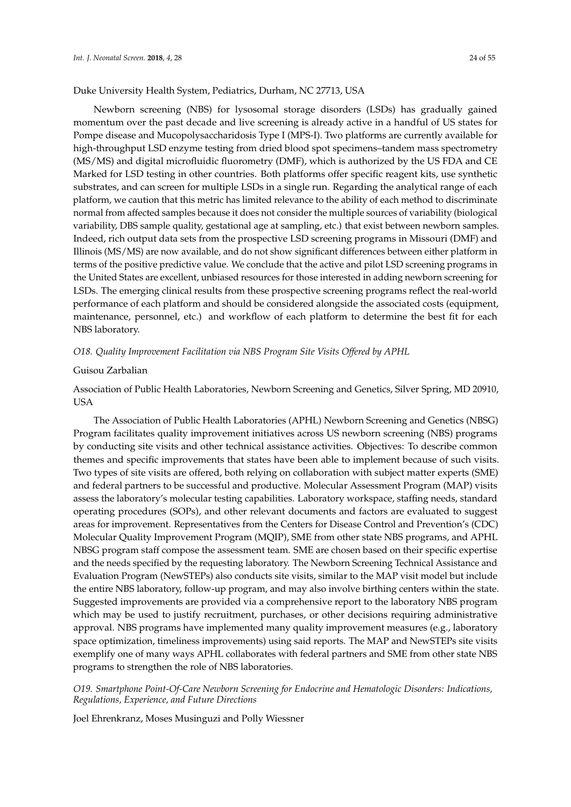#### Duke University Health System, Pediatrics, Durham, NC 27713, USA

Newborn screening (NBS) for lysosomal storage disorders (LSDs) has gradually gained momentum over the past decade and live screening is already active in a handful of US states for Pompe disease and Mucopolysaccharidosis Type I (MPS-I). Two platforms are currently available for high-throughput LSD enzyme testing from dried blood spot specimens–tandem mass spectrometry (MS/MS) and digital microfluidic fluorometry (DMF), which is authorized by the US FDA and CE Marked for LSD testing in other countries. Both platforms offer specific reagent kits, use synthetic substrates, and can screen for multiple LSDs in a single run. Regarding the analytical range of each platform, we caution that this metric has limited relevance to the ability of each method to discriminate normal from affected samples because it does not consider the multiple sources of variability (biological variability, DBS sample quality, gestational age at sampling, etc.) that exist between newborn samples. Indeed, rich output data sets from the prospective LSD screening programs in Missouri (DMF) and Illinois (MS/MS) are now available, and do not show significant differences between either platform in terms of the positive predictive value. We conclude that the active and pilot LSD screening programs in the United States are excellent, unbiased resources for those interested in adding newborn screening for LSDs. The emerging clinical results from these prospective screening programs reflect the real-world performance of each platform and should be considered alongside the associated costs (equipment, maintenance, personnel, etc.) and workflow of each platform to determine the best fit for each NBS laboratory.

### *O18. Quality Improvement Facilitation via NBS Program Site Visits Offered by APHL*

#### Guisou Zarbalian

Association of Public Health Laboratories, Newborn Screening and Genetics, Silver Spring, MD 20910, USA

The Association of Public Health Laboratories (APHL) Newborn Screening and Genetics (NBSG) Program facilitates quality improvement initiatives across US newborn screening (NBS) programs by conducting site visits and other technical assistance activities. Objectives: To describe common themes and specific improvements that states have been able to implement because of such visits. Two types of site visits are offered, both relying on collaboration with subject matter experts (SME) and federal partners to be successful and productive. Molecular Assessment Program (MAP) visits assess the laboratory's molecular testing capabilities. Laboratory workspace, staffing needs, standard operating procedures (SOPs), and other relevant documents and factors are evaluated to suggest areas for improvement. Representatives from the Centers for Disease Control and Prevention's (CDC) Molecular Quality Improvement Program (MQIP), SME from other state NBS programs, and APHL NBSG program staff compose the assessment team. SME are chosen based on their specific expertise and the needs specified by the requesting laboratory. The Newborn Screening Technical Assistance and Evaluation Program (NewSTEPs) also conducts site visits, similar to the MAP visit model but include the entire NBS laboratory, follow-up program, and may also involve birthing centers within the state. Suggested improvements are provided via a comprehensive report to the laboratory NBS program which may be used to justify recruitment, purchases, or other decisions requiring administrative approval. NBS programs have implemented many quality improvement measures (e.g., laboratory space optimization, timeliness improvements) using said reports. The MAP and NewSTEPs site visits exemplify one of many ways APHL collaborates with federal partners and SME from other state NBS programs to strengthen the role of NBS laboratories.

*O19. Smartphone Point-Of-Care Newborn Screening for Endocrine and Hematologic Disorders: Indications, Regulations, Experience, and Future Directions*

Joel Ehrenkranz, Moses Musinguzi and Polly Wiessner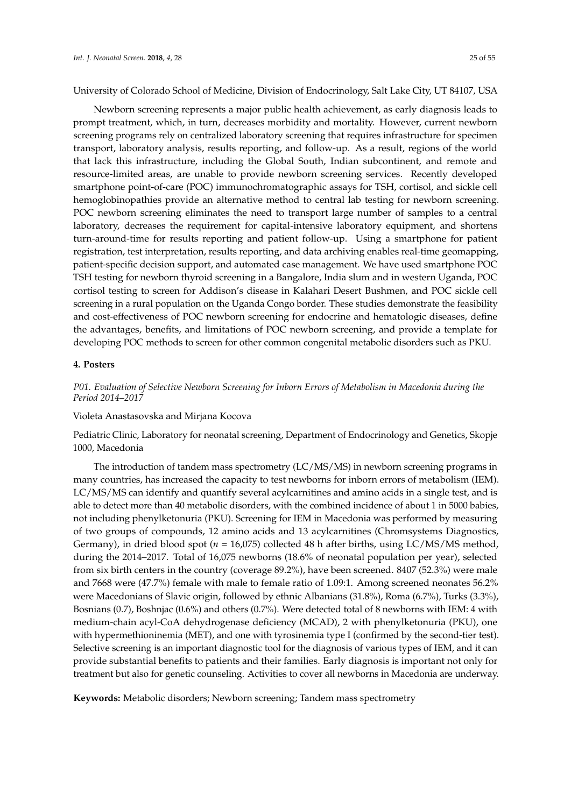#### University of Colorado School of Medicine, Division of Endocrinology, Salt Lake City, UT 84107, USA

Newborn screening represents a major public health achievement, as early diagnosis leads to prompt treatment, which, in turn, decreases morbidity and mortality. However, current newborn screening programs rely on centralized laboratory screening that requires infrastructure for specimen transport, laboratory analysis, results reporting, and follow-up. As a result, regions of the world that lack this infrastructure, including the Global South, Indian subcontinent, and remote and resource-limited areas, are unable to provide newborn screening services. Recently developed smartphone point-of-care (POC) immunochromatographic assays for TSH, cortisol, and sickle cell hemoglobinopathies provide an alternative method to central lab testing for newborn screening. POC newborn screening eliminates the need to transport large number of samples to a central laboratory, decreases the requirement for capital-intensive laboratory equipment, and shortens turn-around-time for results reporting and patient follow-up. Using a smartphone for patient registration, test interpretation, results reporting, and data archiving enables real-time geomapping, patient-specific decision support, and automated case management. We have used smartphone POC TSH testing for newborn thyroid screening in a Bangalore, India slum and in western Uganda, POC cortisol testing to screen for Addison's disease in Kalahari Desert Bushmen, and POC sickle cell screening in a rural population on the Uganda Congo border. These studies demonstrate the feasibility and cost-effectiveness of POC newborn screening for endocrine and hematologic diseases, define the advantages, benefits, and limitations of POC newborn screening, and provide a template for developing POC methods to screen for other common congenital metabolic disorders such as PKU.

#### **4. Posters**

### *P01. Evaluation of Selective Newborn Screening for Inborn Errors of Metabolism in Macedonia during the Period 2014–2017*

#### Violeta Anastasovska and Mirjana Kocova

Pediatric Clinic, Laboratory for neonatal screening, Department of Endocrinology and Genetics, Skopje 1000, Macedonia

The introduction of tandem mass spectrometry (LC/MS/MS) in newborn screening programs in many countries, has increased the capacity to test newborns for inborn errors of metabolism (IEM). LC/MS/MS can identify and quantify several acylcarnitines and amino acids in a single test, and is able to detect more than 40 metabolic disorders, with the combined incidence of about 1 in 5000 babies, not including phenylketonuria (PKU). Screening for IEM in Macedonia was performed by measuring of two groups of compounds, 12 amino acids and 13 acylcarnitines (Chromsystems Diagnostics, Germany), in dried blood spot (*n* = 16,075) collected 48 h after births, using LC/MS/MS method, during the 2014–2017. Total of 16,075 newborns (18.6% of neonatal population per year), selected from six birth centers in the country (coverage 89.2%), have been screened. 8407 (52.3%) were male and 7668 were (47.7%) female with male to female ratio of 1.09:1. Among screened neonates 56.2% were Macedonians of Slavic origin, followed by ethnic Albanians (31.8%), Roma (6.7%), Turks (3.3%), Bosnians (0.7), Boshnjac (0.6%) and others (0.7%). Were detected total of 8 newborns with IEM: 4 with medium-chain acyl-CoA dehydrogenase deficiency (MCAD), 2 with phenylketonuria (PKU), one with hypermethioninemia (MET), and one with tyrosinemia type I (confirmed by the second-tier test). Selective screening is an important diagnostic tool for the diagnosis of various types of IEM, and it can provide substantial benefits to patients and their families. Early diagnosis is important not only for treatment but also for genetic counseling. Activities to cover all newborns in Macedonia are underway.

**Keywords:** Metabolic disorders; Newborn screening; Tandem mass spectrometry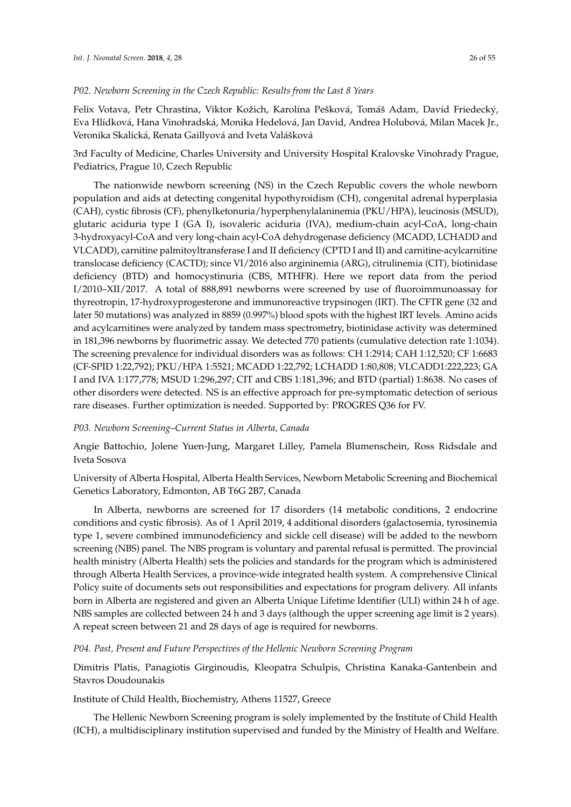### *P02. Newborn Screening in the Czech Republic: Results from the Last 8 Years*

Felix Votava, Petr Chrastina, Viktor Kožich, Karolína Pešková, Tomáš Adam, David Friedecký, Eva Hlídková, Hana Vinohradská, Monika Hedelová, Jan David, Andrea Holubová, Milan Macek Jr., Veronika Skalická, Renata Gaillyová and Iveta Valášková

3rd Faculty of Medicine, Charles University and University Hospital Kralovske Vinohrady Prague, Pediatrics, Prague 10, Czech Republic

The nationwide newborn screening (NS) in the Czech Republic covers the whole newborn population and aids at detecting congenital hypothyroidism (CH), congenital adrenal hyperplasia (CAH), cystic fibrosis (CF), phenylketonuria/hyperphenylalaninemia (PKU/HPA), leucinosis (MSUD), glutaric aciduria type I (GA I), isovaleric aciduria (IVA), medium-chain acyl-CoA, long-chain 3-hydroxyacyl-CoA and very long-chain acyl-CoA dehydrogenase deficiency (MCADD, LCHADD and VLCADD), carnitine palmitoyltransferase I and II deficiency (CPTD I and II) and carnitine-acylcarnitine translocase deficiency (CACTD); since VI/2016 also argininemia (ARG), citrulinemia (CIT), biotinidase deficiency (BTD) and homocystinuria (CBS, MTHFR). Here we report data from the period I/2010–XII/2017. A total of 888,891 newborns were screened by use of fluoroimmunoassay for thyreotropin, 17-hydroxyprogesterone and immunoreactive trypsinogen (IRT). The CFTR gene (32 and later 50 mutations) was analyzed in 8859 (0.997%) blood spots with the highest IRT levels. Amino acids and acylcarnitines were analyzed by tandem mass spectrometry, biotinidase activity was determined in 181,396 newborns by fluorimetric assay. We detected 770 patients (cumulative detection rate 1:1034). The screening prevalence for individual disorders was as follows: CH 1:2914; CAH 1:12,520; CF 1:6683 (CF-SPID 1:22,792); PKU/HPA 1:5521; MCADD 1:22,792; LCHADD 1:80,808; VLCADD1:222,223; GA I and IVA 1:177,778; MSUD 1:296,297; CIT and CBS 1:181,396; and BTD (partial) 1:8638. No cases of other disorders were detected. NS is an effective approach for pre-symptomatic detection of serious rare diseases. Further optimization is needed. Supported by: PROGRES Q36 for FV.

#### *P03. Newborn Screening–Current Status in Alberta, Canada*

Angie Battochio, Jolene Yuen-Jung, Margaret Lilley, Pamela Blumenschein, Ross Ridsdale and Iveta Sosova

University of Alberta Hospital, Alberta Health Services, Newborn Metabolic Screening and Biochemical Genetics Laboratory, Edmonton, AB T6G 2B7, Canada

In Alberta, newborns are screened for 17 disorders (14 metabolic conditions, 2 endocrine conditions and cystic fibrosis). As of 1 April 2019, 4 additional disorders (galactosemia, tyrosinemia type 1, severe combined immunodeficiency and sickle cell disease) will be added to the newborn screening (NBS) panel. The NBS program is voluntary and parental refusal is permitted. The provincial health ministry (Alberta Health) sets the policies and standards for the program which is administered through Alberta Health Services, a province-wide integrated health system. A comprehensive Clinical Policy suite of documents sets out responsibilities and expectations for program delivery. All infants born in Alberta are registered and given an Alberta Unique Lifetime Identifier (ULI) within 24 h of age. NBS samples are collected between 24 h and 3 days (although the upper screening age limit is 2 years). A repeat screen between 21 and 28 days of age is required for newborns.

*P04. Past, Present and Future Perspectives of the Hellenic Newborn Screening Program*

Dimitris Platis, Panagiotis Girginoudis, Kleopatra Schulpis, Christina Kanaka-Gantenbein and Stavros Doudounakis

### Institute of Child Health, Biochemistry, Athens 11527, Greece

The Hellenic Newborn Screening program is solely implemented by the Institute of Child Health (ICH), a multidisciplinary institution supervised and funded by the Ministry of Health and Welfare.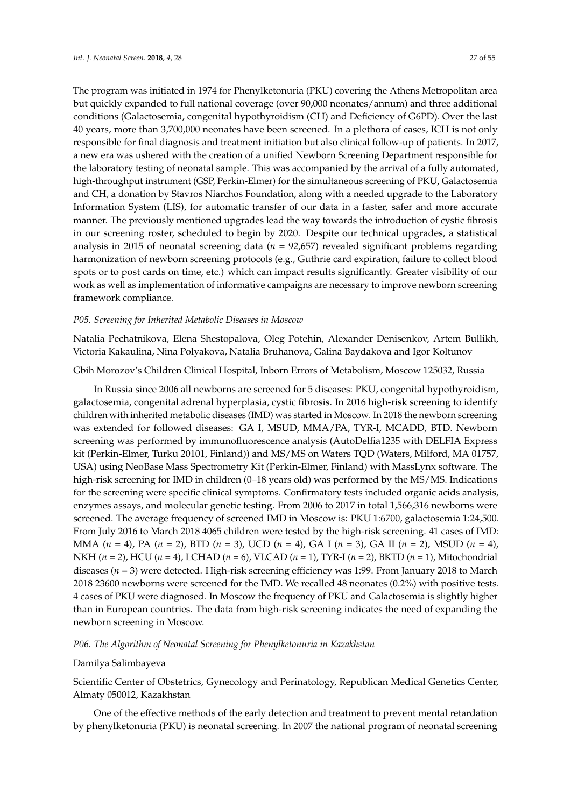The program was initiated in 1974 for Phenylketonuria (PKU) covering the Athens Metropolitan area but quickly expanded to full national coverage (over 90,000 neonates/annum) and three additional conditions (Galactosemia, congenital hypothyroidism (CH) and Deficiency of G6PD). Over the last 40 years, more than 3,700,000 neonates have been screened. In a plethora of cases, ICH is not only responsible for final diagnosis and treatment initiation but also clinical follow-up of patients. In 2017, a new era was ushered with the creation of a unified Newborn Screening Department responsible for the laboratory testing of neonatal sample. This was accompanied by the arrival of a fully automated, high-throughput instrument (GSP, Perkin-Elmer) for the simultaneous screening of PKU, Galactosemia and CH, a donation by Stavros Niarchos Foundation, along with a needed upgrade to the Laboratory Information System (LIS), for automatic transfer of our data in a faster, safer and more accurate manner. The previously mentioned upgrades lead the way towards the introduction of cystic fibrosis in our screening roster, scheduled to begin by 2020. Despite our technical upgrades, a statistical analysis in 2015 of neonatal screening data (*n* = 92,657) revealed significant problems regarding harmonization of newborn screening protocols (e.g., Guthrie card expiration, failure to collect blood spots or to post cards on time, etc.) which can impact results significantly. Greater visibility of our work as well as implementation of informative campaigns are necessary to improve newborn screening framework compliance.

#### *P05. Screening for Inherited Metabolic Diseases in Moscow*

Natalia Pechatnikova, Elena Shestopalova, Oleg Potehin, Alexander Denisenkov, Artem Bullikh, Victoria Kakaulina, Nina Polyakova, Natalia Bruhanova, Galina Baydakova and Igor Koltunov

Gbih Morozov's Children Clinical Hospital, Inborn Errors of Metabolism, Moscow 125032, Russia

In Russia since 2006 all newborns are screened for 5 diseases: PKU, congenital hypothyroidism, galactosemia, congenital adrenal hyperplasia, cystic fibrosis. In 2016 high-risk screening to identify children with inherited metabolic diseases (IMD) was started in Moscow. In 2018 the newborn screening was extended for followed diseases: GA I, MSUD, MMA/PA, TYR-I, MCADD, BTD. Newborn screening was performed by immunofluorescence analysis (AutoDelfia1235 with DELFIA Express kit (Perkin-Elmer, Turku 20101, Finland)) and MS/MS on Waters TQD (Waters, Milford, MA 01757, USA) using NeoBase Mass Spectrometry Kit (Perkin-Elmer, Finland) with MassLynx software. The high-risk screening for IMD in children (0–18 years old) was performed by the MS/MS. Indications for the screening were specific clinical symptoms. Confirmatory tests included organic acids analysis, enzymes assays, and molecular genetic testing. From 2006 to 2017 in total 1,566,316 newborns were screened. The average frequency of screened IMD in Moscow is: PKU 1:6700, galactosemia 1:24,500. From July 2016 to March 2018 4065 children were tested by the high-risk screening. 41 cases of IMD: MMA (*n* = 4), PA (*n* = 2), BTD (*n* = 3), UCD (*n* = 4), GA I (*n* = 3), GA II (*n* = 2), MSUD (*n* = 4), NKH (*n* = 2), HCU (*n* = 4), LCHAD (*n* = 6), VLCAD (*n* = 1), TYR-I (*n* = 2), BKTD (*n* = 1), Mitochondrial diseases (*n* = 3) were detected. High-risk screening efficiency was 1:99. From January 2018 to March 2018 23600 newborns were screened for the IMD. We recalled 48 neonates (0.2%) with positive tests. 4 cases of PKU were diagnosed. In Moscow the frequency of PKU and Galactosemia is slightly higher than in European countries. The data from high-risk screening indicates the need of expanding the newborn screening in Moscow.

### *P06. The Algorithm of Neonatal Screening for Phenylketonuria in Kazakhstan*

#### Damilya Salimbayeva

Scientific Center of Obstetrics, Gynecology and Perinatology, Republican Medical Genetics Center, Almaty 050012, Kazakhstan

One of the effective methods of the early detection and treatment to prevent mental retardation by phenylketonuria (PKU) is neonatal screening. In 2007 the national program of neonatal screening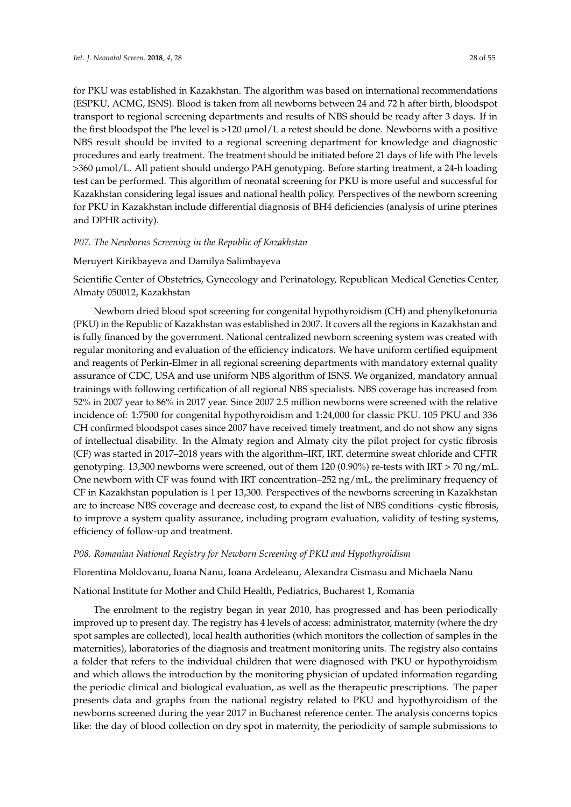for PKU was established in Kazakhstan. The algorithm was based on international recommendations (ESPKU, ACMG, ISNS). Blood is taken from all newborns between 24 and 72 h after birth, bloodspot transport to regional screening departments and results of NBS should be ready after 3 days. If in the first bloodspot the Phe level is  $>120 \mu$ mol/L a retest should be done. Newborns with a positive NBS result should be invited to a regional screening department for knowledge and diagnostic procedures and early treatment. The treatment should be initiated before 21 days of life with Phe levels >360 µmol/L. All patient should undergo PAH genotyping. Before starting treatment, a 24-h loading test can be performed. This algorithm of neonatal screening for PKU is more useful and successful for Kazakhstan considering legal issues and national health policy. Perspectives of the newborn screening for PKU in Kazakhstan include differential diagnosis of BH4 deficiencies (analysis of urine pterines and DPHR activity).

# *P07. The Newborns Screening in the Republic of Kazakhstan*

### Meruyert Kirikbayeva and Damilya Salimbayeva

Scientific Center of Obstetrics, Gynecology and Perinatology, Republican Medical Genetics Center, Almaty 050012, Kazakhstan

Newborn dried blood spot screening for congenital hypothyroidism (CH) and phenylketonuria (PKU) in the Republic of Kazakhstan was established in 2007. It covers all the regions in Kazakhstan and is fully financed by the government. National centralized newborn screening system was created with regular monitoring and evaluation of the efficiency indicators. We have uniform certified equipment and reagents of Perkin-Elmer in all regional screening departments with mandatory external quality assurance of CDC, USA and use uniform NBS algorithm of ISNS. We organized, mandatory annual trainings with following certification of all regional NBS specialists. NBS coverage has increased from 52% in 2007 year to 86% in 2017 year. Since 2007 2.5 million newborns were screened with the relative incidence of: 1:7500 for congenital hypothyroidism and 1:24,000 for classic PKU. 105 PKU and 336 CH confirmed bloodspot cases since 2007 have received timely treatment, and do not show any signs of intellectual disability. In the Almaty region and Almaty city the pilot project for cystic fibrosis (CF) was started in 2017–2018 years with the algorithm–IRT, IRT, determine sweat chloride and CFTR genotyping. 13,300 newborns were screened, out of them 120  $(0.90\%)$  re-tests with IRT > 70 ng/mL. One newborn with CF was found with IRT concentration–252 ng/mL, the preliminary frequency of CF in Kazakhstan population is 1 per 13,300. Perspectives of the newborns screening in Kazakhstan are to increase NBS coverage and decrease cost, to expand the list of NBS conditions–cystic fibrosis, to improve a system quality assurance, including program evaluation, validity of testing systems, efficiency of follow-up and treatment.

# *P08. Romanian National Registry for Newborn Screening of PKU and Hypothyroidism*

Florentina Moldovanu, Ioana Nanu, Ioana Ardeleanu, Alexandra Cismasu and Michaela Nanu

National Institute for Mother and Child Health, Pediatrics, Bucharest 1, Romania

The enrolment to the registry began in year 2010, has progressed and has been periodically improved up to present day. The registry has 4 levels of access: administrator, maternity (where the dry spot samples are collected), local health authorities (which monitors the collection of samples in the maternities), laboratories of the diagnosis and treatment monitoring units. The registry also contains a folder that refers to the individual children that were diagnosed with PKU or hypothyroidism and which allows the introduction by the monitoring physician of updated information regarding the periodic clinical and biological evaluation, as well as the therapeutic prescriptions. The paper presents data and graphs from the national registry related to PKU and hypothyroidism of the newborns screened during the year 2017 in Bucharest reference center. The analysis concerns topics like: the day of blood collection on dry spot in maternity, the periodicity of sample submissions to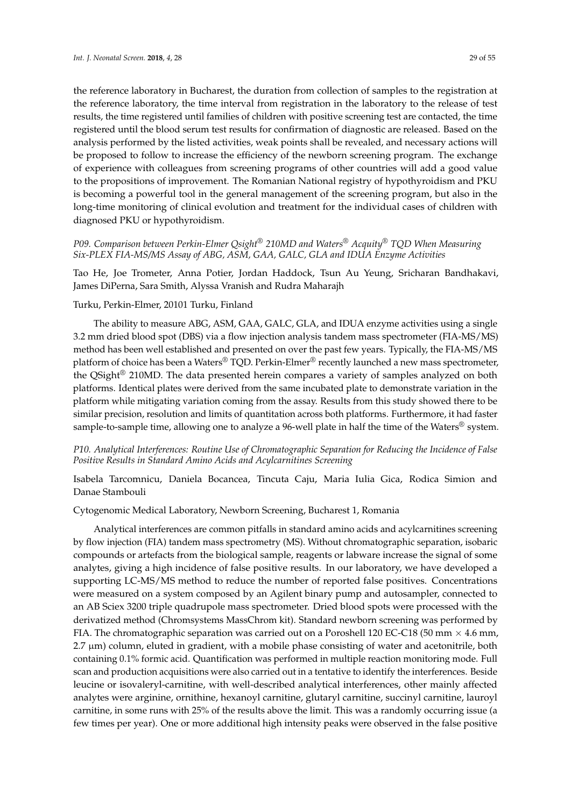the reference laboratory in Bucharest, the duration from collection of samples to the registration at the reference laboratory, the time interval from registration in the laboratory to the release of test results, the time registered until families of children with positive screening test are contacted, the time registered until the blood serum test results for confirmation of diagnostic are released. Based on the analysis performed by the listed activities, weak points shall be revealed, and necessary actions will be proposed to follow to increase the efficiency of the newborn screening program. The exchange of experience with colleagues from screening programs of other countries will add a good value to the propositions of improvement. The Romanian National registry of hypothyroidism and PKU is becoming a powerful tool in the general management of the screening program, but also in the long-time monitoring of clinical evolution and treatment for the individual cases of children with diagnosed PKU or hypothyroidism.

# *P09. Comparison between Perkin-Elmer Qsight® 210MD and Waters® Acquity® TQD When Measuring Six-PLEX FIA-MS/MS Assay of ABG, ASM, GAA, GALC, GLA and IDUA Enzyme Activities*

Tao He, Joe Trometer, Anna Potier, Jordan Haddock, Tsun Au Yeung, Sricharan Bandhakavi, James DiPerna, Sara Smith, Alyssa Vranish and Rudra Maharajh

#### Turku, Perkin-Elmer, 20101 Turku, Finland

The ability to measure ABG, ASM, GAA, GALC, GLA, and IDUA enzyme activities using a single 3.2 mm dried blood spot (DBS) via a flow injection analysis tandem mass spectrometer (FIA-MS/MS) method has been well established and presented on over the past few years. Typically, the FIA-MS/MS platform of choice has been a Waters<sup>®</sup> TQD. Perkin-Elmer<sup>®</sup> recently launched a new mass spectrometer, the QSight® 210MD. The data presented herein compares a variety of samples analyzed on both platforms. Identical plates were derived from the same incubated plate to demonstrate variation in the platform while mitigating variation coming from the assay. Results from this study showed there to be similar precision, resolution and limits of quantitation across both platforms. Furthermore, it had faster sample-to-sample time, allowing one to analyze a 96-well plate in half the time of the Waters<sup>®</sup> system.

# *P10. Analytical Interferences: Routine Use of Chromatographic Separation for Reducing the Incidence of False Positive Results in Standard Amino Acids and Acylcarnitines Screening*

Isabela Tarcomnicu, Daniela Bocancea, Tincuta Caju, Maria Iulia Gica, Rodica Simion and Danae Stambouli

#### Cytogenomic Medical Laboratory, Newborn Screening, Bucharest 1, Romania

Analytical interferences are common pitfalls in standard amino acids and acylcarnitines screening by flow injection (FIA) tandem mass spectrometry (MS). Without chromatographic separation, isobaric compounds or artefacts from the biological sample, reagents or labware increase the signal of some analytes, giving a high incidence of false positive results. In our laboratory, we have developed a supporting LC-MS/MS method to reduce the number of reported false positives. Concentrations were measured on a system composed by an Agilent binary pump and autosampler, connected to an AB Sciex 3200 triple quadrupole mass spectrometer. Dried blood spots were processed with the derivatized method (Chromsystems MassChrom kit). Standard newborn screening was performed by FIA. The chromatographic separation was carried out on a Poroshell 120 EC-C18 (50 mm  $\times$  4.6 mm, 2.7 µm) column, eluted in gradient, with a mobile phase consisting of water and acetonitrile, both containing 0.1% formic acid. Quantification was performed in multiple reaction monitoring mode. Full scan and production acquisitions were also carried out in a tentative to identify the interferences. Beside leucine or isovaleryl-carnitine, with well-described analytical interferences, other mainly affected analytes were arginine, ornithine, hexanoyl carnitine, glutaryl carnitine, succinyl carnitine, lauroyl carnitine, in some runs with 25% of the results above the limit. This was a randomly occurring issue (a few times per year). One or more additional high intensity peaks were observed in the false positive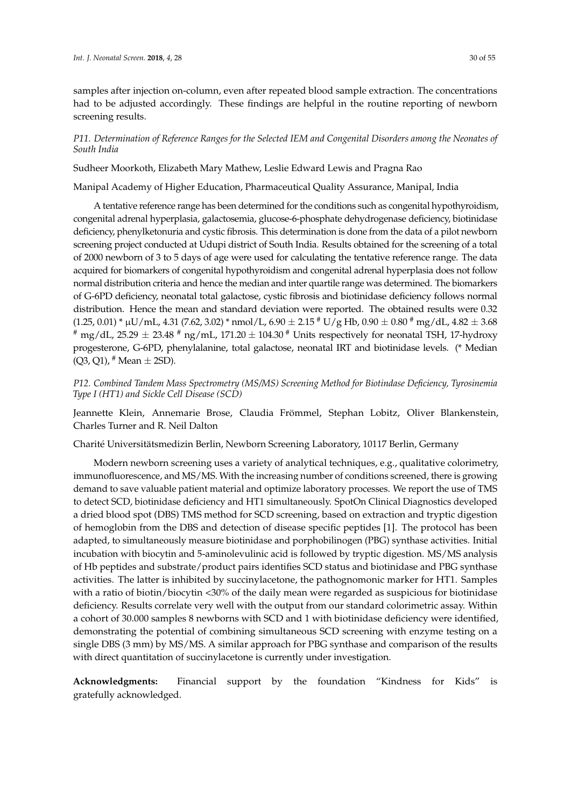samples after injection on-column, even after repeated blood sample extraction. The concentrations had to be adjusted accordingly. These findings are helpful in the routine reporting of newborn screening results.

# *P11. Determination of Reference Ranges for the Selected IEM and Congenital Disorders among the Neonates of South India*

Sudheer Moorkoth, Elizabeth Mary Mathew, Leslie Edward Lewis and Pragna Rao

Manipal Academy of Higher Education, Pharmaceutical Quality Assurance, Manipal, India

A tentative reference range has been determined for the conditions such as congenital hypothyroidism, congenital adrenal hyperplasia, galactosemia, glucose-6-phosphate dehydrogenase deficiency, biotinidase deficiency, phenylketonuria and cystic fibrosis. This determination is done from the data of a pilot newborn screening project conducted at Udupi district of South India. Results obtained for the screening of a total of 2000 newborn of 3 to 5 days of age were used for calculating the tentative reference range. The data acquired for biomarkers of congenital hypothyroidism and congenital adrenal hyperplasia does not follow normal distribution criteria and hence the median and inter quartile range was determined. The biomarkers of G-6PD deficiency, neonatal total galactose, cystic fibrosis and biotinidase deficiency follows normal distribution. Hence the mean and standard deviation were reported. The obtained results were 0.32  $(1.25, 0.01) * \mu U/mL$ , 4.31  $(7.62, 3.02) * \text{nmol}/L$ , 6.90  $\pm 2.15 * U/g$  Hb, 0.90  $\pm 0.80 * \text{mg}/dL$ , 4.82  $\pm 3.68$  $*$  mg/dL, 25.29  $\pm$  23.48  $*$  ng/mL, 171.20  $\pm$  104.30  $*$  Units respectively for neonatal TSH, 17-hydroxy progesterone, G-6PD, phenylalanine, total galactose, neonatal IRT and biotinidase levels. (\* Median  $(Q3, Q1)$ ,  $^{\#}$  Mean  $\pm$  2SD).

*P12. Combined Tandem Mass Spectrometry (MS/MS) Screening Method for Biotindase Deficiency, Tyrosinemia Type I (HT1) and Sickle Cell Disease (SCD)*

Jeannette Klein, Annemarie Brose, Claudia Frömmel, Stephan Lobitz, Oliver Blankenstein, Charles Turner and R. Neil Dalton

Charité Universitätsmedizin Berlin, Newborn Screening Laboratory, 10117 Berlin, Germany

Modern newborn screening uses a variety of analytical techniques, e.g., qualitative colorimetry, immunofluorescence, and MS/MS. With the increasing number of conditions screened, there is growing demand to save valuable patient material and optimize laboratory processes. We report the use of TMS to detect SCD, biotinidase deficiency and HT1 simultaneously. SpotOn Clinical Diagnostics developed a dried blood spot (DBS) TMS method for SCD screening, based on extraction and tryptic digestion of hemoglobin from the DBS and detection of disease specific peptides [1]. The protocol has been adapted, to simultaneously measure biotinidase and porphobilinogen (PBG) synthase activities. Initial incubation with biocytin and 5-aminolevulinic acid is followed by tryptic digestion. MS/MS analysis of Hb peptides and substrate/product pairs identifies SCD status and biotinidase and PBG synthase activities. The latter is inhibited by succinylacetone, the pathognomonic marker for HT1. Samples with a ratio of biotin/biocytin <30% of the daily mean were regarded as suspicious for biotinidase deficiency. Results correlate very well with the output from our standard colorimetric assay. Within a cohort of 30.000 samples 8 newborns with SCD and 1 with biotinidase deficiency were identified, demonstrating the potential of combining simultaneous SCD screening with enzyme testing on a single DBS (3 mm) by MS/MS. A similar approach for PBG synthase and comparison of the results with direct quantitation of succinylacetone is currently under investigation.

**Acknowledgments:** Financial support by the foundation "Kindness for Kids" is gratefully acknowledged.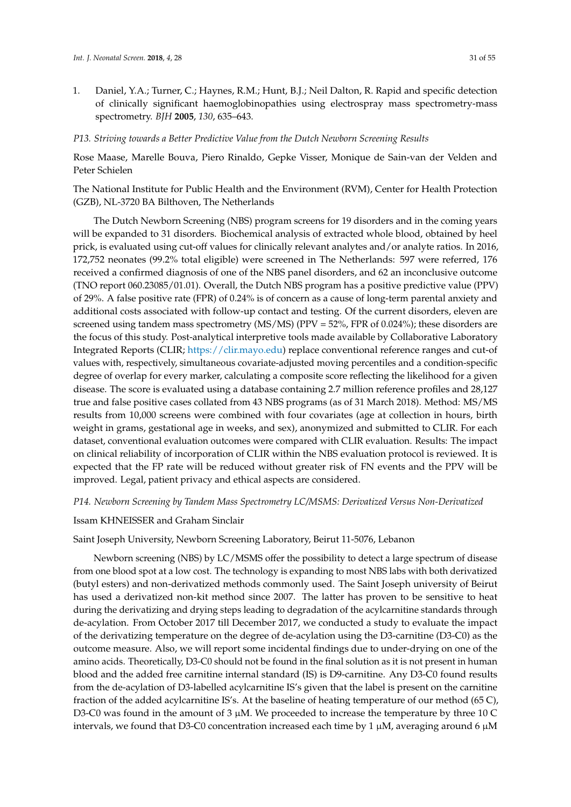1. Daniel, Y.A.; Turner, C.; Haynes, R.M.; Hunt, B.J.; Neil Dalton, R. Rapid and specific detection of clinically significant haemoglobinopathies using electrospray mass spectrometry-mass spectrometry. *BJH* **2005**, *130*, 635–643.

# *P13. Striving towards a Better Predictive Value from the Dutch Newborn Screening Results*

Rose Maase, Marelle Bouva, Piero Rinaldo, Gepke Visser, Monique de Sain-van der Velden and Peter Schielen

The National Institute for Public Health and the Environment (RVM), Center for Health Protection (GZB), NL-3720 BA Bilthoven, The Netherlands

The Dutch Newborn Screening (NBS) program screens for 19 disorders and in the coming years will be expanded to 31 disorders. Biochemical analysis of extracted whole blood, obtained by heel prick, is evaluated using cut-off values for clinically relevant analytes and/or analyte ratios. In 2016, 172,752 neonates (99.2% total eligible) were screened in The Netherlands: 597 were referred, 176 received a confirmed diagnosis of one of the NBS panel disorders, and 62 an inconclusive outcome (TNO report 060.23085/01.01). Overall, the Dutch NBS program has a positive predictive value (PPV) of 29%. A false positive rate (FPR) of 0.24% is of concern as a cause of long-term parental anxiety and additional costs associated with follow-up contact and testing. Of the current disorders, eleven are screened using tandem mass spectrometry (MS/MS) (PPV = 52%, FPR of 0.024%); these disorders are the focus of this study. Post-analytical interpretive tools made available by Collaborative Laboratory Integrated Reports (CLIR; [https://clir.mayo.edu\)](https://clir.mayo.edu) replace conventional reference ranges and cut-of values with, respectively, simultaneous covariate-adjusted moving percentiles and a condition-specific degree of overlap for every marker, calculating a composite score reflecting the likelihood for a given disease. The score is evaluated using a database containing 2.7 million reference profiles and 28,127 true and false positive cases collated from 43 NBS programs (as of 31 March 2018). Method: MS/MS results from 10,000 screens were combined with four covariates (age at collection in hours, birth weight in grams, gestational age in weeks, and sex), anonymized and submitted to CLIR. For each dataset, conventional evaluation outcomes were compared with CLIR evaluation. Results: The impact on clinical reliability of incorporation of CLIR within the NBS evaluation protocol is reviewed. It is expected that the FP rate will be reduced without greater risk of FN events and the PPV will be improved. Legal, patient privacy and ethical aspects are considered.

# *P14. Newborn Screening by Tandem Mass Spectrometry LC/MSMS: Derivatized Versus Non-Derivatized*

# Issam KHNEISSER and Graham Sinclair

# Saint Joseph University, Newborn Screening Laboratory, Beirut 11-5076, Lebanon

Newborn screening (NBS) by LC/MSMS offer the possibility to detect a large spectrum of disease from one blood spot at a low cost. The technology is expanding to most NBS labs with both derivatized (butyl esters) and non-derivatized methods commonly used. The Saint Joseph university of Beirut has used a derivatized non-kit method since 2007. The latter has proven to be sensitive to heat during the derivatizing and drying steps leading to degradation of the acylcarnitine standards through de-acylation. From October 2017 till December 2017, we conducted a study to evaluate the impact of the derivatizing temperature on the degree of de-acylation using the D3-carnitine (D3-C0) as the outcome measure. Also, we will report some incidental findings due to under-drying on one of the amino acids. Theoretically, D3-C0 should not be found in the final solution as it is not present in human blood and the added free carnitine internal standard (IS) is D9-carnitine. Any D3-C0 found results from the de-acylation of D3-labelled acylcarnitine IS's given that the label is present on the carnitine fraction of the added acylcarnitine IS's. At the baseline of heating temperature of our method (65 C), D3-C0 was found in the amount of 3  $\mu$ M. We proceeded to increase the temperature by three 10 C intervals, we found that D3-C0 concentration increased each time by 1  $\mu$ M, averaging around 6  $\mu$ M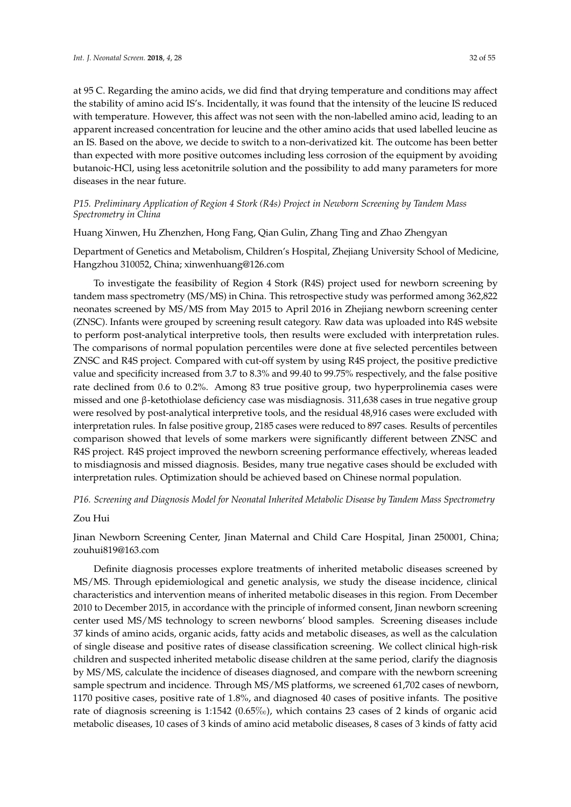at 95 C. Regarding the amino acids, we did find that drying temperature and conditions may affect the stability of amino acid IS's. Incidentally, it was found that the intensity of the leucine IS reduced with temperature. However, this affect was not seen with the non-labelled amino acid, leading to an apparent increased concentration for leucine and the other amino acids that used labelled leucine as an IS. Based on the above, we decide to switch to a non-derivatized kit. The outcome has been better than expected with more positive outcomes including less corrosion of the equipment by avoiding butanoic-HCl, using less acetonitrile solution and the possibility to add many parameters for more diseases in the near future.

# *P15. Preliminary Application of Region 4 Stork (R4s) Project in Newborn Screening by Tandem Mass Spectrometry in China*

# Huang Xinwen, Hu Zhenzhen, Hong Fang, Qian Gulin, Zhang Ting and Zhao Zhengyan

Department of Genetics and Metabolism, Children's Hospital, Zhejiang University School of Medicine, Hangzhou 310052, China; xinwenhuang@126.com

To investigate the feasibility of Region 4 Stork (R4S) project used for newborn screening by tandem mass spectrometry (MS/MS) in China. This retrospective study was performed among 362,822 neonates screened by MS/MS from May 2015 to April 2016 in Zhejiang newborn screening center (ZNSC). Infants were grouped by screening result category. Raw data was uploaded into R4S website to perform post-analytical interpretive tools, then results were excluded with interpretation rules. The comparisons of normal population percentiles were done at five selected percentiles between ZNSC and R4S project. Compared with cut-off system by using R4S project, the positive predictive value and specificity increased from 3.7 to 8.3% and 99.40 to 99.75% respectively, and the false positive rate declined from 0.6 to 0.2%. Among 83 true positive group, two hyperprolinemia cases were missed and one β-ketothiolase deficiency case was misdiagnosis. 311,638 cases in true negative group were resolved by post-analytical interpretive tools, and the residual 48,916 cases were excluded with interpretation rules. In false positive group, 2185 cases were reduced to 897 cases. Results of percentiles comparison showed that levels of some markers were significantly different between ZNSC and R4S project. R4S project improved the newborn screening performance effectively, whereas leaded to misdiagnosis and missed diagnosis. Besides, many true negative cases should be excluded with interpretation rules. Optimization should be achieved based on Chinese normal population.

*P16. Screening and Diagnosis Model for Neonatal Inherited Metabolic Disease by Tandem Mass Spectrometry*

# Zou Hui

Jinan Newborn Screening Center, Jinan Maternal and Child Care Hospital, Jinan 250001, China; zouhui819@163.com

Definite diagnosis processes explore treatments of inherited metabolic diseases screened by MS/MS. Through epidemiological and genetic analysis, we study the disease incidence, clinical characteristics and intervention means of inherited metabolic diseases in this region. From December 2010 to December 2015, in accordance with the principle of informed consent, Jinan newborn screening center used MS/MS technology to screen newborns' blood samples. Screening diseases include 37 kinds of amino acids, organic acids, fatty acids and metabolic diseases, as well as the calculation of single disease and positive rates of disease classification screening. We collect clinical high-risk children and suspected inherited metabolic disease children at the same period, clarify the diagnosis by MS/MS, calculate the incidence of diseases diagnosed, and compare with the newborn screening sample spectrum and incidence. Through MS/MS platforms, we screened 61,702 cases of newborn, 1170 positive cases, positive rate of 1.8%, and diagnosed 40 cases of positive infants. The positive rate of diagnosis screening is 1:1542 (0.65‰), which contains 23 cases of 2 kinds of organic acid metabolic diseases, 10 cases of 3 kinds of amino acid metabolic diseases, 8 cases of 3 kinds of fatty acid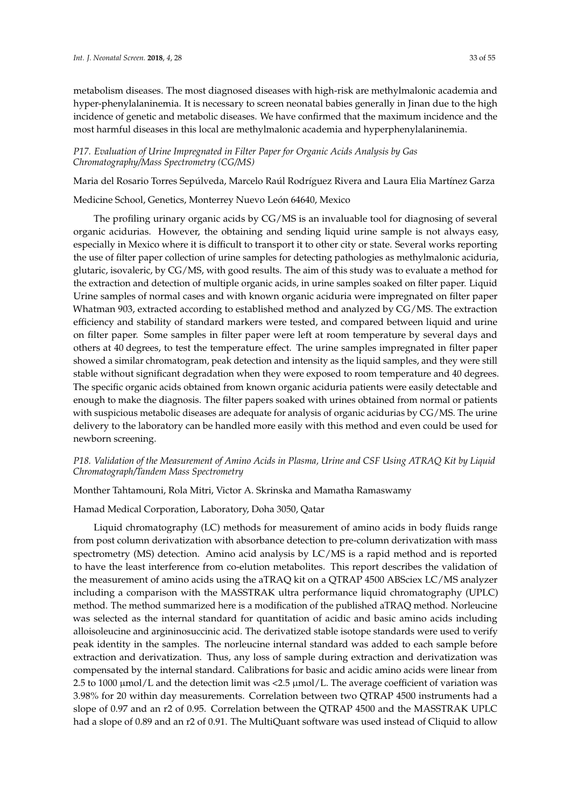metabolism diseases. The most diagnosed diseases with high-risk are methylmalonic academia and hyper-phenylalaninemia. It is necessary to screen neonatal babies generally in Jinan due to the high incidence of genetic and metabolic diseases. We have confirmed that the maximum incidence and the most harmful diseases in this local are methylmalonic academia and hyperphenylalaninemia.

### *P17. Evaluation of Urine Impregnated in Filter Paper for Organic Acids Analysis by Gas Chromatography/Mass Spectrometry (CG/MS)*

Maria del Rosario Torres Sepúlveda, Marcelo Raúl Rodríguez Rivera and Laura Elia Martínez Garza

Medicine School, Genetics, Monterrey Nuevo León 64640, Mexico

The profiling urinary organic acids by CG/MS is an invaluable tool for diagnosing of several organic acidurias. However, the obtaining and sending liquid urine sample is not always easy, especially in Mexico where it is difficult to transport it to other city or state. Several works reporting the use of filter paper collection of urine samples for detecting pathologies as methylmalonic aciduria, glutaric, isovaleric, by CG/MS, with good results. The aim of this study was to evaluate a method for the extraction and detection of multiple organic acids, in urine samples soaked on filter paper. Liquid Urine samples of normal cases and with known organic aciduria were impregnated on filter paper Whatman 903, extracted according to established method and analyzed by CG/MS. The extraction efficiency and stability of standard markers were tested, and compared between liquid and urine on filter paper. Some samples in filter paper were left at room temperature by several days and others at 40 degrees, to test the temperature effect. The urine samples impregnated in filter paper showed a similar chromatogram, peak detection and intensity as the liquid samples, and they were still stable without significant degradation when they were exposed to room temperature and 40 degrees. The specific organic acids obtained from known organic aciduria patients were easily detectable and enough to make the diagnosis. The filter papers soaked with urines obtained from normal or patients with suspicious metabolic diseases are adequate for analysis of organic acidurias by CG/MS. The urine delivery to the laboratory can be handled more easily with this method and even could be used for newborn screening.

# *P18. Validation of the Measurement of Amino Acids in Plasma, Urine and CSF Using ATRAQ Kit by Liquid Chromatograph/Tandem Mass Spectrometry*

Monther Tahtamouni, Rola Mitri, Victor A. Skrinska and Mamatha Ramaswamy

# Hamad Medical Corporation, Laboratory, Doha 3050, Qatar

Liquid chromatography (LC) methods for measurement of amino acids in body fluids range from post column derivatization with absorbance detection to pre-column derivatization with mass spectrometry (MS) detection. Amino acid analysis by LC/MS is a rapid method and is reported to have the least interference from co-elution metabolites. This report describes the validation of the measurement of amino acids using the aTRAQ kit on a QTRAP 4500 ABSciex LC/MS analyzer including a comparison with the MASSTRAK ultra performance liquid chromatography (UPLC) method. The method summarized here is a modification of the published aTRAQ method. Norleucine was selected as the internal standard for quantitation of acidic and basic amino acids including alloisoleucine and argininosuccinic acid. The derivatized stable isotope standards were used to verify peak identity in the samples. The norleucine internal standard was added to each sample before extraction and derivatization. Thus, any loss of sample during extraction and derivatization was compensated by the internal standard. Calibrations for basic and acidic amino acids were linear from 2.5 to 1000  $\mu$ mol/L and the detection limit was <2.5  $\mu$ mol/L. The average coefficient of variation was 3.98% for 20 within day measurements. Correlation between two QTRAP 4500 instruments had a slope of 0.97 and an r2 of 0.95. Correlation between the QTRAP 4500 and the MASSTRAK UPLC had a slope of 0.89 and an r2 of 0.91. The MultiQuant software was used instead of Cliquid to allow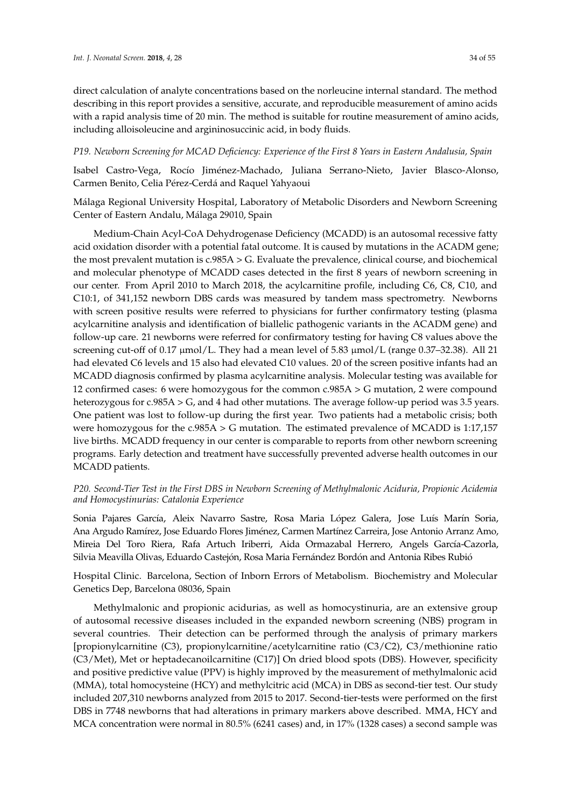direct calculation of analyte concentrations based on the norleucine internal standard. The method describing in this report provides a sensitive, accurate, and reproducible measurement of amino acids with a rapid analysis time of 20 min. The method is suitable for routine measurement of amino acids, including alloisoleucine and argininosuccinic acid, in body fluids.

### *P19. Newborn Screening for MCAD Deficiency: Experience of the First 8 Years in Eastern Andalusia, Spain*

Isabel Castro-Vega, Rocío Jiménez-Machado, Juliana Serrano-Nieto, Javier Blasco-Alonso, Carmen Benito, Celia Pérez-Cerdá and Raquel Yahyaoui

Málaga Regional University Hospital, Laboratory of Metabolic Disorders and Newborn Screening Center of Eastern Andalu, Málaga 29010, Spain

Medium-Chain Acyl-CoA Dehydrogenase Deficiency (MCADD) is an autosomal recessive fatty acid oxidation disorder with a potential fatal outcome. It is caused by mutations in the ACADM gene; the most prevalent mutation is  $c.985A > G$ . Evaluate the prevalence, clinical course, and biochemical and molecular phenotype of MCADD cases detected in the first 8 years of newborn screening in our center. From April 2010 to March 2018, the acylcarnitine profile, including C6, C8, C10, and C10:1, of 341,152 newborn DBS cards was measured by tandem mass spectrometry. Newborns with screen positive results were referred to physicians for further confirmatory testing (plasma acylcarnitine analysis and identification of biallelic pathogenic variants in the ACADM gene) and follow-up care. 21 newborns were referred for confirmatory testing for having C8 values above the screening cut-off of 0.17 μmol/L. They had a mean level of 5.83 μmol/L (range 0.37–32.38). All 21 had elevated C6 levels and 15 also had elevated C10 values. 20 of the screen positive infants had an MCADD diagnosis confirmed by plasma acylcarnitine analysis. Molecular testing was available for 12 confirmed cases: 6 were homozygous for the common c.985A > G mutation, 2 were compound heterozygous for c.985A > G, and 4 had other mutations. The average follow-up period was 3.5 years. One patient was lost to follow-up during the first year. Two patients had a metabolic crisis; both were homozygous for the c.985A > G mutation. The estimated prevalence of MCADD is 1:17,157 live births. MCADD frequency in our center is comparable to reports from other newborn screening programs. Early detection and treatment have successfully prevented adverse health outcomes in our MCADD patients.

# *P20. Second-Tier Test in the First DBS in Newborn Screening of Methylmalonic Aciduria, Propionic Acidemia and Homocystinurias: Catalonia Experience*

Sonia Pajares García, Aleix Navarro Sastre, Rosa Maria López Galera, Jose Luís Marín Soria, Ana Argudo Ramírez, Jose Eduardo Flores Jiménez, Carmen Martínez Carreira, Jose Antonio Arranz Amo, Mireia Del Toro Riera, Rafa Artuch Iriberri, Aida Ormazabal Herrero, Angels García-Cazorla, Silvia Meavilla Olivas, Eduardo Castejón, Rosa Maria Fernández Bordón and Antonia Ribes Rubió

Hospital Clinic. Barcelona, Section of Inborn Errors of Metabolism. Biochemistry and Molecular Genetics Dep, Barcelona 08036, Spain

Methylmalonic and propionic acidurias, as well as homocystinuria, are an extensive group of autosomal recessive diseases included in the expanded newborn screening (NBS) program in several countries. Their detection can be performed through the analysis of primary markers [propionylcarnitine (C3), propionylcarnitine/acetylcarnitine ratio (C3/C2), C3/methionine ratio (C3/Met), Met or heptadecanoilcarnitine (C17)] On dried blood spots (DBS). However, specificity and positive predictive value (PPV) is highly improved by the measurement of methylmalonic acid (MMA), total homocysteine (HCY) and methylcitric acid (MCA) in DBS as second-tier test. Our study included 207,310 newborns analyzed from 2015 to 2017. Second-tier-tests were performed on the first DBS in 7748 newborns that had alterations in primary markers above described. MMA, HCY and MCA concentration were normal in 80.5% (6241 cases) and, in 17% (1328 cases) a second sample was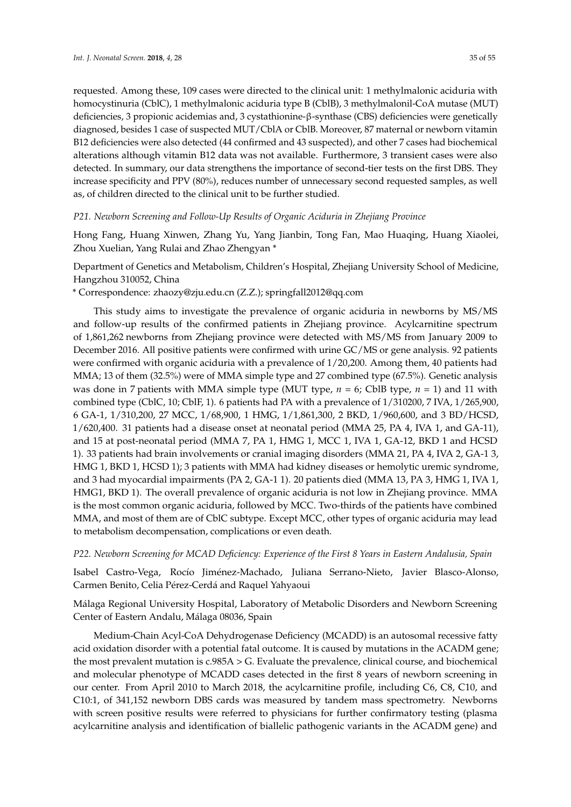requested. Among these, 109 cases were directed to the clinical unit: 1 methylmalonic aciduria with homocystinuria (CblC), 1 methylmalonic aciduria type B (CblB), 3 methylmalonil-CoA mutase (MUT) deficiencies, 3 propionic acidemias and, 3 cystathionine-β-synthase (CBS) deficiencies were genetically diagnosed, besides 1 case of suspected MUT/CblA or CblB. Moreover, 87 maternal or newborn vitamin B12 deficiencies were also detected (44 confirmed and 43 suspected), and other 7 cases had biochemical alterations although vitamin B12 data was not available. Furthermore, 3 transient cases were also detected. In summary, our data strengthens the importance of second-tier tests on the first DBS. They increase specificity and PPV (80%), reduces number of unnecessary second requested samples, as well as, of children directed to the clinical unit to be further studied.

### *P21. Newborn Screening and Follow-Up Results of Organic Aciduria in Zhejiang Province*

Hong Fang, Huang Xinwen, Zhang Yu, Yang Jianbin, Tong Fan, Mao Huaqing, Huang Xiaolei, Zhou Xuelian, Yang Rulai and Zhao Zhengyan \*

Department of Genetics and Metabolism, Children's Hospital, Zhejiang University School of Medicine, Hangzhou 310052, China

\* Correspondence: zhaozy@zju.edu.cn (Z.Z.); springfall2012@qq.com

This study aims to investigate the prevalence of organic aciduria in newborns by MS/MS and follow-up results of the confirmed patients in Zhejiang province. Acylcarnitine spectrum of 1,861,262 newborns from Zhejiang province were detected with MS/MS from January 2009 to December 2016. All positive patients were confirmed with urine GC/MS or gene analysis. 92 patients were confirmed with organic aciduria with a prevalence of 1/20,200. Among them, 40 patients had MMA; 13 of them (32.5%) were of MMA simple type and 27 combined type (67.5%). Genetic analysis was done in 7 patients with MMA simple type (MUT type, *n* = 6; CblB type, *n* = 1) and 11 with combined type (CblC, 10; CblF, 1). 6 patients had PA with a prevalence of 1/310200, 7 IVA, 1/265,900, 6 GA-1, 1/310,200, 27 MCC, 1/68,900, 1 HMG, 1/1,861,300, 2 BKD, 1/960,600, and 3 BD/HCSD, 1/620,400. 31 patients had a disease onset at neonatal period (MMA 25, PA 4, IVA 1, and GA-11), and 15 at post-neonatal period (MMA 7, PA 1, HMG 1, MCC 1, IVA 1, GA-12, BKD 1 and HCSD 1). 33 patients had brain involvements or cranial imaging disorders (MMA 21, PA 4, IVA 2, GA-1 3, HMG 1, BKD 1, HCSD 1); 3 patients with MMA had kidney diseases or hemolytic uremic syndrome, and 3 had myocardial impairments (PA 2, GA-1 1). 20 patients died (MMA 13, PA 3, HMG 1, IVA 1, HMG1, BKD 1). The overall prevalence of organic aciduria is not low in Zhejiang province. MMA is the most common organic aciduria, followed by MCC. Two-thirds of the patients have combined MMA, and most of them are of CblC subtype. Except MCC, other types of organic aciduria may lead to metabolism decompensation, complications or even death.

#### *P22. Newborn Screening for MCAD Deficiency: Experience of the First 8 Years in Eastern Andalusia, Spain*

Isabel Castro-Vega, Rocío Jiménez-Machado, Juliana Serrano-Nieto, Javier Blasco-Alonso, Carmen Benito, Celia Pérez-Cerdá and Raquel Yahyaoui

Málaga Regional University Hospital, Laboratory of Metabolic Disorders and Newborn Screening Center of Eastern Andalu, Málaga 08036, Spain

Medium-Chain Acyl-CoA Dehydrogenase Deficiency (MCADD) is an autosomal recessive fatty acid oxidation disorder with a potential fatal outcome. It is caused by mutations in the ACADM gene; the most prevalent mutation is c.985A > G. Evaluate the prevalence, clinical course, and biochemical and molecular phenotype of MCADD cases detected in the first 8 years of newborn screening in our center. From April 2010 to March 2018, the acylcarnitine profile, including C6, C8, C10, and C10:1, of 341,152 newborn DBS cards was measured by tandem mass spectrometry. Newborns with screen positive results were referred to physicians for further confirmatory testing (plasma acylcarnitine analysis and identification of biallelic pathogenic variants in the ACADM gene) and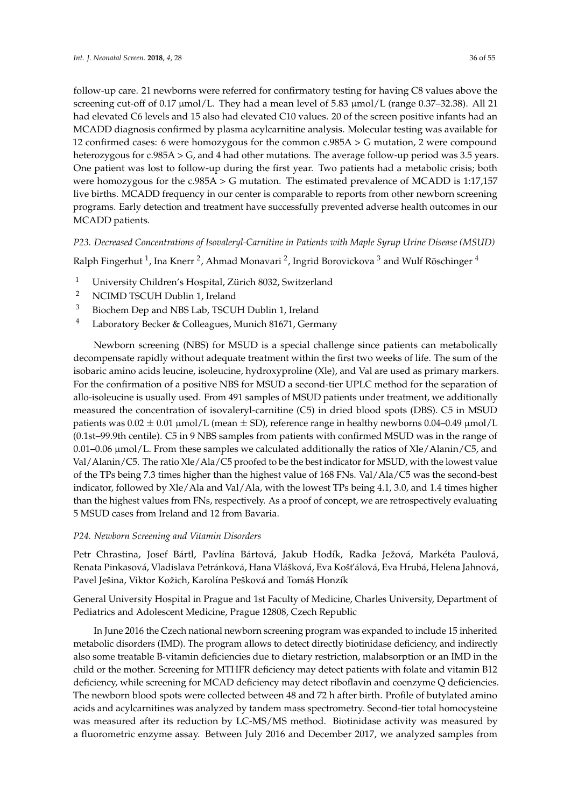follow-up care. 21 newborns were referred for confirmatory testing for having C8 values above the screening cut-off of 0.17  $\mu$ mol/L. They had a mean level of 5.83  $\mu$ mol/L (range 0.37–32.38). All 21 had elevated C6 levels and 15 also had elevated C10 values. 20 of the screen positive infants had an MCADD diagnosis confirmed by plasma acylcarnitine analysis. Molecular testing was available for 12 confirmed cases: 6 were homozygous for the common c.985A > G mutation, 2 were compound heterozygous for c.985A > G, and 4 had other mutations. The average follow-up period was 3.5 years. One patient was lost to follow-up during the first year. Two patients had a metabolic crisis; both were homozygous for the c.985A > G mutation. The estimated prevalence of MCADD is 1:17,157 live births. MCADD frequency in our center is comparable to reports from other newborn screening programs. Early detection and treatment have successfully prevented adverse health outcomes in our MCADD patients.

*P23. Decreased Concentrations of Isovaleryl-Carnitine in Patients with Maple Syrup Urine Disease (MSUD)*

Ralph Fingerhut <sup>1</sup>, Ina Knerr <sup>2</sup>, Ahmad Monavari <sup>2</sup>, Ingrid Borovickova <sup>3</sup> and Wulf Röschinger <sup>4</sup>

- <sup>1</sup> University Children's Hospital, Zürich 8032, Switzerland
- <sup>2</sup> NCIMD TSCUH Dublin 1, Ireland
- <sup>3</sup> Biochem Dep and NBS Lab, TSCUH Dublin 1, Ireland
- <sup>4</sup> Laboratory Becker & Colleagues, Munich 81671, Germany

Newborn screening (NBS) for MSUD is a special challenge since patients can metabolically decompensate rapidly without adequate treatment within the first two weeks of life. The sum of the isobaric amino acids leucine, isoleucine, hydroxyproline (Xle), and Val are used as primary markers. For the confirmation of a positive NBS for MSUD a second-tier UPLC method for the separation of allo-isoleucine is usually used. From 491 samples of MSUD patients under treatment, we additionally measured the concentration of isovaleryl-carnitine (C5) in dried blood spots (DBS). C5 in MSUD patients was  $0.02 \pm 0.01$  µmol/L (mean  $\pm$  SD), reference range in healthy newborns  $0.04-0.49$  µmol/L (0.1st–99.9th centile). C5 in 9 NBS samples from patients with confirmed MSUD was in the range of 0.01–0.06  $\mu$ mol/L. From these samples we calculated additionally the ratios of Xle/Alanin/C5, and Val/Alanin/C5. The ratio Xle/Ala/C5 proofed to be the best indicator for MSUD, with the lowest value of the TPs being 7.3 times higher than the highest value of 168 FNs. Val/Ala/C5 was the second-best indicator, followed by Xle/Ala and Val/Ala, with the lowest TPs being 4.1, 3.0, and 1.4 times higher than the highest values from FNs, respectively. As a proof of concept, we are retrospectively evaluating 5 MSUD cases from Ireland and 12 from Bavaria.

# *P24. Newborn Screening and Vitamin Disorders*

Petr Chrastina, Josef Bártl, Pavlína Bártová, Jakub Hodík, Radka Ježová, Markéta Paulová, Renata Pinkasová, Vladislava Petránková, Hana Vlášková, Eva Košt'álová, Eva Hrubá, Helena Jahnová, Pavel Ješina, Viktor Kožich, Karolína Pešková and Tomáš Honzík

General University Hospital in Prague and 1st Faculty of Medicine, Charles University, Department of Pediatrics and Adolescent Medicine, Prague 12808, Czech Republic

In June 2016 the Czech national newborn screening program was expanded to include 15 inherited metabolic disorders (IMD). The program allows to detect directly biotinidase deficiency, and indirectly also some treatable B-vitamin deficiencies due to dietary restriction, malabsorption or an IMD in the child or the mother. Screening for MTHFR deficiency may detect patients with folate and vitamin B12 deficiency, while screening for MCAD deficiency may detect riboflavin and coenzyme Q deficiencies. The newborn blood spots were collected between 48 and 72 h after birth. Profile of butylated amino acids and acylcarnitines was analyzed by tandem mass spectrometry. Second-tier total homocysteine was measured after its reduction by LC-MS/MS method. Biotinidase activity was measured by a fluorometric enzyme assay. Between July 2016 and December 2017, we analyzed samples from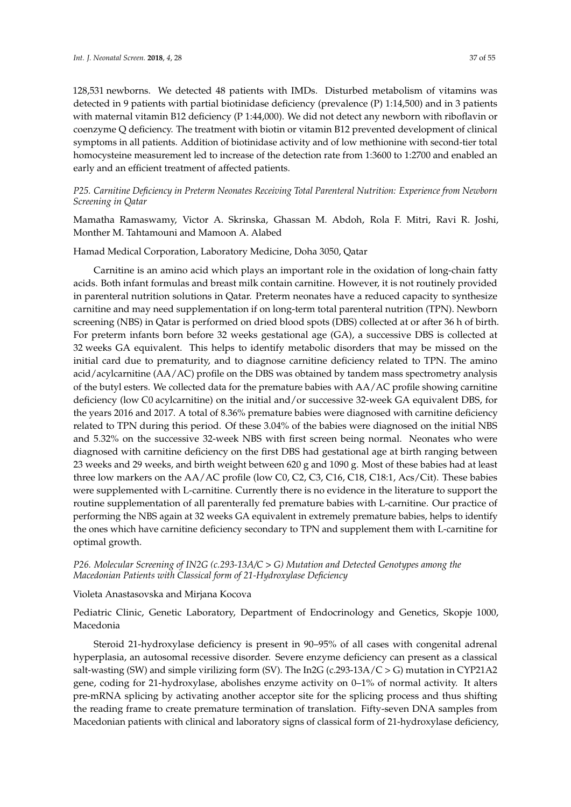128,531 newborns. We detected 48 patients with IMDs. Disturbed metabolism of vitamins was detected in 9 patients with partial biotinidase deficiency (prevalence (P) 1:14,500) and in 3 patients with maternal vitamin B12 deficiency (P 1:44,000). We did not detect any newborn with riboflavin or coenzyme Q deficiency. The treatment with biotin or vitamin B12 prevented development of clinical symptoms in all patients. Addition of biotinidase activity and of low methionine with second-tier total homocysteine measurement led to increase of the detection rate from 1:3600 to 1:2700 and enabled an early and an efficient treatment of affected patients.

# *P25. Carnitine Deficiency in Preterm Neonates Receiving Total Parenteral Nutrition: Experience from Newborn Screening in Qatar*

Mamatha Ramaswamy, Victor A. Skrinska, Ghassan M. Abdoh, Rola F. Mitri, Ravi R. Joshi, Monther M. Tahtamouni and Mamoon A. Alabed

#### Hamad Medical Corporation, Laboratory Medicine, Doha 3050, Qatar

Carnitine is an amino acid which plays an important role in the oxidation of long-chain fatty acids. Both infant formulas and breast milk contain carnitine. However, it is not routinely provided in parenteral nutrition solutions in Qatar. Preterm neonates have a reduced capacity to synthesize carnitine and may need supplementation if on long-term total parenteral nutrition (TPN). Newborn screening (NBS) in Qatar is performed on dried blood spots (DBS) collected at or after 36 h of birth. For preterm infants born before 32 weeks gestational age (GA), a successive DBS is collected at 32 weeks GA equivalent. This helps to identify metabolic disorders that may be missed on the initial card due to prematurity, and to diagnose carnitine deficiency related to TPN. The amino acid/acylcarnitine (AA/AC) profile on the DBS was obtained by tandem mass spectrometry analysis of the butyl esters. We collected data for the premature babies with AA/AC profile showing carnitine deficiency (low C0 acylcarnitine) on the initial and/or successive 32-week GA equivalent DBS, for the years 2016 and 2017. A total of 8.36% premature babies were diagnosed with carnitine deficiency related to TPN during this period. Of these 3.04% of the babies were diagnosed on the initial NBS and 5.32% on the successive 32-week NBS with first screen being normal. Neonates who were diagnosed with carnitine deficiency on the first DBS had gestational age at birth ranging between 23 weeks and 29 weeks, and birth weight between 620 g and 1090 g. Most of these babies had at least three low markers on the AA/AC profile (low C0, C2, C3, C16, C18, C18:1, Acs/Cit). These babies were supplemented with L-carnitine. Currently there is no evidence in the literature to support the routine supplementation of all parenterally fed premature babies with L-carnitine. Our practice of performing the NBS again at 32 weeks GA equivalent in extremely premature babies, helps to identify the ones which have carnitine deficiency secondary to TPN and supplement them with L-carnitine for optimal growth.

# *P26. Molecular Screening of IN2G (c.293-13A/C > G) Mutation and Detected Genotypes among the Macedonian Patients with Classical form of 21-Hydroxylase Deficiency*

### Violeta Anastasovska and Mirjana Kocova

Pediatric Clinic, Genetic Laboratory, Department of Endocrinology and Genetics, Skopje 1000, Macedonia

Steroid 21-hydroxylase deficiency is present in 90–95% of all cases with congenital adrenal hyperplasia, an autosomal recessive disorder. Severe enzyme deficiency can present as a classical salt-wasting (SW) and simple virilizing form (SV). The In2G (c.293-13A/C > G) mutation in CYP21A2 gene, coding for 21-hydroxylase, abolishes enzyme activity on 0–1% of normal activity. It alters pre-mRNA splicing by activating another acceptor site for the splicing process and thus shifting the reading frame to create premature termination of translation. Fifty-seven DNA samples from Macedonian patients with clinical and laboratory signs of classical form of 21-hydroxylase deficiency,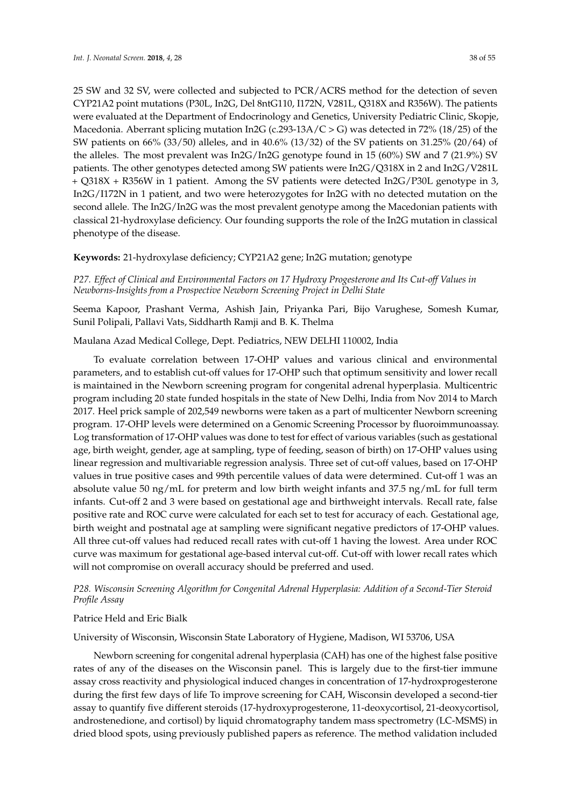25 SW and 32 SV, were collected and subjected to PCR/ACRS method for the detection of seven CYP21A2 point mutations (P30L, In2G, Del 8ntG110, I172N, V281L, Q318X and R356W). The patients were evaluated at the Department of Endocrinology and Genetics, University Pediatric Clinic, Skopje, Macedonia. Aberrant splicing mutation In2G (c.293-13A/C > G) was detected in 72% (18/25) of the SW patients on 66% (33/50) alleles, and in 40.6% (13/32) of the SV patients on 31.25% (20/64) of the alleles. The most prevalent was In2G/In2G genotype found in 15 (60%) SW and 7 (21.9%) SV patients. The other genotypes detected among SW patients were In2G/Q318X in 2 and In2G/V281L + Q318X + R356W in 1 patient. Among the SV patients were detected In2G/P30L genotype in 3, In2G/I172N in 1 patient, and two were heterozygotes for In2G with no detected mutation on the second allele. The In2G/In2G was the most prevalent genotype among the Macedonian patients with classical 21-hydroxylase deficiency. Our founding supports the role of the In2G mutation in classical phenotype of the disease.

# **Keywords:** 21-hydroxylase deficiency; CYP21A2 gene; In2G mutation; genotype

*P27. Effect of Clinical and Environmental Factors on 17 Hydroxy Progesterone and Its Cut-off Values in Newborns-Insights from a Prospective Newborn Screening Project in Delhi State*

Seema Kapoor, Prashant Verma, Ashish Jain, Priyanka Pari, Bijo Varughese, Somesh Kumar, Sunil Polipali, Pallavi Vats, Siddharth Ramji and B. K. Thelma

Maulana Azad Medical College, Dept. Pediatrics, NEW DELHI 110002, India

To evaluate correlation between 17-OHP values and various clinical and environmental parameters, and to establish cut-off values for 17-OHP such that optimum sensitivity and lower recall is maintained in the Newborn screening program for congenital adrenal hyperplasia. Multicentric program including 20 state funded hospitals in the state of New Delhi, India from Nov 2014 to March 2017. Heel prick sample of 202,549 newborns were taken as a part of multicenter Newborn screening program. 17-OHP levels were determined on a Genomic Screening Processor by fluoroimmunoassay. Log transformation of 17-OHP values was done to test for effect of various variables (such as gestational age, birth weight, gender, age at sampling, type of feeding, season of birth) on 17-OHP values using linear regression and multivariable regression analysis. Three set of cut-off values, based on 17-OHP values in true positive cases and 99th percentile values of data were determined. Cut-off 1 was an absolute value 50 ng/mL for preterm and low birth weight infants and 37.5 ng/mL for full term infants. Cut-off 2 and 3 were based on gestational age and birthweight intervals. Recall rate, false positive rate and ROC curve were calculated for each set to test for accuracy of each. Gestational age, birth weight and postnatal age at sampling were significant negative predictors of 17-OHP values. All three cut-off values had reduced recall rates with cut-off 1 having the lowest. Area under ROC curve was maximum for gestational age-based interval cut-off. Cut-off with lower recall rates which will not compromise on overall accuracy should be preferred and used.

# *P28. Wisconsin Screening Algorithm for Congenital Adrenal Hyperplasia: Addition of a Second-Tier Steroid Profile Assay*

#### Patrice Held and Eric Bialk

University of Wisconsin, Wisconsin State Laboratory of Hygiene, Madison, WI 53706, USA

Newborn screening for congenital adrenal hyperplasia (CAH) has one of the highest false positive rates of any of the diseases on the Wisconsin panel. This is largely due to the first-tier immune assay cross reactivity and physiological induced changes in concentration of 17-hydroxprogesterone during the first few days of life To improve screening for CAH, Wisconsin developed a second-tier assay to quantify five different steroids (17-hydroxyprogesterone, 11-deoxycortisol, 21-deoxycortisol, androstenedione, and cortisol) by liquid chromatography tandem mass spectrometry (LC-MSMS) in dried blood spots, using previously published papers as reference. The method validation included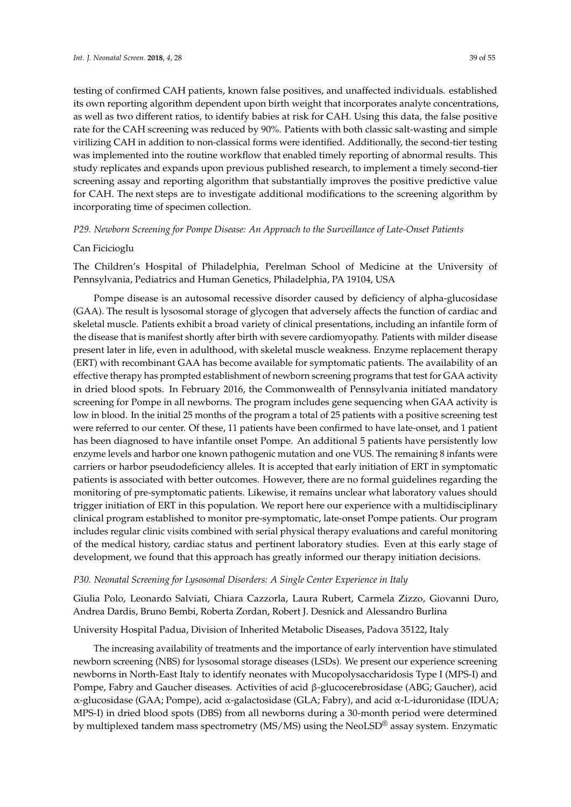testing of confirmed CAH patients, known false positives, and unaffected individuals. established its own reporting algorithm dependent upon birth weight that incorporates analyte concentrations, as well as two different ratios, to identify babies at risk for CAH. Using this data, the false positive rate for the CAH screening was reduced by 90%. Patients with both classic salt-wasting and simple virilizing CAH in addition to non-classical forms were identified. Additionally, the second-tier testing was implemented into the routine workflow that enabled timely reporting of abnormal results. This study replicates and expands upon previous published research, to implement a timely second-tier screening assay and reporting algorithm that substantially improves the positive predictive value for CAH. The next steps are to investigate additional modifications to the screening algorithm by incorporating time of specimen collection.

*P29. Newborn Screening for Pompe Disease: An Approach to the Surveillance of Late-Onset Patients*

# Can Ficicioglu

The Children's Hospital of Philadelphia, Perelman School of Medicine at the University of Pennsylvania, Pediatrics and Human Genetics, Philadelphia, PA 19104, USA

Pompe disease is an autosomal recessive disorder caused by deficiency of alpha-glucosidase (GAA). The result is lysosomal storage of glycogen that adversely affects the function of cardiac and skeletal muscle. Patients exhibit a broad variety of clinical presentations, including an infantile form of the disease that is manifest shortly after birth with severe cardiomyopathy. Patients with milder disease present later in life, even in adulthood, with skeletal muscle weakness. Enzyme replacement therapy (ERT) with recombinant GAA has become available for symptomatic patients. The availability of an effective therapy has prompted establishment of newborn screening programs that test for GAA activity in dried blood spots. In February 2016, the Commonwealth of Pennsylvania initiated mandatory screening for Pompe in all newborns. The program includes gene sequencing when GAA activity is low in blood. In the initial 25 months of the program a total of 25 patients with a positive screening test were referred to our center. Of these, 11 patients have been confirmed to have late-onset, and 1 patient has been diagnosed to have infantile onset Pompe. An additional 5 patients have persistently low enzyme levels and harbor one known pathogenic mutation and one VUS. The remaining 8 infants were carriers or harbor pseudodeficiency alleles. It is accepted that early initiation of ERT in symptomatic patients is associated with better outcomes. However, there are no formal guidelines regarding the monitoring of pre-symptomatic patients. Likewise, it remains unclear what laboratory values should trigger initiation of ERT in this population. We report here our experience with a multidisciplinary clinical program established to monitor pre-symptomatic, late-onset Pompe patients. Our program includes regular clinic visits combined with serial physical therapy evaluations and careful monitoring of the medical history, cardiac status and pertinent laboratory studies. Even at this early stage of development, we found that this approach has greatly informed our therapy initiation decisions.

### *P30. Neonatal Screening for Lysosomal Disorders: A Single Center Experience in Italy*

Giulia Polo, Leonardo Salviati, Chiara Cazzorla, Laura Rubert, Carmela Zizzo, Giovanni Duro, Andrea Dardis, Bruno Bembi, Roberta Zordan, Robert J. Desnick and Alessandro Burlina

#### University Hospital Padua, Division of Inherited Metabolic Diseases, Padova 35122, Italy

The increasing availability of treatments and the importance of early intervention have stimulated newborn screening (NBS) for lysosomal storage diseases (LSDs). We present our experience screening newborns in North-East Italy to identify neonates with Mucopolysaccharidosis Type I (MPS-I) and Pompe, Fabry and Gaucher diseases. Activities of acid β-glucocerebrosidase (ABG; Gaucher), acid α-glucosidase (GAA; Pompe), acid α-galactosidase (GLA; Fabry), and acid α-L-iduronidase (IDUA; MPS-I) in dried blood spots (DBS) from all newborns during a 30-month period were determined by multiplexed tandem mass spectrometry (MS/MS) using the NeoLSD<sup>®</sup> assay system. Enzymatic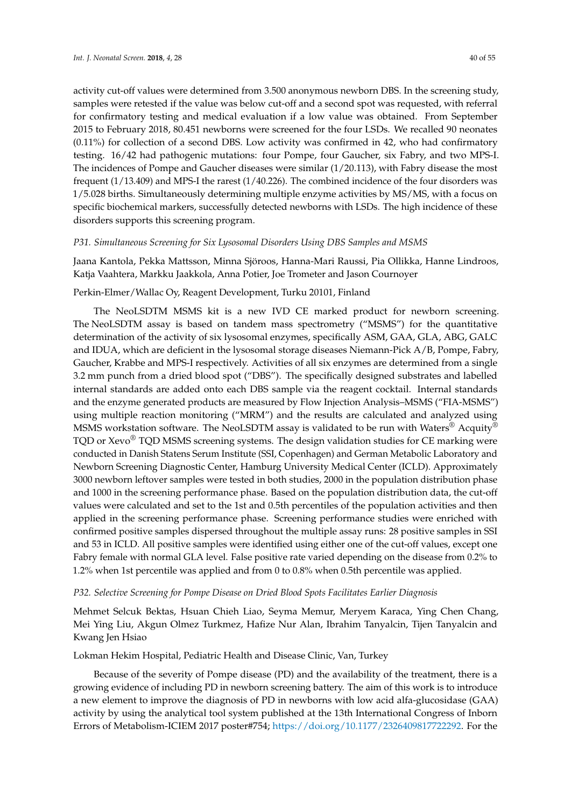activity cut-off values were determined from 3.500 anonymous newborn DBS. In the screening study, samples were retested if the value was below cut-off and a second spot was requested, with referral for confirmatory testing and medical evaluation if a low value was obtained. From September 2015 to February 2018, 80.451 newborns were screened for the four LSDs. We recalled 90 neonates (0.11%) for collection of a second DBS. Low activity was confirmed in 42, who had confirmatory testing. 16/42 had pathogenic mutations: four Pompe, four Gaucher, six Fabry, and two MPS-I. The incidences of Pompe and Gaucher diseases were similar (1/20.113), with Fabry disease the most frequent (1/13.409) and MPS-I the rarest (1/40.226). The combined incidence of the four disorders was 1/5.028 births. Simultaneously determining multiple enzyme activities by MS/MS, with a focus on specific biochemical markers, successfully detected newborns with LSDs. The high incidence of these disorders supports this screening program.

### *P31. Simultaneous Screening for Six Lysosomal Disorders Using DBS Samples and MSMS*

Jaana Kantola, Pekka Mattsson, Minna Sjöroos, Hanna-Mari Raussi, Pia Ollikka, Hanne Lindroos, Katja Vaahtera, Markku Jaakkola, Anna Potier, Joe Trometer and Jason Cournoyer

### Perkin-Elmer/Wallac Oy, Reagent Development, Turku 20101, Finland

The NeoLSDTM MSMS kit is a new IVD CE marked product for newborn screening. The NeoLSDTM assay is based on tandem mass spectrometry ("MSMS") for the quantitative determination of the activity of six lysosomal enzymes, specifically ASM, GAA, GLA, ABG, GALC and IDUA, which are deficient in the lysosomal storage diseases Niemann-Pick A/B, Pompe, Fabry, Gaucher, Krabbe and MPS-I respectively. Activities of all six enzymes are determined from a single 3.2 mm punch from a dried blood spot ("DBS"). The specifically designed substrates and labelled internal standards are added onto each DBS sample via the reagent cocktail. Internal standards and the enzyme generated products are measured by Flow Injection Analysis–MSMS ("FIA-MSMS") using multiple reaction monitoring ("MRM") and the results are calculated and analyzed using MSMS workstation software. The NeoLSDTM assay is validated to be run with Waters<sup>®</sup> Acquity<sup>®</sup> TQD or Xevo® TQD MSMS screening systems. The design validation studies for CE marking were conducted in Danish Statens Serum Institute (SSI, Copenhagen) and German Metabolic Laboratory and Newborn Screening Diagnostic Center, Hamburg University Medical Center (ICLD). Approximately 3000 newborn leftover samples were tested in both studies, 2000 in the population distribution phase and 1000 in the screening performance phase. Based on the population distribution data, the cut-off values were calculated and set to the 1st and 0.5th percentiles of the population activities and then applied in the screening performance phase. Screening performance studies were enriched with confirmed positive samples dispersed throughout the multiple assay runs: 28 positive samples in SSI and 53 in ICLD. All positive samples were identified using either one of the cut-off values, except one Fabry female with normal GLA level. False positive rate varied depending on the disease from 0.2% to 1.2% when 1st percentile was applied and from 0 to 0.8% when 0.5th percentile was applied.

#### *P32. Selective Screening for Pompe Disease on Dried Blood Spots Facilitates Earlier Diagnosis*

Mehmet Selcuk Bektas, Hsuan Chieh Liao, Seyma Memur, Meryem Karaca, Ying Chen Chang, Mei Ying Liu, Akgun Olmez Turkmez, Hafize Nur Alan, Ibrahim Tanyalcin, Tijen Tanyalcin and Kwang Jen Hsiao

Lokman Hekim Hospital, Pediatric Health and Disease Clinic, Van, Turkey

Because of the severity of Pompe disease (PD) and the availability of the treatment, there is a growing evidence of including PD in newborn screening battery. The aim of this work is to introduce a new element to improve the diagnosis of PD in newborns with low acid alfa-glucosidase (GAA) activity by using the analytical tool system published at the 13th International Congress of Inborn Errors of Metabolism-ICIEM 2017 poster#754; [https://doi.org/10.1177/2326409817722292.](https://doi.org/10.1177/2326409817722292) For the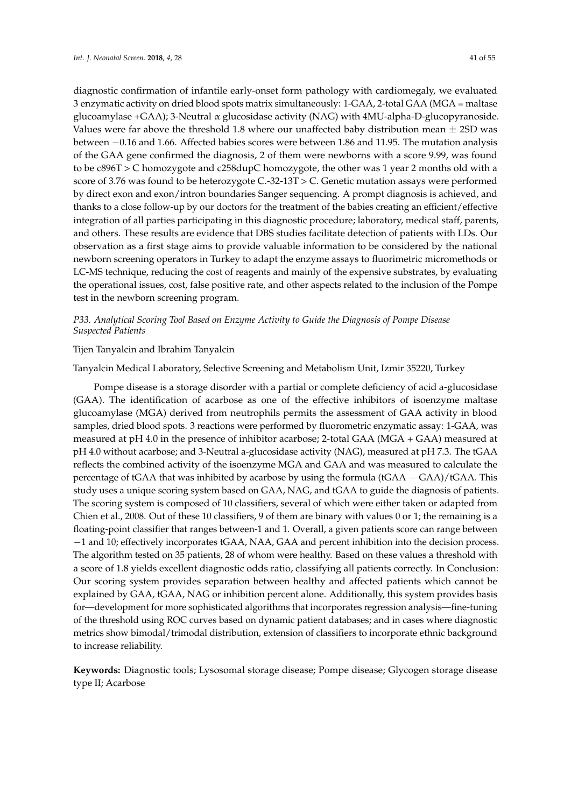diagnostic confirmation of infantile early-onset form pathology with cardiomegaly, we evaluated 3 enzymatic activity on dried blood spots matrix simultaneously: 1-GAA, 2-total GAA (MGA = maltase glucoamylase +GAA); 3-Neutral α glucosidase activity (NAG) with 4MU-alpha-D-glucopyranoside. Values were far above the threshold 1.8 where our unaffected baby distribution mean  $\pm$  2SD was between −0.16 and 1.66. Affected babies scores were between 1.86 and 11.95. The mutation analysis of the GAA gene confirmed the diagnosis, 2 of them were newborns with a score 9.99, was found to be c896T > C homozygote and c258dupC homozygote, the other was 1 year 2 months old with a score of 3.76 was found to be heterozygote C.-32-13T > C. Genetic mutation assays were performed by direct exon and exon/intron boundaries Sanger sequencing. A prompt diagnosis is achieved, and thanks to a close follow-up by our doctors for the treatment of the babies creating an efficient/effective integration of all parties participating in this diagnostic procedure; laboratory, medical staff, parents, and others. These results are evidence that DBS studies facilitate detection of patients with LDs. Our observation as a first stage aims to provide valuable information to be considered by the national newborn screening operators in Turkey to adapt the enzyme assays to fluorimetric micromethods or LC-MS technique, reducing the cost of reagents and mainly of the expensive substrates, by evaluating the operational issues, cost, false positive rate, and other aspects related to the inclusion of the Pompe test in the newborn screening program.

### *P33. Analytical Scoring Tool Based on Enzyme Activity to Guide the Diagnosis of Pompe Disease Suspected Patients*

#### Tijen Tanyalcin and Ibrahim Tanyalcin

Tanyalcin Medical Laboratory, Selective Screening and Metabolism Unit, Izmir 35220, Turkey

Pompe disease is a storage disorder with a partial or complete deficiency of acid a-glucosidase (GAA). The identification of acarbose as one of the effective inhibitors of isoenzyme maltase glucoamylase (MGA) derived from neutrophils permits the assessment of GAA activity in blood samples, dried blood spots. 3 reactions were performed by fluorometric enzymatic assay: 1-GAA, was measured at pH 4.0 in the presence of inhibitor acarbose; 2-total GAA (MGA + GAA) measured at pH 4.0 without acarbose; and 3-Neutral a-glucosidase activity (NAG), measured at pH 7.3. The tGAA reflects the combined activity of the isoenzyme MGA and GAA and was measured to calculate the percentage of tGAA that was inhibited by acarbose by using the formula  $(tGAA - GAA)/tGAA$ . This study uses a unique scoring system based on GAA, NAG, and tGAA to guide the diagnosis of patients. The scoring system is composed of 10 classifiers, several of which were either taken or adapted from Chien et al., 2008. Out of these 10 classifiers, 9 of them are binary with values 0 or 1; the remaining is a floating-point classifier that ranges between-1 and 1. Overall, a given patients score can range between −1 and 10; effectively incorporates tGAA, NAA, GAA and percent inhibition into the decision process. The algorithm tested on 35 patients, 28 of whom were healthy. Based on these values a threshold with a score of 1.8 yields excellent diagnostic odds ratio, classifying all patients correctly. In Conclusion: Our scoring system provides separation between healthy and affected patients which cannot be explained by GAA, tGAA, NAG or inhibition percent alone. Additionally, this system provides basis for—development for more sophisticated algorithms that incorporates regression analysis—fine-tuning of the threshold using ROC curves based on dynamic patient databases; and in cases where diagnostic metrics show bimodal/trimodal distribution, extension of classifiers to incorporate ethnic background to increase reliability.

**Keywords:** Diagnostic tools; Lysosomal storage disease; Pompe disease; Glycogen storage disease type II; Acarbose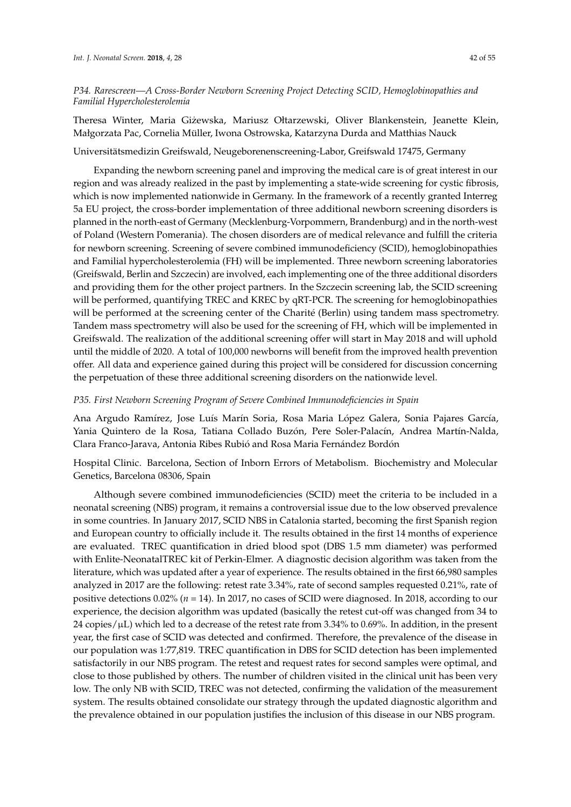### *P34. Rarescreen—A Cross-Border Newborn Screening Project Detecting SCID, Hemoglobinopathies and Familial Hypercholesterolemia*

Theresa Winter, Maria Gizewska, Mariusz Ołtarzewski, Oliver Blankenstein, Jeanette Klein, ˙ Małgorzata Pac, Cornelia Müller, Iwona Ostrowska, Katarzyna Durda and Matthias Nauck

### Universitätsmedizin Greifswald, Neugeborenenscreening-Labor, Greifswald 17475, Germany

Expanding the newborn screening panel and improving the medical care is of great interest in our region and was already realized in the past by implementing a state-wide screening for cystic fibrosis, which is now implemented nationwide in Germany. In the framework of a recently granted Interreg 5a EU project, the cross-border implementation of three additional newborn screening disorders is planned in the north-east of Germany (Mecklenburg-Vorpommern, Brandenburg) and in the north-west of Poland (Western Pomerania). The chosen disorders are of medical relevance and fulfill the criteria for newborn screening. Screening of severe combined immunodeficiency (SCID), hemoglobinopathies and Familial hypercholesterolemia (FH) will be implemented. Three newborn screening laboratories (Greifswald, Berlin and Szczecin) are involved, each implementing one of the three additional disorders and providing them for the other project partners. In the Szczecin screening lab, the SCID screening will be performed, quantifying TREC and KREC by qRT-PCR. The screening for hemoglobinopathies will be performed at the screening center of the Charité (Berlin) using tandem mass spectrometry. Tandem mass spectrometry will also be used for the screening of FH, which will be implemented in Greifswald. The realization of the additional screening offer will start in May 2018 and will uphold until the middle of 2020. A total of 100,000 newborns will benefit from the improved health prevention offer. All data and experience gained during this project will be considered for discussion concerning the perpetuation of these three additional screening disorders on the nationwide level.

#### *P35. First Newborn Screening Program of Severe Combined Immunodeficiencies in Spain*

Ana Argudo Ramírez, Jose Luís Marín Soria, Rosa Maria López Galera, Sonia Pajares García, Yania Quintero de la Rosa, Tatiana Collado Buzón, Pere Soler-Palacín, Andrea Martín-Nalda, Clara Franco-Jarava, Antonia Ribes Rubió and Rosa Maria Fernández Bordón

Hospital Clinic. Barcelona, Section of Inborn Errors of Metabolism. Biochemistry and Molecular Genetics, Barcelona 08306, Spain

Although severe combined immunodeficiencies (SCID) meet the criteria to be included in a neonatal screening (NBS) program, it remains a controversial issue due to the low observed prevalence in some countries. In January 2017, SCID NBS in Catalonia started, becoming the first Spanish region and European country to officially include it. The results obtained in the first 14 months of experience are evaluated. TREC quantification in dried blood spot (DBS 1.5 mm diameter) was performed with Enlite-NeonatalTREC kit of Perkin-Elmer. A diagnostic decision algorithm was taken from the literature, which was updated after a year of experience. The results obtained in the first 66,980 samples analyzed in 2017 are the following: retest rate 3.34%, rate of second samples requested 0.21%, rate of positive detections 0.02% (*n* = 14). In 2017, no cases of SCID were diagnosed. In 2018, according to our experience, the decision algorithm was updated (basically the retest cut-off was changed from 34 to 24 copies/µL) which led to a decrease of the retest rate from 3.34% to 0.69%. In addition, in the present year, the first case of SCID was detected and confirmed. Therefore, the prevalence of the disease in our population was 1:77,819. TREC quantification in DBS for SCID detection has been implemented satisfactorily in our NBS program. The retest and request rates for second samples were optimal, and close to those published by others. The number of children visited in the clinical unit has been very low. The only NB with SCID, TREC was not detected, confirming the validation of the measurement system. The results obtained consolidate our strategy through the updated diagnostic algorithm and the prevalence obtained in our population justifies the inclusion of this disease in our NBS program.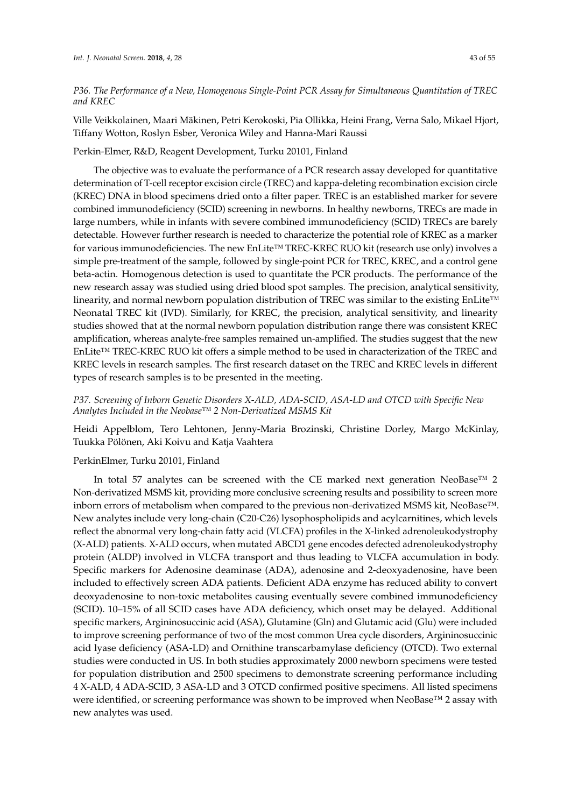# *P36. The Performance of a New, Homogenous Single-Point PCR Assay for Simultaneous Quantitation of TREC and KREC*

Ville Veikkolainen, Maari Mäkinen, Petri Kerokoski, Pia Ollikka, Heini Frang, Verna Salo, Mikael Hjort, Tiffany Wotton, Roslyn Esber, Veronica Wiley and Hanna-Mari Raussi

# Perkin-Elmer, R&D, Reagent Development, Turku 20101, Finland

The objective was to evaluate the performance of a PCR research assay developed for quantitative determination of T-cell receptor excision circle (TREC) and kappa-deleting recombination excision circle (KREC) DNA in blood specimens dried onto a filter paper. TREC is an established marker for severe combined immunodeficiency (SCID) screening in newborns. In healthy newborns, TRECs are made in large numbers, while in infants with severe combined immunodeficiency (SCID) TRECs are barely detectable. However further research is needed to characterize the potential role of KREC as a marker for various immunodeficiencies. The new EnLite™ TREC-KREC RUO kit (research use only) involves a simple pre-treatment of the sample, followed by single-point PCR for TREC, KREC, and a control gene beta-actin. Homogenous detection is used to quantitate the PCR products. The performance of the new research assay was studied using dried blood spot samples. The precision, analytical sensitivity, linearity, and normal newborn population distribution of TREC was similar to the existing EnLite™ Neonatal TREC kit (IVD). Similarly, for KREC, the precision, analytical sensitivity, and linearity studies showed that at the normal newborn population distribution range there was consistent KREC amplification, whereas analyte-free samples remained un-amplified. The studies suggest that the new EnLite™ TREC-KREC RUO kit offers a simple method to be used in characterization of the TREC and KREC levels in research samples. The first research dataset on the TREC and KREC levels in different types of research samples is to be presented in the meeting.

# *P37. Screening of Inborn Genetic Disorders X-ALD, ADA-SCID, ASA-LD and OTCD with Specific New Analytes Included in the Neobase™ 2 Non-Derivatized MSMS Kit*

Heidi Appelblom, Tero Lehtonen, Jenny-Maria Brozinski, Christine Dorley, Margo McKinlay, Tuukka Pölönen, Aki Koivu and Katja Vaahtera

# PerkinElmer, Turku 20101, Finland

In total 57 analytes can be screened with the CE marked next generation NeoBase™ 2 Non-derivatized MSMS kit, providing more conclusive screening results and possibility to screen more inborn errors of metabolism when compared to the previous non-derivatized MSMS kit, NeoBase™. New analytes include very long-chain (C20-C26) lysophospholipids and acylcarnitines, which levels reflect the abnormal very long-chain fatty acid (VLCFA) profiles in the X-linked adrenoleukodystrophy (X-ALD) patients. X-ALD occurs, when mutated ABCD1 gene encodes defected adrenoleukodystrophy protein (ALDP) involved in VLCFA transport and thus leading to VLCFA accumulation in body. Specific markers for Adenosine deaminase (ADA), adenosine and 2-deoxyadenosine, have been included to effectively screen ADA patients. Deficient ADA enzyme has reduced ability to convert deoxyadenosine to non-toxic metabolites causing eventually severe combined immunodeficiency (SCID). 10–15% of all SCID cases have ADA deficiency, which onset may be delayed. Additional specific markers, Argininosuccinic acid (ASA), Glutamine (Gln) and Glutamic acid (Glu) were included to improve screening performance of two of the most common Urea cycle disorders, Argininosuccinic acid lyase deficiency (ASA-LD) and Ornithine transcarbamylase deficiency (OTCD). Two external studies were conducted in US. In both studies approximately 2000 newborn specimens were tested for population distribution and 2500 specimens to demonstrate screening performance including 4 X-ALD, 4 ADA-SCID, 3 ASA-LD and 3 OTCD confirmed positive specimens. All listed specimens were identified, or screening performance was shown to be improved when NeoBase™ 2 assay with new analytes was used.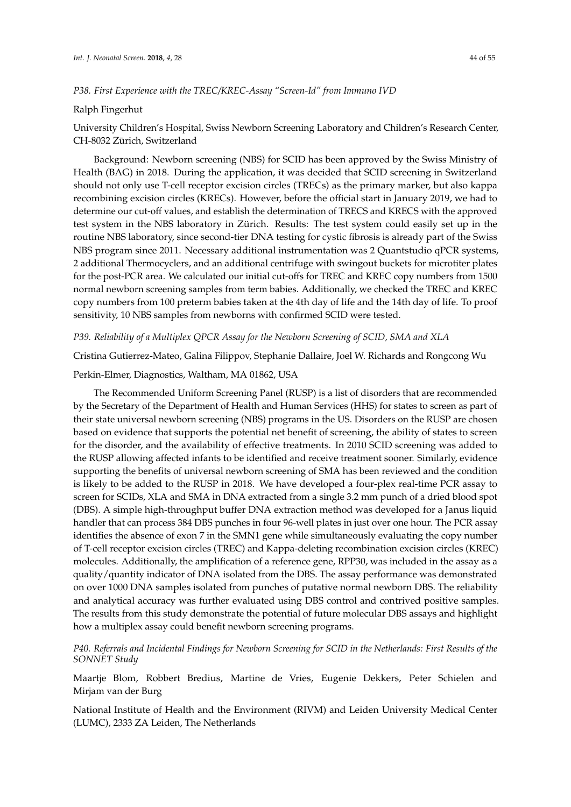### *P38. First Experience with the TREC/KREC-Assay "Screen-Id" from Immuno IVD*

### Ralph Fingerhut

University Children's Hospital, Swiss Newborn Screening Laboratory and Children's Research Center, CH-8032 Zürich, Switzerland

Background: Newborn screening (NBS) for SCID has been approved by the Swiss Ministry of Health (BAG) in 2018. During the application, it was decided that SCID screening in Switzerland should not only use T-cell receptor excision circles (TRECs) as the primary marker, but also kappa recombining excision circles (KRECs). However, before the official start in January 2019, we had to determine our cut-off values, and establish the determination of TRECS and KRECS with the approved test system in the NBS laboratory in Zürich. Results: The test system could easily set up in the routine NBS laboratory, since second-tier DNA testing for cystic fibrosis is already part of the Swiss NBS program since 2011. Necessary additional instrumentation was 2 Quantstudio qPCR systems, 2 additional Thermocyclers, and an additional centrifuge with swingout buckets for microtiter plates for the post-PCR area. We calculated our initial cut-offs for TREC and KREC copy numbers from 1500 normal newborn screening samples from term babies. Additionally, we checked the TREC and KREC copy numbers from 100 preterm babies taken at the 4th day of life and the 14th day of life. To proof sensitivity, 10 NBS samples from newborns with confirmed SCID were tested.

### *P39. Reliability of a Multiplex QPCR Assay for the Newborn Screening of SCID, SMA and XLA*

Cristina Gutierrez-Mateo, Galina Filippov, Stephanie Dallaire, Joel W. Richards and Rongcong Wu

### Perkin-Elmer, Diagnostics, Waltham, MA 01862, USA

The Recommended Uniform Screening Panel (RUSP) is a list of disorders that are recommended by the Secretary of the Department of Health and Human Services (HHS) for states to screen as part of their state universal newborn screening (NBS) programs in the US. Disorders on the RUSP are chosen based on evidence that supports the potential net benefit of screening, the ability of states to screen for the disorder, and the availability of effective treatments. In 2010 SCID screening was added to the RUSP allowing affected infants to be identified and receive treatment sooner. Similarly, evidence supporting the benefits of universal newborn screening of SMA has been reviewed and the condition is likely to be added to the RUSP in 2018. We have developed a four-plex real-time PCR assay to screen for SCIDs, XLA and SMA in DNA extracted from a single 3.2 mm punch of a dried blood spot (DBS). A simple high-throughput buffer DNA extraction method was developed for a Janus liquid handler that can process 384 DBS punches in four 96-well plates in just over one hour. The PCR assay identifies the absence of exon 7 in the SMN1 gene while simultaneously evaluating the copy number of T-cell receptor excision circles (TREC) and Kappa-deleting recombination excision circles (KREC) molecules. Additionally, the amplification of a reference gene, RPP30, was included in the assay as a quality/quantity indicator of DNA isolated from the DBS. The assay performance was demonstrated on over 1000 DNA samples isolated from punches of putative normal newborn DBS. The reliability and analytical accuracy was further evaluated using DBS control and contrived positive samples. The results from this study demonstrate the potential of future molecular DBS assays and highlight how a multiplex assay could benefit newborn screening programs.

# *P40. Referrals and Incidental Findings for Newborn Screening for SCID in the Netherlands: First Results of the SONNET Study*

Maartje Blom, Robbert Bredius, Martine de Vries, Eugenie Dekkers, Peter Schielen and Mirjam van der Burg

National Institute of Health and the Environment (RIVM) and Leiden University Medical Center (LUMC), 2333 ZA Leiden, The Netherlands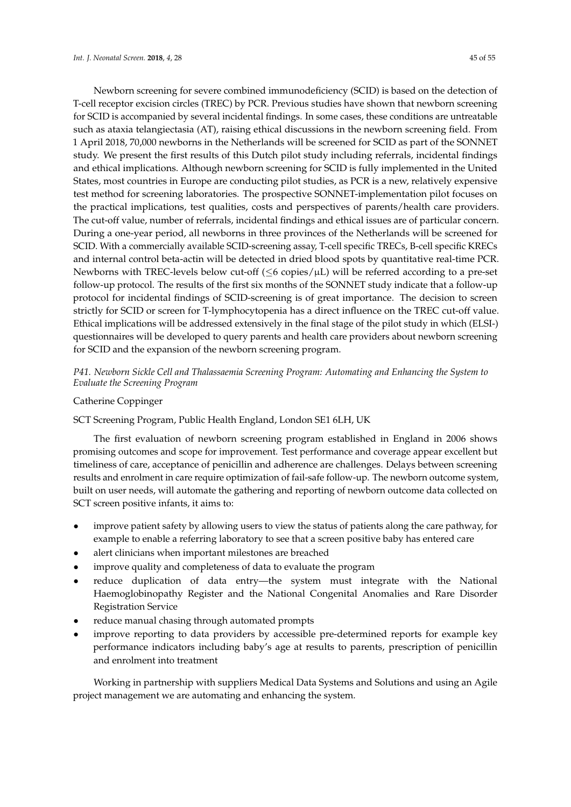Newborn screening for severe combined immunodeficiency (SCID) is based on the detection of T-cell receptor excision circles (TREC) by PCR. Previous studies have shown that newborn screening for SCID is accompanied by several incidental findings. In some cases, these conditions are untreatable such as ataxia telangiectasia (AT), raising ethical discussions in the newborn screening field. From 1 April 2018, 70,000 newborns in the Netherlands will be screened for SCID as part of the SONNET study. We present the first results of this Dutch pilot study including referrals, incidental findings and ethical implications. Although newborn screening for SCID is fully implemented in the United States, most countries in Europe are conducting pilot studies, as PCR is a new, relatively expensive test method for screening laboratories. The prospective SONNET-implementation pilot focuses on the practical implications, test qualities, costs and perspectives of parents/health care providers. The cut-off value, number of referrals, incidental findings and ethical issues are of particular concern. During a one-year period, all newborns in three provinces of the Netherlands will be screened for SCID. With a commercially available SCID-screening assay, T-cell specific TRECs, B-cell specific KRECs and internal control beta-actin will be detected in dried blood spots by quantitative real-time PCR. Newborns with TREC-levels below cut-off ( $\leq 6$  copies/ $\mu$ L) will be referred according to a pre-set follow-up protocol. The results of the first six months of the SONNET study indicate that a follow-up protocol for incidental findings of SCID-screening is of great importance. The decision to screen strictly for SCID or screen for T-lymphocytopenia has a direct influence on the TREC cut-off value. Ethical implications will be addressed extensively in the final stage of the pilot study in which (ELSI-) questionnaires will be developed to query parents and health care providers about newborn screening for SCID and the expansion of the newborn screening program.

*P41. Newborn Sickle Cell and Thalassaemia Screening Program: Automating and Enhancing the System to Evaluate the Screening Program*

#### Catherine Coppinger

SCT Screening Program, Public Health England, London SE1 6LH, UK

The first evaluation of newborn screening program established in England in 2006 shows promising outcomes and scope for improvement. Test performance and coverage appear excellent but timeliness of care, acceptance of penicillin and adherence are challenges. Delays between screening results and enrolment in care require optimization of fail-safe follow-up. The newborn outcome system, built on user needs, will automate the gathering and reporting of newborn outcome data collected on SCT screen positive infants, it aims to:

- improve patient safety by allowing users to view the status of patients along the care pathway, for example to enable a referring laboratory to see that a screen positive baby has entered care
- alert clinicians when important milestones are breached
- improve quality and completeness of data to evaluate the program
- reduce duplication of data entry—the system must integrate with the National Haemoglobinopathy Register and the National Congenital Anomalies and Rare Disorder Registration Service
- reduce manual chasing through automated prompts
- improve reporting to data providers by accessible pre-determined reports for example key performance indicators including baby's age at results to parents, prescription of penicillin and enrolment into treatment

Working in partnership with suppliers Medical Data Systems and Solutions and using an Agile project management we are automating and enhancing the system.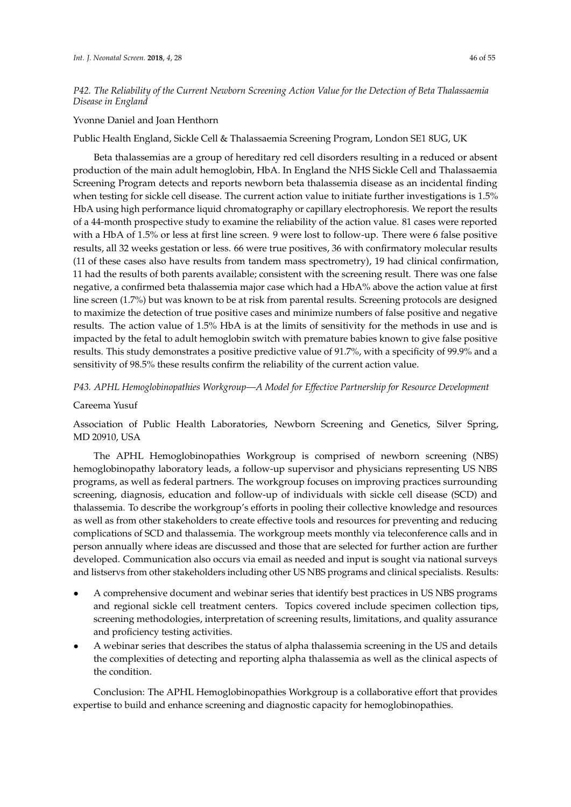# *P42. The Reliability of the Current Newborn Screening Action Value for the Detection of Beta Thalassaemia Disease in England*

Yvonne Daniel and Joan Henthorn

Public Health England, Sickle Cell & Thalassaemia Screening Program, London SE1 8UG, UK

Beta thalassemias are a group of hereditary red cell disorders resulting in a reduced or absent production of the main adult hemoglobin, HbA. In England the NHS Sickle Cell and Thalassaemia Screening Program detects and reports newborn beta thalassemia disease as an incidental finding when testing for sickle cell disease. The current action value to initiate further investigations is 1.5% HbA using high performance liquid chromatography or capillary electrophoresis. We report the results of a 44-month prospective study to examine the reliability of the action value. 81 cases were reported with a HbA of 1.5% or less at first line screen. 9 were lost to follow-up. There were 6 false positive results, all 32 weeks gestation or less. 66 were true positives, 36 with confirmatory molecular results (11 of these cases also have results from tandem mass spectrometry), 19 had clinical confirmation, 11 had the results of both parents available; consistent with the screening result. There was one false negative, a confirmed beta thalassemia major case which had a HbA% above the action value at first line screen (1.7%) but was known to be at risk from parental results. Screening protocols are designed to maximize the detection of true positive cases and minimize numbers of false positive and negative results. The action value of 1.5% HbA is at the limits of sensitivity for the methods in use and is impacted by the fetal to adult hemoglobin switch with premature babies known to give false positive results. This study demonstrates a positive predictive value of 91.7%, with a specificity of 99.9% and a sensitivity of 98.5% these results confirm the reliability of the current action value.

*P43. APHL Hemoglobinopathies Workgroup—A Model for Effective Partnership for Resource Development*

# Careema Yusuf

Association of Public Health Laboratories, Newborn Screening and Genetics, Silver Spring, MD 20910, USA

The APHL Hemoglobinopathies Workgroup is comprised of newborn screening (NBS) hemoglobinopathy laboratory leads, a follow-up supervisor and physicians representing US NBS programs, as well as federal partners. The workgroup focuses on improving practices surrounding screening, diagnosis, education and follow-up of individuals with sickle cell disease (SCD) and thalassemia. To describe the workgroup's efforts in pooling their collective knowledge and resources as well as from other stakeholders to create effective tools and resources for preventing and reducing complications of SCD and thalassemia. The workgroup meets monthly via teleconference calls and in person annually where ideas are discussed and those that are selected for further action are further developed. Communication also occurs via email as needed and input is sought via national surveys and listservs from other stakeholders including other US NBS programs and clinical specialists. Results:

- A comprehensive document and webinar series that identify best practices in US NBS programs and regional sickle cell treatment centers. Topics covered include specimen collection tips, screening methodologies, interpretation of screening results, limitations, and quality assurance and proficiency testing activities.
- A webinar series that describes the status of alpha thalassemia screening in the US and details the complexities of detecting and reporting alpha thalassemia as well as the clinical aspects of the condition.

Conclusion: The APHL Hemoglobinopathies Workgroup is a collaborative effort that provides expertise to build and enhance screening and diagnostic capacity for hemoglobinopathies.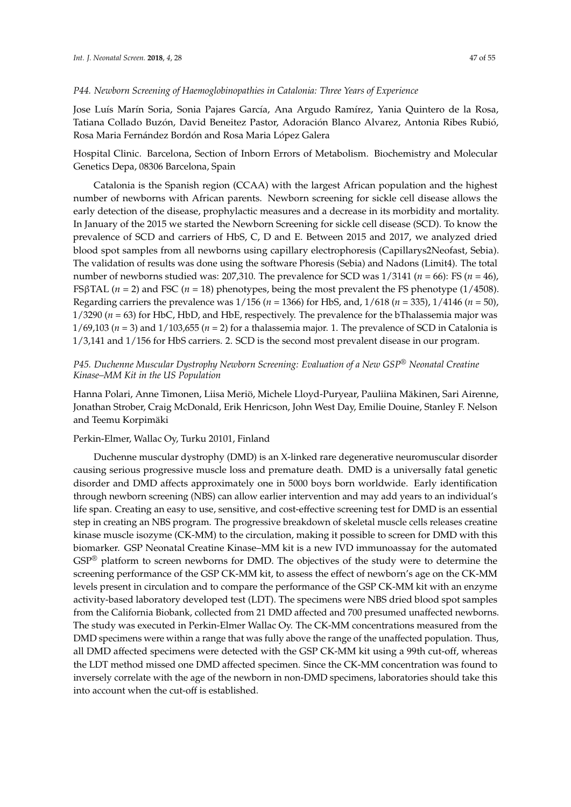### *P44. Newborn Screening of Haemoglobinopathies in Catalonia: Three Years of Experience*

Jose Luís Marín Soria, Sonia Pajares García, Ana Argudo Ramírez, Yania Quintero de la Rosa, Tatiana Collado Buzón, David Beneitez Pastor, Adoración Blanco Alvarez, Antonia Ribes Rubió, Rosa Maria Fernández Bordón and Rosa Maria López Galera

Hospital Clinic. Barcelona, Section of Inborn Errors of Metabolism. Biochemistry and Molecular Genetics Depa, 08306 Barcelona, Spain

Catalonia is the Spanish region (CCAA) with the largest African population and the highest number of newborns with African parents. Newborn screening for sickle cell disease allows the early detection of the disease, prophylactic measures and a decrease in its morbidity and mortality. In January of the 2015 we started the Newborn Screening for sickle cell disease (SCD). To know the prevalence of SCD and carriers of HbS, C, D and E. Between 2015 and 2017, we analyzed dried blood spot samples from all newborns using capillary electrophoresis (Capillarys2Neofast, Sebia). The validation of results was done using the software Phoresis (Sebia) and Nadons (Limit4). The total number of newborns studied was: 207,310. The prevalence for SCD was 1/3141 (*n* = 66): FS (*n* = 46), FSβTAL (*n* = 2) and FSC (*n* = 18) phenotypes, being the most prevalent the FS phenotype (1/4508). Regarding carriers the prevalence was 1/156 (*n* = 1366) for HbS, and, 1/618 (*n* = 335), 1/4146 (*n* = 50), 1/3290 (*n* = 63) for HbC, HbD, and HbE, respectively. The prevalence for the bThalassemia major was 1/69,103 (*n* = 3) and 1/103,655 (*n* = 2) for a thalassemia major. 1. The prevalence of SCD in Catalonia is 1/3,141 and 1/156 for HbS carriers. 2. SCD is the second most prevalent disease in our program.

# *P45. Duchenne Muscular Dystrophy Newborn Screening: Evaluation of a New GSP® Neonatal Creatine Kinase–MM Kit in the US Population*

Hanna Polari, Anne Timonen, Liisa Meriö, Michele Lloyd-Puryear, Pauliina Mäkinen, Sari Airenne, Jonathan Strober, Craig McDonald, Erik Henricson, John West Day, Emilie Douine, Stanley F. Nelson and Teemu Korpimäki

### Perkin-Elmer, Wallac Oy, Turku 20101, Finland

Duchenne muscular dystrophy (DMD) is an X-linked rare degenerative neuromuscular disorder causing serious progressive muscle loss and premature death. DMD is a universally fatal genetic disorder and DMD affects approximately one in 5000 boys born worldwide. Early identification through newborn screening (NBS) can allow earlier intervention and may add years to an individual's life span. Creating an easy to use, sensitive, and cost-effective screening test for DMD is an essential step in creating an NBS program. The progressive breakdown of skeletal muscle cells releases creatine kinase muscle isozyme (CK-MM) to the circulation, making it possible to screen for DMD with this biomarker. GSP Neonatal Creatine Kinase–MM kit is a new IVD immunoassay for the automated GSP® platform to screen newborns for DMD. The objectives of the study were to determine the screening performance of the GSP CK-MM kit, to assess the effect of newborn's age on the CK-MM levels present in circulation and to compare the performance of the GSP CK-MM kit with an enzyme activity-based laboratory developed test (LDT). The specimens were NBS dried blood spot samples from the California Biobank, collected from 21 DMD affected and 700 presumed unaffected newborns. The study was executed in Perkin-Elmer Wallac Oy. The CK-MM concentrations measured from the DMD specimens were within a range that was fully above the range of the unaffected population. Thus, all DMD affected specimens were detected with the GSP CK-MM kit using a 99th cut-off, whereas the LDT method missed one DMD affected specimen. Since the CK-MM concentration was found to inversely correlate with the age of the newborn in non-DMD specimens, laboratories should take this into account when the cut-off is established.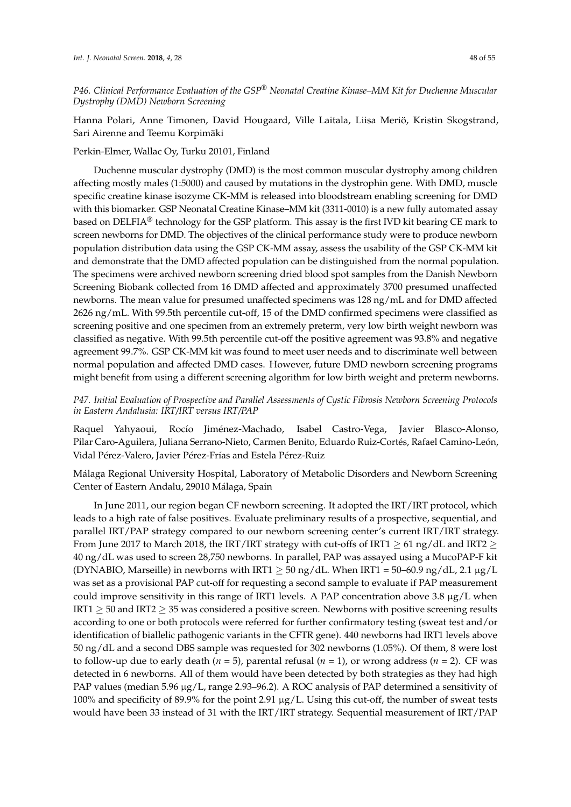*P46. Clinical Performance Evaluation of the GSP® Neonatal Creatine Kinase–MM Kit for Duchenne Muscular Dystrophy (DMD) Newborn Screening*

Hanna Polari, Anne Timonen, David Hougaard, Ville Laitala, Liisa Meriö, Kristin Skogstrand, Sari Airenne and Teemu Korpimäki

### Perkin-Elmer, Wallac Oy, Turku 20101, Finland

Duchenne muscular dystrophy (DMD) is the most common muscular dystrophy among children affecting mostly males (1:5000) and caused by mutations in the dystrophin gene. With DMD, muscle specific creatine kinase isozyme CK-MM is released into bloodstream enabling screening for DMD with this biomarker. GSP Neonatal Creatine Kinase–MM kit (3311-0010) is a new fully automated assay based on DELFIA<sup>®</sup> technology for the GSP platform. This assay is the first IVD kit bearing CE mark to screen newborns for DMD. The objectives of the clinical performance study were to produce newborn population distribution data using the GSP CK-MM assay, assess the usability of the GSP CK-MM kit and demonstrate that the DMD affected population can be distinguished from the normal population. The specimens were archived newborn screening dried blood spot samples from the Danish Newborn Screening Biobank collected from 16 DMD affected and approximately 3700 presumed unaffected newborns. The mean value for presumed unaffected specimens was 128 ng/mL and for DMD affected 2626 ng/mL. With 99.5th percentile cut-off, 15 of the DMD confirmed specimens were classified as screening positive and one specimen from an extremely preterm, very low birth weight newborn was classified as negative. With 99.5th percentile cut-off the positive agreement was 93.8% and negative agreement 99.7%. GSP CK-MM kit was found to meet user needs and to discriminate well between normal population and affected DMD cases. However, future DMD newborn screening programs might benefit from using a different screening algorithm for low birth weight and preterm newborns.

### *P47. Initial Evaluation of Prospective and Parallel Assessments of Cystic Fibrosis Newborn Screening Protocols in Eastern Andalusia: IRT/IRT versus IRT/PAP*

Raquel Yahyaoui, Rocío Jiménez-Machado, Isabel Castro-Vega, Javier Blasco-Alonso, Pilar Caro-Aguilera, Juliana Serrano-Nieto, Carmen Benito, Eduardo Ruiz-Cortés, Rafael Camino-León, Vidal Pérez-Valero, Javier Pérez-Frías and Estela Pérez-Ruiz

Málaga Regional University Hospital, Laboratory of Metabolic Disorders and Newborn Screening Center of Eastern Andalu, 29010 Málaga, Spain

In June 2011, our region began CF newborn screening. It adopted the IRT/IRT protocol, which leads to a high rate of false positives. Evaluate preliminary results of a prospective, sequential, and parallel IRT/PAP strategy compared to our newborn screening center's current IRT/IRT strategy. From June 2017 to March 2018, the IRT/IRT strategy with cut-offs of IRT1  $\geq$  61 ng/dL and IRT2  $\geq$ 40 ng/dL was used to screen 28,750 newborns. In parallel, PAP was assayed using a MucoPAP-F kit (DYNABIO, Marseille) in newborns with IRT1  $\geq$  50 ng/dL. When IRT1 = 50–60.9 ng/dL, 2.1 µg/L was set as a provisional PAP cut-off for requesting a second sample to evaluate if PAP measurement could improve sensitivity in this range of IRT1 levels. A PAP concentration above  $3.8 \mu g/L$  when IRT1  $\geq$  50 and IRT2  $\geq$  35 was considered a positive screen. Newborns with positive screening results according to one or both protocols were referred for further confirmatory testing (sweat test and/or identification of biallelic pathogenic variants in the CFTR gene). 440 newborns had IRT1 levels above 50 ng/dL and a second DBS sample was requested for 302 newborns (1.05%). Of them, 8 were lost to follow-up due to early death ( $n = 5$ ), parental refusal ( $n = 1$ ), or wrong address ( $n = 2$ ). CF was detected in 6 newborns. All of them would have been detected by both strategies as they had high PAP values (median 5.96  $\mu$ g/L, range 2.93–96.2). A ROC analysis of PAP determined a sensitivity of 100% and specificity of 89.9% for the point 2.91 µg/L. Using this cut-off, the number of sweat tests would have been 33 instead of 31 with the IRT/IRT strategy. Sequential measurement of IRT/PAP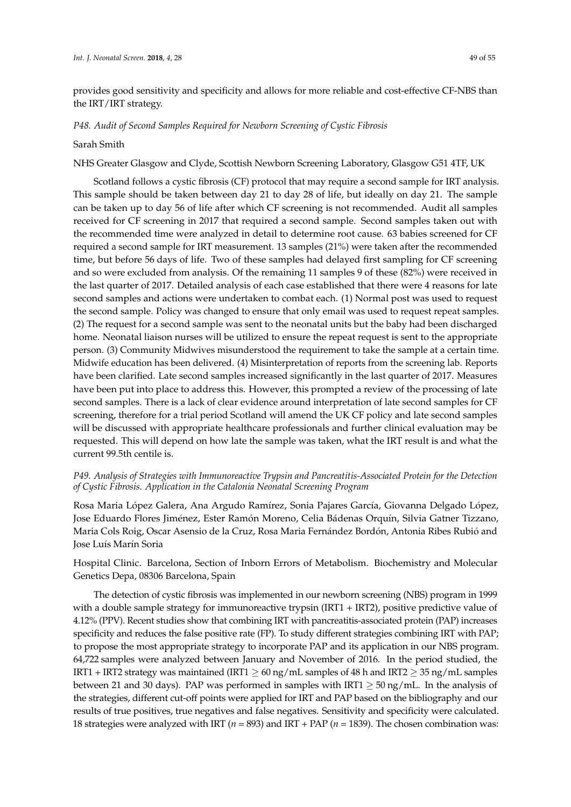provides good sensitivity and specificity and allows for more reliable and cost-effective CF-NBS than the IRT/IRT strategy.

#### *P48. Audit of Second Samples Required for Newborn Screening of Cystic Fibrosis*

#### Sarah Smith

NHS Greater Glasgow and Clyde, Scottish Newborn Screening Laboratory, Glasgow G51 4TF, UK

Scotland follows a cystic fibrosis (CF) protocol that may require a second sample for IRT analysis. This sample should be taken between day 21 to day 28 of life, but ideally on day 21. The sample can be taken up to day 56 of life after which CF screening is not recommended. Audit all samples received for CF screening in 2017 that required a second sample. Second samples taken out with the recommended time were analyzed in detail to determine root cause. 63 babies screened for CF required a second sample for IRT measurement. 13 samples (21%) were taken after the recommended time, but before 56 days of life. Two of these samples had delayed first sampling for CF screening and so were excluded from analysis. Of the remaining 11 samples 9 of these (82%) were received in the last quarter of 2017. Detailed analysis of each case established that there were 4 reasons for late second samples and actions were undertaken to combat each. (1) Normal post was used to request the second sample. Policy was changed to ensure that only email was used to request repeat samples. (2) The request for a second sample was sent to the neonatal units but the baby had been discharged home. Neonatal liaison nurses will be utilized to ensure the repeat request is sent to the appropriate person. (3) Community Midwives misunderstood the requirement to take the sample at a certain time. Midwife education has been delivered. (4) Misinterpretation of reports from the screening lab. Reports have been clarified. Late second samples increased significantly in the last quarter of 2017. Measures have been put into place to address this. However, this prompted a review of the processing of late second samples. There is a lack of clear evidence around interpretation of late second samples for CF screening, therefore for a trial period Scotland will amend the UK CF policy and late second samples will be discussed with appropriate healthcare professionals and further clinical evaluation may be requested. This will depend on how late the sample was taken, what the IRT result is and what the current 99.5th centile is.

### *P49. Analysis of Strategies with Immunoreactive Trypsin and Pancreatitis-Associated Protein for the Detection of Cystic Fibrosis. Application in the Catalonia Neonatal Screening Program*

Rosa Maria López Galera, Ana Argudo Ramírez, Sonia Pajares García, Giovanna Delgado López, Jose Eduardo Flores Jiménez, Ester Ramón Moreno, Celia Bádenas Orquín, Silvia Gatner Tizzano, Maria Cols Roig, Oscar Asensio de la Cruz, Rosa Maria Fernández Bordón, Antonia Ribes Rubió and Jose Luís Marín Soria

Hospital Clinic. Barcelona, Section of Inborn Errors of Metabolism. Biochemistry and Molecular Genetics Depa, 08306 Barcelona, Spain

The detection of cystic fibrosis was implemented in our newborn screening (NBS) program in 1999 with a double sample strategy for immunoreactive trypsin (IRT1 + IRT2), positive predictive value of 4.12% (PPV). Recent studies show that combining IRT with pancreatitis-associated protein (PAP) increases specificity and reduces the false positive rate (FP). To study different strategies combining IRT with PAP; to propose the most appropriate strategy to incorporate PAP and its application in our NBS program. 64,722 samples were analyzed between January and November of 2016. In the period studied, the IRT1 + IRT2 strategy was maintained (IRT1  $\geq$  60 ng/mL samples of 48 h and IRT2  $\geq$  35 ng/mL samples between 21 and 30 days). PAP was performed in samples with IRT1  $\geq$  50 ng/mL. In the analysis of the strategies, different cut-off points were applied for IRT and PAP based on the bibliography and our results of true positives, true negatives and false negatives. Sensitivity and specificity were calculated. 18 strategies were analyzed with IRT (*n* = 893) and IRT + PAP (*n* = 1839). The chosen combination was: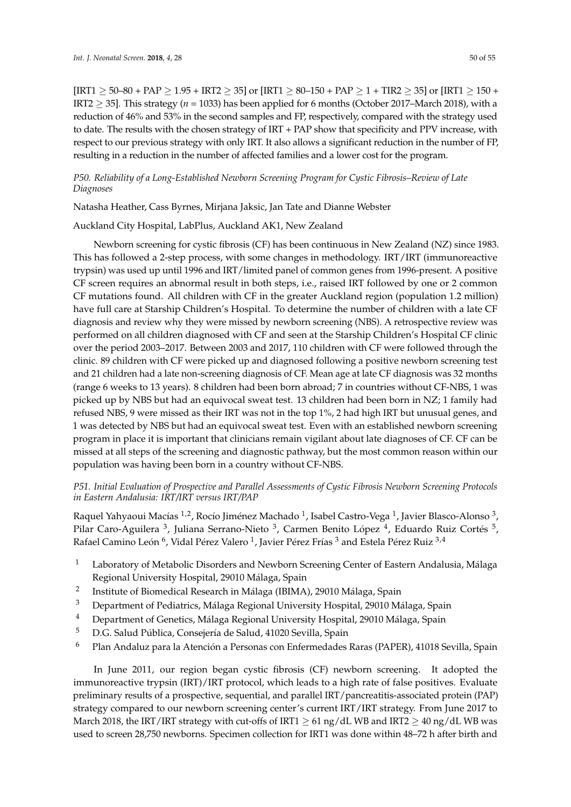$[IRT1 \ge 50-80 + PAP \ge 1.95 + IRT2 \ge 35]$  or  $[IRT1 \ge 80-150 + PAP \ge 1 + TIR2 \ge 35]$  or  $[IRT1 \ge 150 +$ IRT2  $\geq$  35]. This strategy ( $n = 1033$ ) has been applied for 6 months (October 2017–March 2018), with a reduction of 46% and 53% in the second samples and FP, respectively, compared with the strategy used to date. The results with the chosen strategy of IRT + PAP show that specificity and PPV increase, with respect to our previous strategy with only IRT. It also allows a significant reduction in the number of FP, resulting in a reduction in the number of affected families and a lower cost for the program.

# *P50. Reliability of a Long-Established Newborn Screening Program for Cystic Fibrosis–Review of Late Diagnoses*

Natasha Heather, Cass Byrnes, Mirjana Jaksic, Jan Tate and Dianne Webster

Auckland City Hospital, LabPlus, Auckland AK1, New Zealand

Newborn screening for cystic fibrosis (CF) has been continuous in New Zealand (NZ) since 1983. This has followed a 2-step process, with some changes in methodology. IRT/IRT (immunoreactive trypsin) was used up until 1996 and IRT/limited panel of common genes from 1996-present. A positive CF screen requires an abnormal result in both steps, i.e., raised IRT followed by one or 2 common CF mutations found. All children with CF in the greater Auckland region (population 1.2 million) have full care at Starship Children's Hospital. To determine the number of children with a late CF diagnosis and review why they were missed by newborn screening (NBS). A retrospective review was performed on all children diagnosed with CF and seen at the Starship Children's Hospital CF clinic over the period 2003–2017. Between 2003 and 2017, 110 children with CF were followed through the clinic. 89 children with CF were picked up and diagnosed following a positive newborn screening test and 21 children had a late non-screening diagnosis of CF. Mean age at late CF diagnosis was 32 months (range 6 weeks to 13 years). 8 children had been born abroad; 7 in countries without CF-NBS, 1 was picked up by NBS but had an equivocal sweat test. 13 children had been born in NZ; 1 family had refused NBS, 9 were missed as their IRT was not in the top 1%, 2 had high IRT but unusual genes, and 1 was detected by NBS but had an equivocal sweat test. Even with an established newborn screening program in place it is important that clinicians remain vigilant about late diagnoses of CF. CF can be missed at all steps of the screening and diagnostic pathway, but the most common reason within our population was having been born in a country without CF-NBS.

# *P51. Initial Evaluation of Prospective and Parallel Assessments of Cystic Fibrosis Newborn Screening Protocols in Eastern Andalusia: IRT/IRT versus IRT/PAP*

Raquel Yahyaoui Macías <sup>1,2</sup>, Rocío Jiménez Machado <sup>1</sup>, Isabel Castro-Vega <sup>1</sup>, Javier Blasco-Alonso <sup>3</sup>, Pilar Caro-Aguilera <sup>3</sup>, Juliana Serrano-Nieto <sup>3</sup>, Carmen Benito López <sup>4</sup>, Eduardo Ruiz Cortés <sup>5</sup>, Rafael Camino León <sup>6</sup>, Vidal Pérez Valero <sup>1</sup>, Javier Pérez Frías <sup>3</sup> and Estela Pérez Ruiz <sup>3,4</sup>

- <sup>1</sup> Laboratory of Metabolic Disorders and Newborn Screening Center of Eastern Andalusia, Málaga Regional University Hospital, 29010 Málaga, Spain
- 2 Institute of Biomedical Research in Málaga (IBIMA), 29010 Málaga, Spain
- <sup>3</sup> Department of Pediatrics, Málaga Regional University Hospital, 29010 Málaga, Spain
- <sup>4</sup> Department of Genetics, Málaga Regional University Hospital, 29010 Málaga, Spain
- <sup>5</sup> D.G. Salud Pública, Consejería de Salud, 41020 Sevilla, Spain
- <sup>6</sup> Plan Andaluz para la Atención a Personas con Enfermedades Raras (PAPER), 41018 Sevilla, Spain

In June 2011, our region began cystic fibrosis (CF) newborn screening. It adopted the immunoreactive trypsin (IRT)/IRT protocol, which leads to a high rate of false positives. Evaluate preliminary results of a prospective, sequential, and parallel IRT/pancreatitis-associated protein (PAP) strategy compared to our newborn screening center's current IRT/IRT strategy. From June 2017 to March 2018, the IRT/IRT strategy with cut-offs of IRT1  $\geq$  61 ng/dL WB and IRT2  $\geq$  40 ng/dL WB was used to screen 28,750 newborns. Specimen collection for IRT1 was done within 48–72 h after birth and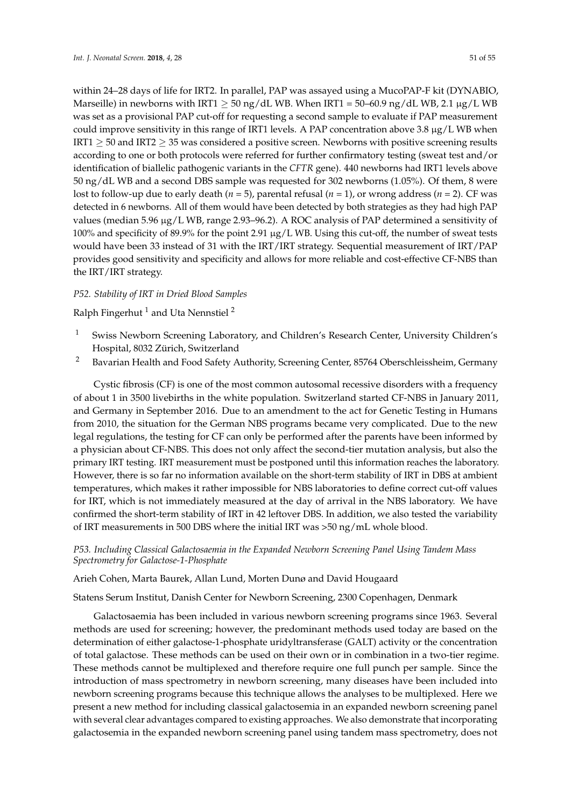within 24–28 days of life for IRT2. In parallel, PAP was assayed using a MucoPAP-F kit (DYNABIO, Marseille) in newborns with IRT1  $\geq$  50 ng/dL WB. When IRT1 = 50–60.9 ng/dL WB, 2.1  $\mu$ g/L WB was set as a provisional PAP cut-off for requesting a second sample to evaluate if PAP measurement could improve sensitivity in this range of IRT1 levels. A PAP concentration above 3.8  $\mu$ g/L WB when IRT1  $\geq$  50 and IRT2  $\geq$  35 was considered a positive screen. Newborns with positive screening results according to one or both protocols were referred for further confirmatory testing (sweat test and/or identification of biallelic pathogenic variants in the *CFTR* gene). 440 newborns had IRT1 levels above 50 ng/dL WB and a second DBS sample was requested for 302 newborns (1.05%). Of them, 8 were lost to follow-up due to early death (*n* = 5), parental refusal (*n* = 1), or wrong address (*n* = 2). CF was detected in 6 newborns. All of them would have been detected by both strategies as they had high PAP values (median 5.96 µg/L WB, range 2.93–96.2). A ROC analysis of PAP determined a sensitivity of 100% and specificity of 89.9% for the point 2.91 µg/L WB. Using this cut-off, the number of sweat tests would have been 33 instead of 31 with the IRT/IRT strategy. Sequential measurement of IRT/PAP provides good sensitivity and specificity and allows for more reliable and cost-effective CF-NBS than the IRT/IRT strategy.

### *P52. Stability of IRT in Dried Blood Samples*

Ralph Fingerhut<sup>1</sup> and Uta Nennstiel<sup>2</sup>

- Swiss Newborn Screening Laboratory, and Children's Research Center, University Children's Hospital, 8032 Zürich, Switzerland
- <sup>2</sup> Bavarian Health and Food Safety Authority, Screening Center, 85764 Oberschleissheim, Germany

Cystic fibrosis (CF) is one of the most common autosomal recessive disorders with a frequency of about 1 in 3500 livebirths in the white population. Switzerland started CF-NBS in January 2011, and Germany in September 2016. Due to an amendment to the act for Genetic Testing in Humans from 2010, the situation for the German NBS programs became very complicated. Due to the new legal regulations, the testing for CF can only be performed after the parents have been informed by a physician about CF-NBS. This does not only affect the second-tier mutation analysis, but also the primary IRT testing. IRT measurement must be postponed until this information reaches the laboratory. However, there is so far no information available on the short-term stability of IRT in DBS at ambient temperatures, which makes it rather impossible for NBS laboratories to define correct cut-off values for IRT, which is not immediately measured at the day of arrival in the NBS laboratory. We have confirmed the short-term stability of IRT in 42 leftover DBS. In addition, we also tested the variability of IRT measurements in 500 DBS where the initial IRT was >50 ng/mL whole blood.

# *P53. Including Classical Galactosaemia in the Expanded Newborn Screening Panel Using Tandem Mass Spectrometry for Galactose-1-Phosphate*

#### Arieh Cohen, Marta Baurek, Allan Lund, Morten Dunø and David Hougaard

Statens Serum Institut, Danish Center for Newborn Screening, 2300 Copenhagen, Denmark

Galactosaemia has been included in various newborn screening programs since 1963. Several methods are used for screening; however, the predominant methods used today are based on the determination of either galactose-1-phosphate uridyltransferase (GALT) activity or the concentration of total galactose. These methods can be used on their own or in combination in a two-tier regime. These methods cannot be multiplexed and therefore require one full punch per sample. Since the introduction of mass spectrometry in newborn screening, many diseases have been included into newborn screening programs because this technique allows the analyses to be multiplexed. Here we present a new method for including classical galactosemia in an expanded newborn screening panel with several clear advantages compared to existing approaches. We also demonstrate that incorporating galactosemia in the expanded newborn screening panel using tandem mass spectrometry, does not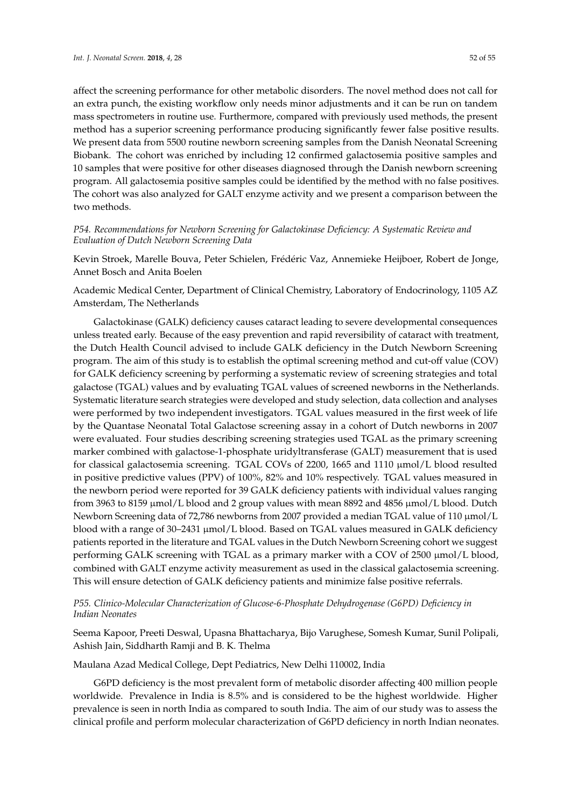affect the screening performance for other metabolic disorders. The novel method does not call for an extra punch, the existing workflow only needs minor adjustments and it can be run on tandem mass spectrometers in routine use. Furthermore, compared with previously used methods, the present method has a superior screening performance producing significantly fewer false positive results. We present data from 5500 routine newborn screening samples from the Danish Neonatal Screening Biobank. The cohort was enriched by including 12 confirmed galactosemia positive samples and 10 samples that were positive for other diseases diagnosed through the Danish newborn screening program. All galactosemia positive samples could be identified by the method with no false positives. The cohort was also analyzed for GALT enzyme activity and we present a comparison between the two methods.

### *P54. Recommendations for Newborn Screening for Galactokinase Deficiency: A Systematic Review and Evaluation of Dutch Newborn Screening Data*

Kevin Stroek, Marelle Bouva, Peter Schielen, Frédéric Vaz, Annemieke Heijboer, Robert de Jonge, Annet Bosch and Anita Boelen

Academic Medical Center, Department of Clinical Chemistry, Laboratory of Endocrinology, 1105 AZ Amsterdam, The Netherlands

Galactokinase (GALK) deficiency causes cataract leading to severe developmental consequences unless treated early. Because of the easy prevention and rapid reversibility of cataract with treatment, the Dutch Health Council advised to include GALK deficiency in the Dutch Newborn Screening program. The aim of this study is to establish the optimal screening method and cut-off value (COV) for GALK deficiency screening by performing a systematic review of screening strategies and total galactose (TGAL) values and by evaluating TGAL values of screened newborns in the Netherlands. Systematic literature search strategies were developed and study selection, data collection and analyses were performed by two independent investigators. TGAL values measured in the first week of life by the Quantase Neonatal Total Galactose screening assay in a cohort of Dutch newborns in 2007 were evaluated. Four studies describing screening strategies used TGAL as the primary screening marker combined with galactose-1-phosphate uridyltransferase (GALT) measurement that is used for classical galactosemia screening. TGAL COVs of 2200, 1665 and 1110 µmol/L blood resulted in positive predictive values (PPV) of 100%, 82% and 10% respectively. TGAL values measured in the newborn period were reported for 39 GALK deficiency patients with individual values ranging from 3963 to 8159 µmol/L blood and 2 group values with mean 8892 and 4856 µmol/L blood. Dutch Newborn Screening data of 72,786 newborns from 2007 provided a median TGAL value of 110 µmol/L blood with a range of 30–2431 µmol/L blood. Based on TGAL values measured in GALK deficiency patients reported in the literature and TGAL values in the Dutch Newborn Screening cohort we suggest performing GALK screening with TGAL as a primary marker with a COV of 2500 µmol/L blood, combined with GALT enzyme activity measurement as used in the classical galactosemia screening. This will ensure detection of GALK deficiency patients and minimize false positive referrals.

### *P55. Clinico-Molecular Characterization of Glucose-6-Phosphate Dehydrogenase (G6PD) Deficiency in Indian Neonates*

Seema Kapoor, Preeti Deswal, Upasna Bhattacharya, Bijo Varughese, Somesh Kumar, Sunil Polipali, Ashish Jain, Siddharth Ramji and B. K. Thelma

Maulana Azad Medical College, Dept Pediatrics, New Delhi 110002, India

G6PD deficiency is the most prevalent form of metabolic disorder affecting 400 million people worldwide. Prevalence in India is 8.5% and is considered to be the highest worldwide. Higher prevalence is seen in north India as compared to south India. The aim of our study was to assess the clinical profile and perform molecular characterization of G6PD deficiency in north Indian neonates.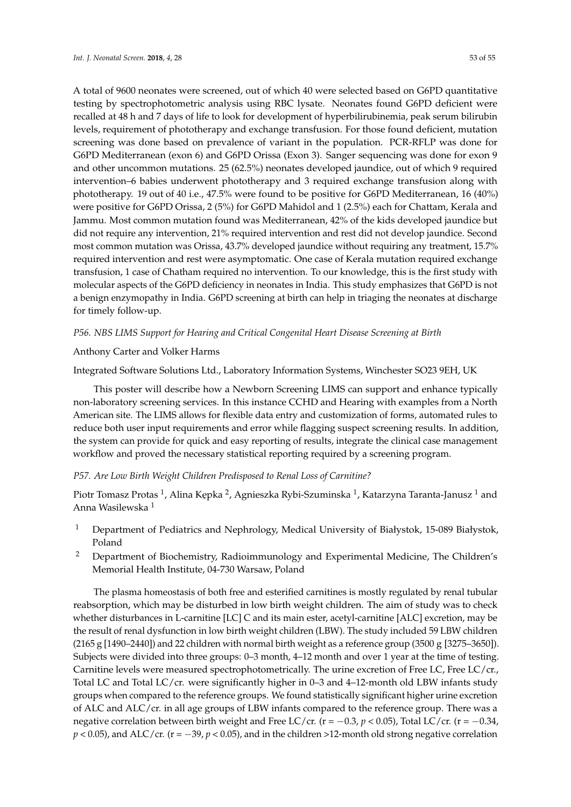A total of 9600 neonates were screened, out of which 40 were selected based on G6PD quantitative testing by spectrophotometric analysis using RBC lysate. Neonates found G6PD deficient were recalled at 48 h and 7 days of life to look for development of hyperbilirubinemia, peak serum bilirubin levels, requirement of phototherapy and exchange transfusion. For those found deficient, mutation screening was done based on prevalence of variant in the population. PCR-RFLP was done for G6PD Mediterranean (exon 6) and G6PD Orissa (Exon 3). Sanger sequencing was done for exon 9 and other uncommon mutations. 25 (62.5%) neonates developed jaundice, out of which 9 required intervention–6 babies underwent phototherapy and 3 required exchange transfusion along with phototherapy. 19 out of 40 i.e., 47.5% were found to be positive for G6PD Mediterranean, 16 (40%) were positive for G6PD Orissa, 2 (5%) for G6PD Mahidol and 1 (2.5%) each for Chattam, Kerala and Jammu. Most common mutation found was Mediterranean, 42% of the kids developed jaundice but did not require any intervention, 21% required intervention and rest did not develop jaundice. Second most common mutation was Orissa, 43.7% developed jaundice without requiring any treatment, 15.7% required intervention and rest were asymptomatic. One case of Kerala mutation required exchange transfusion, 1 case of Chatham required no intervention. To our knowledge, this is the first study with molecular aspects of the G6PD deficiency in neonates in India. This study emphasizes that G6PD is not a benign enzymopathy in India. G6PD screening at birth can help in triaging the neonates at discharge for timely follow-up.

#### *P56. NBS LIMS Support for Hearing and Critical Congenital Heart Disease Screening at Birth*

### Anthony Carter and Volker Harms

Integrated Software Solutions Ltd., Laboratory Information Systems, Winchester SO23 9EH, UK

This poster will describe how a Newborn Screening LIMS can support and enhance typically non-laboratory screening services. In this instance CCHD and Hearing with examples from a North American site. The LIMS allows for flexible data entry and customization of forms, automated rules to reduce both user input requirements and error while flagging suspect screening results. In addition, the system can provide for quick and easy reporting of results, integrate the clinical case management workflow and proved the necessary statistical reporting required by a screening program.

### *P57. Are Low Birth Weight Children Predisposed to Renal Loss of Carnitine?*

Piotr Tomasz Protas <sup>1</sup>, Alina Kępka <sup>2</sup>, Agnieszka Rybi-Szuminska <sup>1</sup>, Katarzyna Taranta-Janusz <sup>1</sup> and Anna Wasilewska <sup>1</sup>

- <sup>1</sup> Department of Pediatrics and Nephrology, Medical University of Białystok, 15-089 Białystok, Poland
- <sup>2</sup> Department of Biochemistry, Radioimmunology and Experimental Medicine, The Children's Memorial Health Institute, 04-730 Warsaw, Poland

The plasma homeostasis of both free and esterified carnitines is mostly regulated by renal tubular reabsorption, which may be disturbed in low birth weight children. The aim of study was to check whether disturbances in L-carnitine [LC] C and its main ester, acetyl-carnitine [ALC] excretion, may be the result of renal dysfunction in low birth weight children (LBW). The study included 59 LBW children  $(2165 g [1490–2440])$  and 22 children with normal birth weight as a reference group  $(3500 g [3275–3650])$ . Subjects were divided into three groups: 0–3 month, 4–12 month and over 1 year at the time of testing. Carnitine levels were measured spectrophotometrically. The urine excretion of Free LC, Free LC/cr., Total LC and Total LC/cr. were significantly higher in 0–3 and 4–12-month old LBW infants study groups when compared to the reference groups. We found statistically significant higher urine excretion of ALC and ALC/cr. in all age groups of LBW infants compared to the reference group. There was a negative correlation between birth weight and Free LC/cr. (r = −0.3, *p* < 0.05), Total LC/cr. (r = −0.34, *p* < 0.05), and ALC/cr. (r = −39, *p* < 0.05), and in the children >12-month old strong negative correlation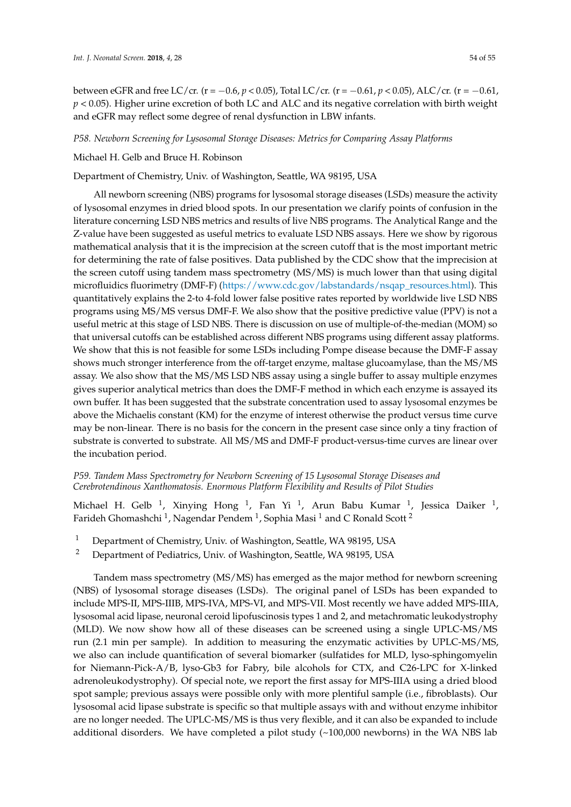between eGFR and free LC/cr. (r = −0.6, *p* < 0.05), Total LC/cr. (r = −0.61, *p* < 0.05), ALC/cr. (r = −0.61, *p* < 0.05). Higher urine excretion of both LC and ALC and its negative correlation with birth weight and eGFR may reflect some degree of renal dysfunction in LBW infants.

# *P58. Newborn Screening for Lysosomal Storage Diseases: Metrics for Comparing Assay Platforms*

### Michael H. Gelb and Bruce H. Robinson

Department of Chemistry, Univ. of Washington, Seattle, WA 98195, USA

All newborn screening (NBS) programs for lysosomal storage diseases (LSDs) measure the activity of lysosomal enzymes in dried blood spots. In our presentation we clarify points of confusion in the literature concerning LSD NBS metrics and results of live NBS programs. The Analytical Range and the Z-value have been suggested as useful metrics to evaluate LSD NBS assays. Here we show by rigorous mathematical analysis that it is the imprecision at the screen cutoff that is the most important metric for determining the rate of false positives. Data published by the CDC show that the imprecision at the screen cutoff using tandem mass spectrometry (MS/MS) is much lower than that using digital microfluidics fluorimetry (DMF-F) [\(https://www.cdc.gov/labstandards/nsqap\\_resources.html\)](https://www.cdc.gov/labstandards/nsqap_resources.html). This quantitatively explains the 2-to 4-fold lower false positive rates reported by worldwide live LSD NBS programs using MS/MS versus DMF-F. We also show that the positive predictive value (PPV) is not a useful metric at this stage of LSD NBS. There is discussion on use of multiple-of-the-median (MOM) so that universal cutoffs can be established across different NBS programs using different assay platforms. We show that this is not feasible for some LSDs including Pompe disease because the DMF-F assay shows much stronger interference from the off-target enzyme, maltase glucoamylase, than the MS/MS assay. We also show that the MS/MS LSD NBS assay using a single buffer to assay multiple enzymes gives superior analytical metrics than does the DMF-F method in which each enzyme is assayed its own buffer. It has been suggested that the substrate concentration used to assay lysosomal enzymes be above the Michaelis constant (KM) for the enzyme of interest otherwise the product versus time curve may be non-linear. There is no basis for the concern in the present case since only a tiny fraction of substrate is converted to substrate. All MS/MS and DMF-F product-versus-time curves are linear over the incubation period.

# *P59. Tandem Mass Spectrometry for Newborn Screening of 15 Lysosomal Storage Diseases and Cerebrotendinous Xanthomatosis. Enormous Platform Flexibility and Results of Pilot Studies*

Michael H. Gelb <sup>1</sup>, Xinying Hong <sup>1</sup>, Fan Yi <sup>1</sup>, Arun Babu Kumar <sup>1</sup>, Jessica Daiker <sup>1</sup>, Farideh Ghomashchi  $^1$ , Nagendar Pendem  $^1$ , Sophia Masi  $^1$  and C Ronald Scott  $^2$ 

- <sup>1</sup> Department of Chemistry, Univ. of Washington, Seattle, WA 98195, USA
- <sup>2</sup> Department of Pediatrics, Univ. of Washington, Seattle, WA 98195, USA

Tandem mass spectrometry (MS/MS) has emerged as the major method for newborn screening (NBS) of lysosomal storage diseases (LSDs). The original panel of LSDs has been expanded to include MPS-II, MPS-IIIB, MPS-IVA, MPS-VI, and MPS-VII. Most recently we have added MPS-IIIA, lysosomal acid lipase, neuronal ceroid lipofuscinosis types 1 and 2, and metachromatic leukodystrophy (MLD). We now show how all of these diseases can be screened using a single UPLC-MS/MS run (2.1 min per sample). In addition to measuring the enzymatic activities by UPLC-MS/MS, we also can include quantification of several biomarker (sulfatides for MLD, lyso-sphingomyelin for Niemann-Pick-A/B, lyso-Gb3 for Fabry, bile alcohols for CTX, and C26-LPC for X-linked adrenoleukodystrophy). Of special note, we report the first assay for MPS-IIIA using a dried blood spot sample; previous assays were possible only with more plentiful sample (i.e., fibroblasts). Our lysosomal acid lipase substrate is specific so that multiple assays with and without enzyme inhibitor are no longer needed. The UPLC-MS/MS is thus very flexible, and it can also be expanded to include additional disorders. We have completed a pilot study  $(\sim 100,000$  newborns) in the WA NBS lab